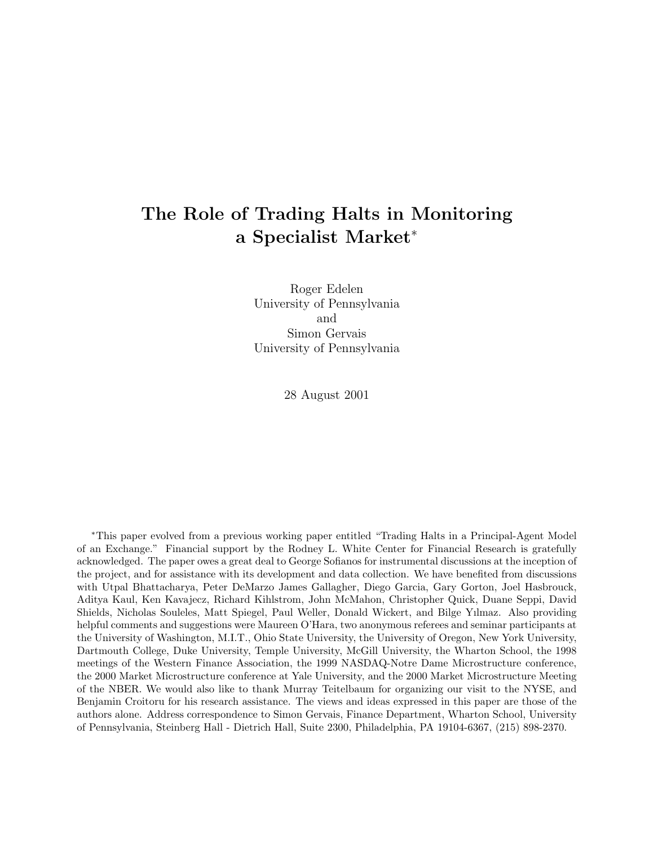# **The Role of Trading Halts in Monitoring a Specialist Market**<sup>∗</sup>

Roger Edelen University of Pennsylvania and Simon Gervais University of Pennsylvania

28 August 2001

<sup>∗</sup>This paper evolved from a previous working paper entitled "Trading Halts in a Principal-Agent Model of an Exchange." Financial support by the Rodney L. White Center for Financial Research is gratefully acknowledged. The paper owes a great deal to George Sofianos for instrumental discussions at the inception of the project, and for assistance with its development and data collection. We have benefited from discussions with Utpal Bhattacharya, Peter DeMarzo James Gallagher, Diego Garcia, Gary Gorton, Joel Hasbrouck, Aditya Kaul, Ken Kavajecz, Richard Kihlstrom, John McMahon, Christopher Quick, Duane Seppi, David Shields, Nicholas Souleles, Matt Spiegel, Paul Weller, Donald Wickert, and Bilge Yılmaz. Also providing helpful comments and suggestions were Maureen O'Hara, two anonymous referees and seminar participants at the University of Washington, M.I.T., Ohio State University, the University of Oregon, New York University, Dartmouth College, Duke University, Temple University, McGill University, the Wharton School, the 1998 meetings of the Western Finance Association, the 1999 NASDAQ-Notre Dame Microstructure conference, the 2000 Market Microstructure conference at Yale University, and the 2000 Market Microstructure Meeting of the NBER. We would also like to thank Murray Teitelbaum for organizing our visit to the NYSE, and Benjamin Croitoru for his research assistance. The views and ideas expressed in this paper are those of the authors alone. Address correspondence to Simon Gervais, Finance Department, Wharton School, University of Pennsylvania, Steinberg Hall - Dietrich Hall, Suite 2300, Philadelphia, PA 19104-6367, (215) 898-2370.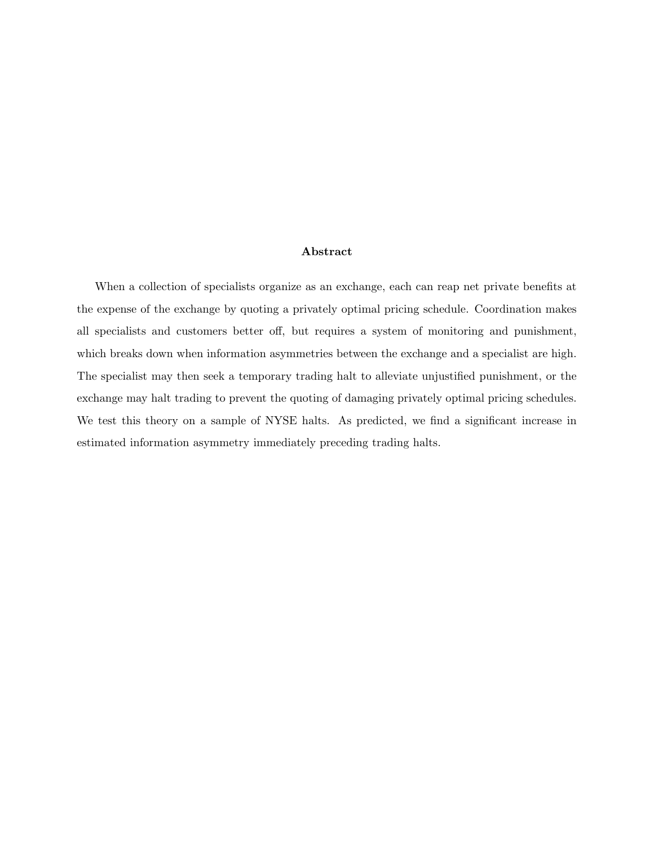### **Abstract**

When a collection of specialists organize as an exchange, each can reap net private benefits at the expense of the exchange by quoting a privately optimal pricing schedule. Coordination makes all specialists and customers better off, but requires a system of monitoring and punishment, which breaks down when information asymmetries between the exchange and a specialist are high. The specialist may then seek a temporary trading halt to alleviate unjustified punishment, or the exchange may halt trading to prevent the quoting of damaging privately optimal pricing schedules. We test this theory on a sample of NYSE halts. As predicted, we find a significant increase in estimated information asymmetry immediately preceding trading halts.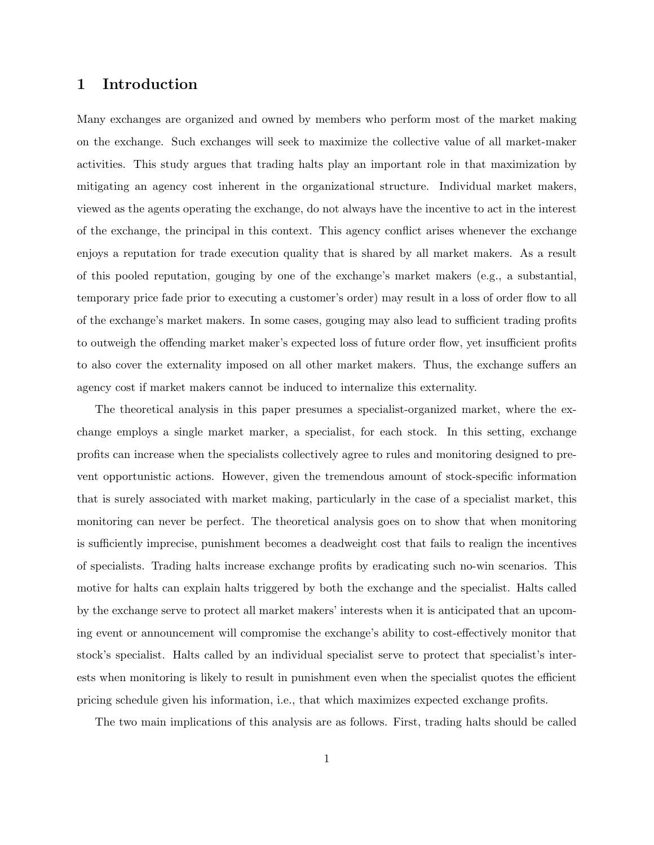### **1 Introduction**

Many exchanges are organized and owned by members who perform most of the market making on the exchange. Such exchanges will seek to maximize the collective value of all market-maker activities. This study argues that trading halts play an important role in that maximization by mitigating an agency cost inherent in the organizational structure. Individual market makers, viewed as the agents operating the exchange, do not always have the incentive to act in the interest of the exchange, the principal in this context. This agency conflict arises whenever the exchange enjoys a reputation for trade execution quality that is shared by all market makers. As a result of this pooled reputation, gouging by one of the exchange's market makers (e.g., a substantial, temporary price fade prior to executing a customer's order) may result in a loss of order flow to all of the exchange's market makers. In some cases, gouging may also lead to sufficient trading profits to outweigh the offending market maker's expected loss of future order flow, yet insufficient profits to also cover the externality imposed on all other market makers. Thus, the exchange suffers an agency cost if market makers cannot be induced to internalize this externality.

The theoretical analysis in this paper presumes a specialist-organized market, where the exchange employs a single market marker, a specialist, for each stock. In this setting, exchange profits can increase when the specialists collectively agree to rules and monitoring designed to prevent opportunistic actions. However, given the tremendous amount of stock-specific information that is surely associated with market making, particularly in the case of a specialist market, this monitoring can never be perfect. The theoretical analysis goes on to show that when monitoring is sufficiently imprecise, punishment becomes a deadweight cost that fails to realign the incentives of specialists. Trading halts increase exchange profits by eradicating such no-win scenarios. This motive for halts can explain halts triggered by both the exchange and the specialist. Halts called by the exchange serve to protect all market makers' interests when it is anticipated that an upcoming event or announcement will compromise the exchange's ability to cost-effectively monitor that stock's specialist. Halts called by an individual specialist serve to protect that specialist's interests when monitoring is likely to result in punishment even when the specialist quotes the efficient pricing schedule given his information, i.e., that which maximizes expected exchange profits.

The two main implications of this analysis are as follows. First, trading halts should be called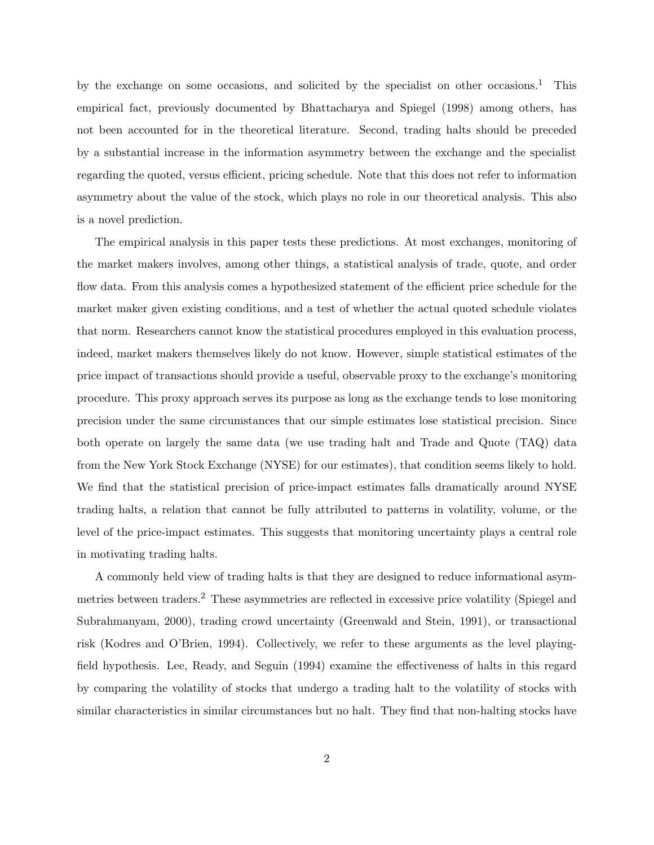by the exchange on some occasions, and solicited by the specialist on other occasions.<sup>1</sup> This empirical fact, previously documented by Bhattacharya and Spiegel (1998) among others, has not been accounted for in the theoretical literature. Second, trading halts should be preceded by a substantial increase in the information asymmetry between the exchange and the specialist regarding the quoted, versus efficient, pricing schedule. Note that this does not refer to information asymmetry about the value of the stock, which plays no role in our theoretical analysis. This also is a novel prediction.

The empirical analysis in this paper tests these predictions. At most exchanges, monitoring of the market makers involves, among other things, a statistical analysis of trade, quote, and order flow data. From this analysis comes a hypothesized statement of the efficient price schedule for the market maker given existing conditions, and a test of whether the actual quoted schedule violates that norm. Researchers cannot know the statistical procedures employed in this evaluation process, indeed, market makers themselves likely do not know. However, simple statistical estimates of the price impact of transactions should provide a useful, observable proxy to the exchange's monitoring procedure. This proxy approach serves its purpose as long as the exchange tends to lose monitoring precision under the same circumstances that our simple estimates lose statistical precision. Since both operate on largely the same data (we use trading halt and Trade and Quote (TAQ) data from the New York Stock Exchange (NYSE) for our estimates), that condition seems likely to hold. We find that the statistical precision of price-impact estimates falls dramatically around NYSE trading halts, a relation that cannot be fully attributed to patterns in volatility, volume, or the level of the price-impact estimates. This suggests that monitoring uncertainty plays a central role in motivating trading halts.

A commonly held view of trading halts is that they are designed to reduce informational asymmetries between traders.<sup>2</sup> These asymmetries are reflected in excessive price volatility (Spiegel and Subrahmanyam, 2000), trading crowd uncertainty (Greenwald and Stein, 1991), or transactional risk (Kodres and O'Brien, 1994). Collectively, we refer to these arguments as the level playingfield hypothesis. Lee, Ready, and Seguin (1994) examine the effectiveness of halts in this regard by comparing the volatility of stocks that undergo a trading halt to the volatility of stocks with similar characteristics in similar circumstances but no halt. They find that non-halting stocks have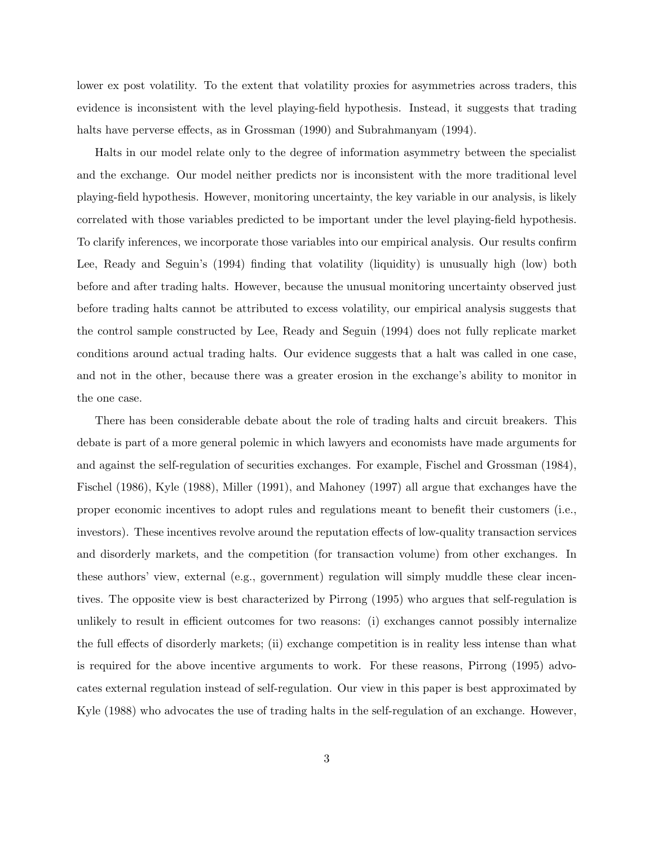lower ex post volatility. To the extent that volatility proxies for asymmetries across traders, this evidence is inconsistent with the level playing-field hypothesis. Instead, it suggests that trading halts have perverse effects, as in Grossman (1990) and Subrahmanyam (1994).

Halts in our model relate only to the degree of information asymmetry between the specialist and the exchange. Our model neither predicts nor is inconsistent with the more traditional level playing-field hypothesis. However, monitoring uncertainty, the key variable in our analysis, is likely correlated with those variables predicted to be important under the level playing-field hypothesis. To clarify inferences, we incorporate those variables into our empirical analysis. Our results confirm Lee, Ready and Seguin's (1994) finding that volatility (liquidity) is unusually high (low) both before and after trading halts. However, because the unusual monitoring uncertainty observed just before trading halts cannot be attributed to excess volatility, our empirical analysis suggests that the control sample constructed by Lee, Ready and Seguin (1994) does not fully replicate market conditions around actual trading halts. Our evidence suggests that a halt was called in one case, and not in the other, because there was a greater erosion in the exchange's ability to monitor in the one case.

There has been considerable debate about the role of trading halts and circuit breakers. This debate is part of a more general polemic in which lawyers and economists have made arguments for and against the self-regulation of securities exchanges. For example, Fischel and Grossman (1984), Fischel (1986), Kyle (1988), Miller (1991), and Mahoney (1997) all argue that exchanges have the proper economic incentives to adopt rules and regulations meant to benefit their customers (i.e., investors). These incentives revolve around the reputation effects of low-quality transaction services and disorderly markets, and the competition (for transaction volume) from other exchanges. In these authors' view, external (e.g., government) regulation will simply muddle these clear incentives. The opposite view is best characterized by Pirrong (1995) who argues that self-regulation is unlikely to result in efficient outcomes for two reasons: (i) exchanges cannot possibly internalize the full effects of disorderly markets; (ii) exchange competition is in reality less intense than what is required for the above incentive arguments to work. For these reasons, Pirrong (1995) advocates external regulation instead of self-regulation. Our view in this paper is best approximated by Kyle (1988) who advocates the use of trading halts in the self-regulation of an exchange. However,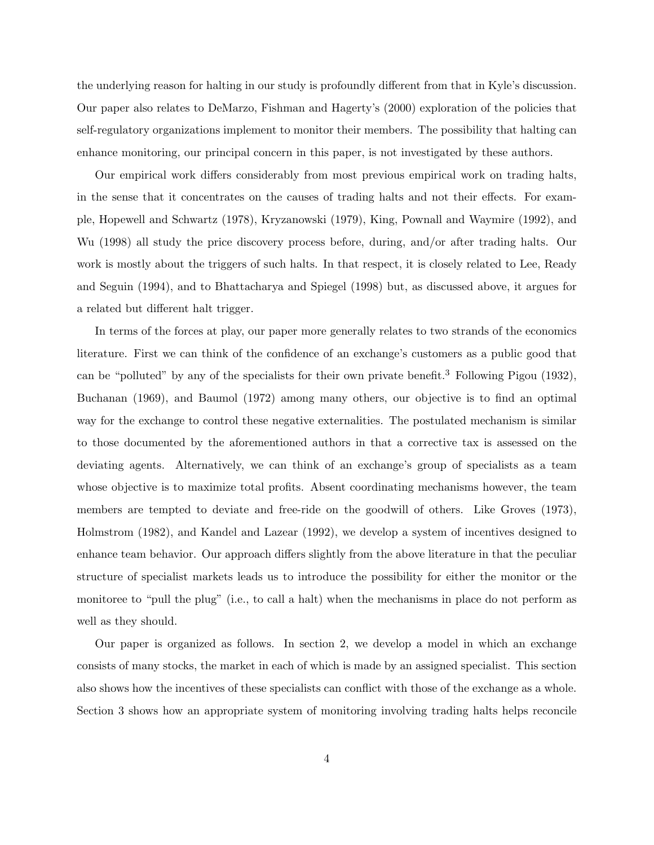the underlying reason for halting in our study is profoundly different from that in Kyle's discussion. Our paper also relates to DeMarzo, Fishman and Hagerty's (2000) exploration of the policies that self-regulatory organizations implement to monitor their members. The possibility that halting can enhance monitoring, our principal concern in this paper, is not investigated by these authors.

Our empirical work differs considerably from most previous empirical work on trading halts, in the sense that it concentrates on the causes of trading halts and not their effects. For example, Hopewell and Schwartz (1978), Kryzanowski (1979), King, Pownall and Waymire (1992), and Wu (1998) all study the price discovery process before, during, and/or after trading halts. Our work is mostly about the triggers of such halts. In that respect, it is closely related to Lee, Ready and Seguin (1994), and to Bhattacharya and Spiegel (1998) but, as discussed above, it argues for a related but different halt trigger.

In terms of the forces at play, our paper more generally relates to two strands of the economics literature. First we can think of the confidence of an exchange's customers as a public good that can be "polluted" by any of the specialists for their own private benefit.<sup>3</sup> Following Pigou (1932), Buchanan (1969), and Baumol (1972) among many others, our objective is to find an optimal way for the exchange to control these negative externalities. The postulated mechanism is similar to those documented by the aforementioned authors in that a corrective tax is assessed on the deviating agents. Alternatively, we can think of an exchange's group of specialists as a team whose objective is to maximize total profits. Absent coordinating mechanisms however, the team members are tempted to deviate and free-ride on the goodwill of others. Like Groves (1973), Holmstrom (1982), and Kandel and Lazear (1992), we develop a system of incentives designed to enhance team behavior. Our approach differs slightly from the above literature in that the peculiar structure of specialist markets leads us to introduce the possibility for either the monitor or the monitoree to "pull the plug" (i.e., to call a halt) when the mechanisms in place do not perform as well as they should.

Our paper is organized as follows. In section 2, we develop a model in which an exchange consists of many stocks, the market in each of which is made by an assigned specialist. This section also shows how the incentives of these specialists can conflict with those of the exchange as a whole. Section 3 shows how an appropriate system of monitoring involving trading halts helps reconcile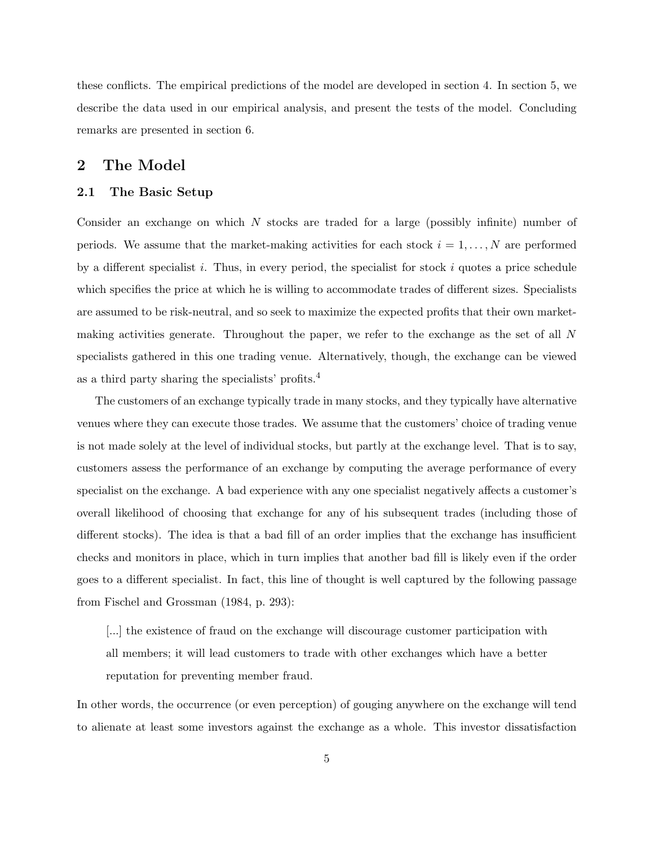these conflicts. The empirical predictions of the model are developed in section 4. In section 5, we describe the data used in our empirical analysis, and present the tests of the model. Concluding remarks are presented in section 6.

### **2 The Model**

### **2.1 The Basic Setup**

Consider an exchange on which N stocks are traded for a large (possibly infinite) number of periods. We assume that the market-making activities for each stock  $i = 1, \ldots, N$  are performed by a different specialist i. Thus, in every period, the specialist for stock i quotes a price schedule which specifies the price at which he is willing to accommodate trades of different sizes. Specialists are assumed to be risk-neutral, and so seek to maximize the expected profits that their own marketmaking activities generate. Throughout the paper, we refer to the exchange as the set of all N specialists gathered in this one trading venue. Alternatively, though, the exchange can be viewed as a third party sharing the specialists' profits.<sup>4</sup>

The customers of an exchange typically trade in many stocks, and they typically have alternative venues where they can execute those trades. We assume that the customers' choice of trading venue is not made solely at the level of individual stocks, but partly at the exchange level. That is to say, customers assess the performance of an exchange by computing the average performance of every specialist on the exchange. A bad experience with any one specialist negatively affects a customer's overall likelihood of choosing that exchange for any of his subsequent trades (including those of different stocks). The idea is that a bad fill of an order implies that the exchange has insufficient checks and monitors in place, which in turn implies that another bad fill is likely even if the order goes to a different specialist. In fact, this line of thought is well captured by the following passage from Fischel and Grossman (1984, p. 293):

[...] the existence of fraud on the exchange will discourage customer participation with all members; it will lead customers to trade with other exchanges which have a better reputation for preventing member fraud.

In other words, the occurrence (or even perception) of gouging anywhere on the exchange will tend to alienate at least some investors against the exchange as a whole. This investor dissatisfaction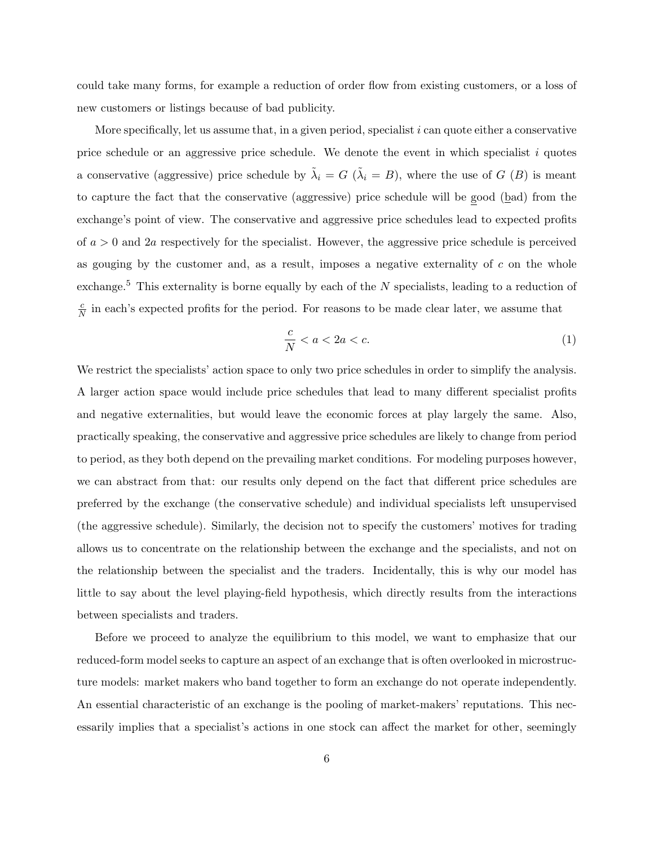could take many forms, for example a reduction of order flow from existing customers, or a loss of new customers or listings because of bad publicity.

More specifically, let us assume that, in a given period, specialist  $i$  can quote either a conservative price schedule or an aggressive price schedule. We denote the event in which specialist  $i$  quotes a conservative (aggressive) price schedule by  $\lambda_i = G(\lambda_i = B)$ , where the use of G (B) is meant to capture the fact that the conservative (aggressive) price schedule will be good  $(\underline{bad})$  from the exchange's point of view. The conservative and aggressive price schedules lead to expected profits of  $a > 0$  and  $2a$  respectively for the specialist. However, the aggressive price schedule is perceived as gouging by the customer and, as a result, imposes a negative externality of  $c$  on the whole exchange.<sup>5</sup> This externality is borne equally by each of the  $N$  specialists, leading to a reduction of  $\frac{c}{N}$  in each's expected profits for the period. For reasons to be made clear later, we assume that

$$
\frac{c}{N} < a < 2a < c. \tag{1}
$$

We restrict the specialists' action space to only two price schedules in order to simplify the analysis. A larger action space would include price schedules that lead to many different specialist profits and negative externalities, but would leave the economic forces at play largely the same. Also, practically speaking, the conservative and aggressive price schedules are likely to change from period to period, as they both depend on the prevailing market conditions. For modeling purposes however, we can abstract from that: our results only depend on the fact that different price schedules are preferred by the exchange (the conservative schedule) and individual specialists left unsupervised (the aggressive schedule). Similarly, the decision not to specify the customers' motives for trading allows us to concentrate on the relationship between the exchange and the specialists, and not on the relationship between the specialist and the traders. Incidentally, this is why our model has little to say about the level playing-field hypothesis, which directly results from the interactions between specialists and traders.

Before we proceed to analyze the equilibrium to this model, we want to emphasize that our reduced-form model seeks to capture an aspect of an exchange that is often overlooked in microstructure models: market makers who band together to form an exchange do not operate independently. An essential characteristic of an exchange is the pooling of market-makers' reputations. This necessarily implies that a specialist's actions in one stock can affect the market for other, seemingly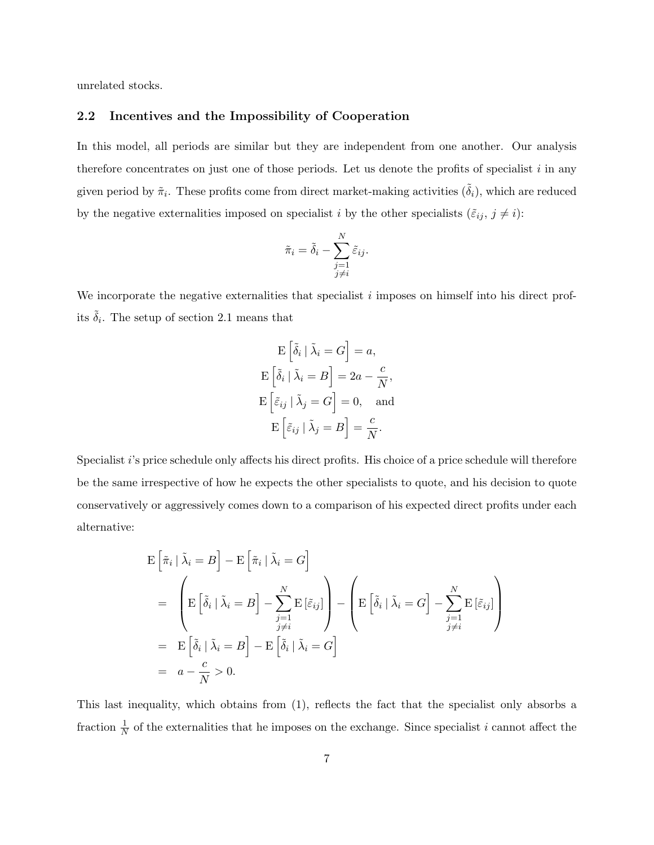unrelated stocks.

### **2.2 Incentives and the Impossibility of Cooperation**

In this model, all periods are similar but they are independent from one another. Our analysis therefore concentrates on just one of those periods. Let us denote the profits of specialist  $i$  in any given period by  $\tilde{\pi}_i$ . These profits come from direct market-making activities  $(\tilde{\delta}_i)$ , which are reduced by the negative externalities imposed on specialist i by the other specialists  $(\tilde{\varepsilon}_{ij}, j \neq i)$ :

$$
\tilde{\pi}_i = \tilde{\delta}_i - \sum_{\substack{j=1 \ j \neq i}}^N \tilde{\varepsilon}_{ij}.
$$

We incorporate the negative externalities that specialist  $i$  imposes on himself into his direct profits  $\tilde{\delta}_i$ . The setup of section 2.1 means that

$$
E\left[\tilde{\delta}_i \mid \tilde{\lambda}_i = G\right] = a,
$$
  
\n
$$
E\left[\tilde{\delta}_i \mid \tilde{\lambda}_i = B\right] = 2a - \frac{c}{N},
$$
  
\n
$$
E\left[\tilde{\varepsilon}_{ij} \mid \tilde{\lambda}_j = G\right] = 0, \text{ and}
$$
  
\n
$$
E\left[\tilde{\varepsilon}_{ij} \mid \tilde{\lambda}_j = B\right] = \frac{c}{N}.
$$

Specialist *i*'s price schedule only affects his direct profits. His choice of a price schedule will therefore be the same irrespective of how he expects the other specialists to quote, and his decision to quote conservatively or aggressively comes down to a comparison of his expected direct profits under each alternative:

$$
E\left[\tilde{\pi}_{i} \mid \tilde{\lambda}_{i} = B\right] - E\left[\tilde{\pi}_{i} \mid \tilde{\lambda}_{i} = G\right]
$$
  
= 
$$
\left(E\left[\tilde{\delta}_{i} \mid \tilde{\lambda}_{i} = B\right] - \sum_{\substack{j=1 \ j \neq i}}^{N} E\left[\tilde{\varepsilon}_{ij}\right]\right) - \left(E\left[\tilde{\delta}_{i} \mid \tilde{\lambda}_{i} = G\right] - \sum_{\substack{j=1 \ j \neq i}}^{N} E\left[\tilde{\varepsilon}_{ij}\right]\right)
$$
  
= 
$$
E\left[\tilde{\delta}_{i} \mid \tilde{\lambda}_{i} = B\right] - E\left[\tilde{\delta}_{i} \mid \tilde{\lambda}_{i} = G\right]
$$
  
= 
$$
a - \frac{c}{N} > 0.
$$

This last inequality, which obtains from (1), reflects the fact that the specialist only absorbs a fraction  $\frac{1}{N}$  of the externalities that he imposes on the exchange. Since specialist i cannot affect the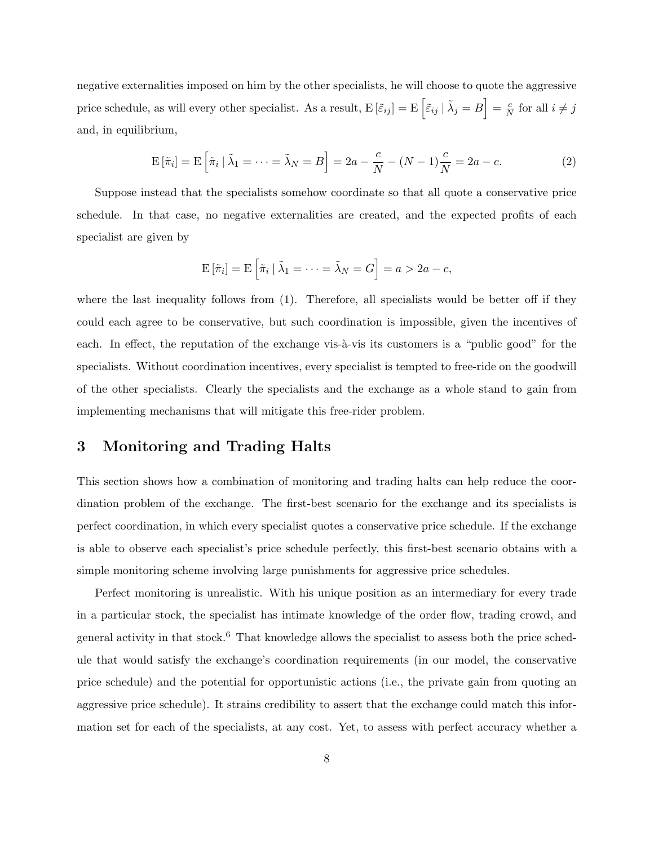negative externalities imposed on him by the other specialists, he will choose to quote the aggressive price schedule, as will every other specialist. As a result,  $E[\tilde{\varepsilon}_{ij}] = E[\tilde{\varepsilon}_{ij} | \tilde{\lambda}_j = B] = \frac{c}{N}$  for all  $i \neq j$ and, in equilibrium,

$$
\mathcal{E}\left[\tilde{\pi}_i\right] = \mathcal{E}\left[\tilde{\pi}_i \mid \tilde{\lambda}_1 = \dots = \tilde{\lambda}_N = B\right] = 2a - \frac{c}{N} - (N - 1)\frac{c}{N} = 2a - c. \tag{2}
$$

Suppose instead that the specialists somehow coordinate so that all quote a conservative price schedule. In that case, no negative externalities are created, and the expected profits of each specialist are given by

$$
\mathbf{E}\left[\tilde{\pi}_i\right] = \mathbf{E}\left[\tilde{\pi}_i \mid \tilde{\lambda}_1 = \cdots = \tilde{\lambda}_N = G\right] = a > 2a - c,
$$

where the last inequality follows from (1). Therefore, all specialists would be better off if they could each agree to be conservative, but such coordination is impossible, given the incentives of each. In effect, the reputation of the exchange vis- $\alpha$ -vis its customers is a "public good" for the specialists. Without coordination incentives, every specialist is tempted to free-ride on the goodwill of the other specialists. Clearly the specialists and the exchange as a whole stand to gain from implementing mechanisms that will mitigate this free-rider problem.

### **3 Monitoring and Trading Halts**

This section shows how a combination of monitoring and trading halts can help reduce the coordination problem of the exchange. The first-best scenario for the exchange and its specialists is perfect coordination, in which every specialist quotes a conservative price schedule. If the exchange is able to observe each specialist's price schedule perfectly, this first-best scenario obtains with a simple monitoring scheme involving large punishments for aggressive price schedules.

Perfect monitoring is unrealistic. With his unique position as an intermediary for every trade in a particular stock, the specialist has intimate knowledge of the order flow, trading crowd, and general activity in that stock.<sup>6</sup> That knowledge allows the specialist to assess both the price schedule that would satisfy the exchange's coordination requirements (in our model, the conservative price schedule) and the potential for opportunistic actions (i.e., the private gain from quoting an aggressive price schedule). It strains credibility to assert that the exchange could match this information set for each of the specialists, at any cost. Yet, to assess with perfect accuracy whether a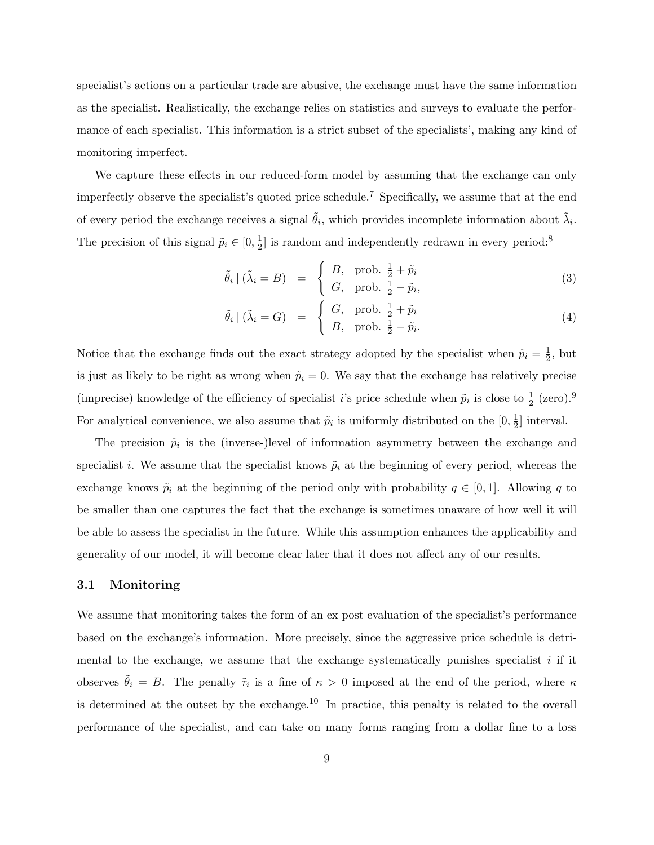specialist's actions on a particular trade are abusive, the exchange must have the same information as the specialist. Realistically, the exchange relies on statistics and surveys to evaluate the performance of each specialist. This information is a strict subset of the specialists', making any kind of monitoring imperfect.

We capture these effects in our reduced-form model by assuming that the exchange can only imperfectly observe the specialist's quoted price schedule.<sup>7</sup> Specifically, we assume that at the end of every period the exchange receives a signal  $\tilde{\theta}_i$ , which provides incomplete information about  $\tilde{\lambda}_i$ . The precision of this signal  $\tilde{p}_i \in [0, \frac{1}{2}]$  is random and independently redrawn in every period:<sup>8</sup>

$$
\tilde{\theta}_i \mid (\tilde{\lambda}_i = B) = \begin{cases} B, & \text{prob. } \frac{1}{2} + \tilde{p}_i \\ G, & \text{prob. } \frac{1}{2} - \tilde{p}_i, \end{cases} \tag{3}
$$

$$
\tilde{\theta}_{i} | (\tilde{\lambda}_{i} = G) = \begin{cases} G, & \text{prob. } \frac{1}{2} + \tilde{p}_{i} \\ B, & \text{prob. } \frac{1}{2} - \tilde{p}_{i}. \end{cases} \tag{4}
$$

Notice that the exchange finds out the exact strategy adopted by the specialist when  $\tilde{p}_i = \frac{1}{2}$ , but is just as likely to be right as wrong when  $\tilde{p}_i = 0$ . We say that the exchange has relatively precise (imprecise) knowledge of the efficiency of specialist *i*'s price schedule when  $\tilde{p}_i$  is close to  $\frac{1}{2}$  (zero).<sup>9</sup> For analytical convenience, we also assume that  $\tilde{p}_i$  is uniformly distributed on the  $[0, \frac{1}{2}]$  interval.

The precision  $\tilde{p}_i$  is the (inverse-)level of information asymmetry between the exchange and specialist i. We assume that the specialist knows  $\tilde{p}_i$  at the beginning of every period, whereas the exchange knows  $\tilde{p}_i$  at the beginning of the period only with probability  $q \in [0,1]$ . Allowing q to be smaller than one captures the fact that the exchange is sometimes unaware of how well it will be able to assess the specialist in the future. While this assumption enhances the applicability and generality of our model, it will become clear later that it does not affect any of our results.

#### **3.1 Monitoring**

We assume that monitoring takes the form of an ex post evaluation of the specialist's performance based on the exchange's information. More precisely, since the aggressive price schedule is detrimental to the exchange, we assume that the exchange systematically punishes specialist  $i$  if it observes  $\tilde{\theta}_i = B$ . The penalty  $\tilde{\tau}_i$  is a fine of  $\kappa > 0$  imposed at the end of the period, where  $\kappa$ is determined at the outset by the exchange.<sup>10</sup> In practice, this penalty is related to the overall performance of the specialist, and can take on many forms ranging from a dollar fine to a loss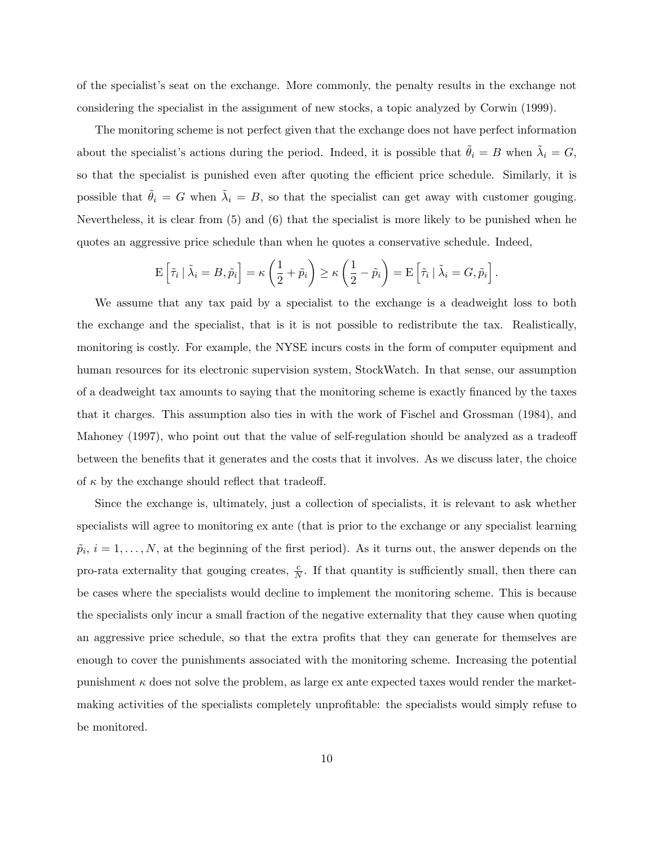of the specialist's seat on the exchange. More commonly, the penalty results in the exchange not considering the specialist in the assignment of new stocks, a topic analyzed by Corwin (1999).

The monitoring scheme is not perfect given that the exchange does not have perfect information about the specialist's actions during the period. Indeed, it is possible that  $\tilde{\theta}_i = B$  when  $\tilde{\lambda}_i = G$ , so that the specialist is punished even after quoting the efficient price schedule. Similarly, it is possible that  $\tilde{\theta}_i = G$  when  $\tilde{\lambda}_i = B$ , so that the specialist can get away with customer gouging. Nevertheless, it is clear from (5) and (6) that the specialist is more likely to be punished when he quotes an aggressive price schedule than when he quotes a conservative schedule. Indeed,

$$
\mathrm{E}\left[\tilde{\tau}_i\mid \tilde{\lambda}_i=B,\tilde{p}_i\right]=\kappa\left(\frac{1}{2}+\tilde{p}_i\right)\geq\kappa\left(\frac{1}{2}-\tilde{p}_i\right)=\mathrm{E}\left[\tilde{\tau}_i\mid \tilde{\lambda}_i=G,\tilde{p}_i\right].
$$

We assume that any tax paid by a specialist to the exchange is a deadweight loss to both the exchange and the specialist, that is it is not possible to redistribute the tax. Realistically, monitoring is costly. For example, the NYSE incurs costs in the form of computer equipment and human resources for its electronic supervision system, StockWatch. In that sense, our assumption of a deadweight tax amounts to saying that the monitoring scheme is exactly financed by the taxes that it charges. This assumption also ties in with the work of Fischel and Grossman (1984), and Mahoney (1997), who point out that the value of self-regulation should be analyzed as a tradeoff between the benefits that it generates and the costs that it involves. As we discuss later, the choice of  $\kappa$  by the exchange should reflect that tradeoff.

Since the exchange is, ultimately, just a collection of specialists, it is relevant to ask whether specialists will agree to monitoring ex ante (that is prior to the exchange or any specialist learning  $\tilde{p}_i$ ,  $i = 1, \ldots, N$ , at the beginning of the first period). As it turns out, the answer depends on the pro-rata externality that gouging creates,  $\frac{c}{N}$ . If that quantity is sufficiently small, then there can be cases where the specialists would decline to implement the monitoring scheme. This is because the specialists only incur a small fraction of the negative externality that they cause when quoting an aggressive price schedule, so that the extra profits that they can generate for themselves are enough to cover the punishments associated with the monitoring scheme. Increasing the potential punishment  $\kappa$  does not solve the problem, as large ex ante expected taxes would render the marketmaking activities of the specialists completely unprofitable: the specialists would simply refuse to be monitored.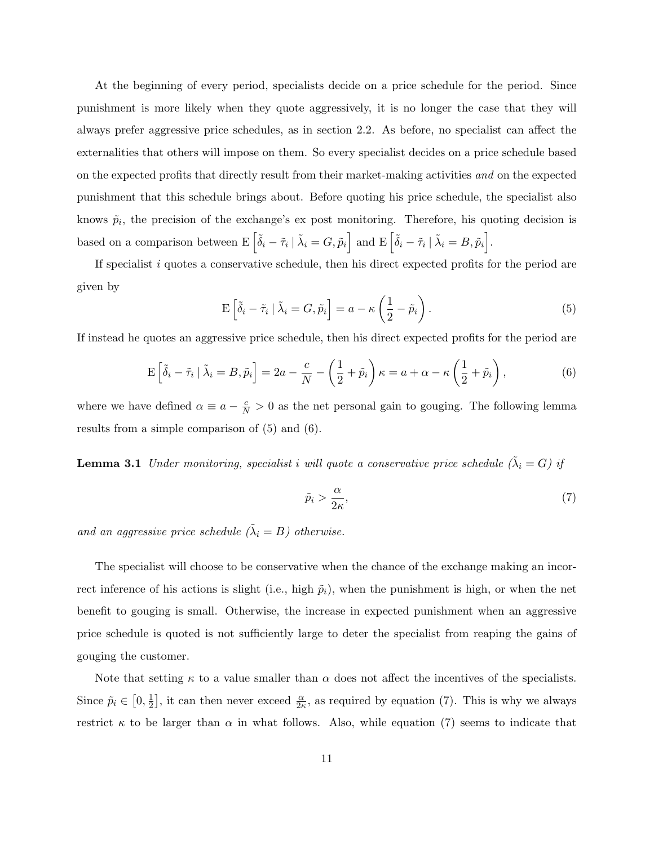At the beginning of every period, specialists decide on a price schedule for the period. Since punishment is more likely when they quote aggressively, it is no longer the case that they will always prefer aggressive price schedules, as in section 2.2. As before, no specialist can affect the externalities that others will impose on them. So every specialist decides on a price schedule based on the expected profits that directly result from their market-making activities and on the expected punishment that this schedule brings about. Before quoting his price schedule, the specialist also knows  $\tilde{p}_i$ , the precision of the exchange's ex post monitoring. Therefore, his quoting decision is based on a comparison between  $E\left[\tilde{\delta}_i - \tilde{\tau}_i \mid \tilde{\lambda}_i = G, \tilde{p}_i\right]$  and  $E\left[\tilde{\delta}_i - \tilde{\tau}_i \mid \tilde{\lambda}_i = B, \tilde{p}_i\right]$ .

If specialist i quotes a conservative schedule, then his direct expected profits for the period are given by

$$
\mathcal{E}\left[\tilde{\delta}_i - \tilde{\tau}_i \mid \tilde{\lambda}_i = G, \tilde{p}_i\right] = a - \kappa \left(\frac{1}{2} - \tilde{p}_i\right). \tag{5}
$$

If instead he quotes an aggressive price schedule, then his direct expected profits for the period are

$$
\mathcal{E}\left[\tilde{\delta}_i - \tilde{\tau}_i \mid \tilde{\lambda}_i = B, \tilde{p}_i\right] = 2a - \frac{c}{N} - \left(\frac{1}{2} + \tilde{p}_i\right)\kappa = a + \alpha - \kappa\left(\frac{1}{2} + \tilde{p}_i\right),\tag{6}
$$

where we have defined  $\alpha \equiv a - \frac{c}{N} > 0$  as the net personal gain to gouging. The following lemma results from a simple comparison of (5) and (6).

**Lemma 3.1** Under monitoring, specialist i will quote a conservative price schedule  $(\tilde{\lambda}_i = G)$  if

$$
\tilde{p}_i > \frac{\alpha}{2\kappa},\tag{7}
$$

and an aggressive price schedule  $(\tilde{\lambda}_i = B)$  otherwise.

The specialist will choose to be conservative when the chance of the exchange making an incorrect inference of his actions is slight (i.e., high  $\tilde{p}_i$ ), when the punishment is high, or when the net benefit to gouging is small. Otherwise, the increase in expected punishment when an aggressive price schedule is quoted is not sufficiently large to deter the specialist from reaping the gains of gouging the customer.

Note that setting  $\kappa$  to a value smaller than  $\alpha$  does not affect the incentives of the specialists. Since  $\tilde{p}_i \in [0, \frac{1}{2}]$ , it can then never exceed  $\frac{\alpha}{2\kappa}$ , as required by equation (7). This is why we always restrict  $\kappa$  to be larger than  $\alpha$  in what follows. Also, while equation (7) seems to indicate that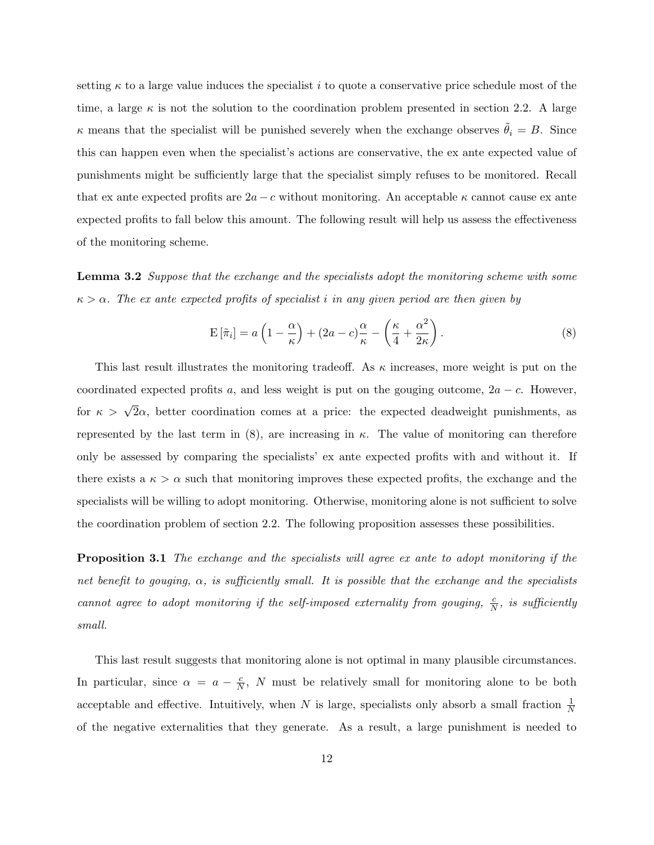setting  $\kappa$  to a large value induces the specialist i to quote a conservative price schedule most of the time, a large  $\kappa$  is not the solution to the coordination problem presented in section 2.2. A large  $\kappa$  means that the specialist will be punished severely when the exchange observes  $\theta_i = B$ . Since this can happen even when the specialist's actions are conservative, the ex ante expected value of punishments might be sufficiently large that the specialist simply refuses to be monitored. Recall that ex ante expected profits are  $2a - c$  without monitoring. An acceptable  $\kappa$  cannot cause ex ante expected profits to fall below this amount. The following result will help us assess the effectiveness of the monitoring scheme.

**Lemma 3.2** Suppose that the exchange and the specialists adopt the monitoring scheme with some  $\kappa > \alpha$ . The ex ante expected profits of specialist i in any given period are then given by

$$
E\left[\tilde{\pi}_i\right] = a\left(1 - \frac{\alpha}{\kappa}\right) + (2a - c)\frac{\alpha}{\kappa} - \left(\frac{\kappa}{4} + \frac{\alpha^2}{2\kappa}\right). \tag{8}
$$

This last result illustrates the monitoring tradeoff. As  $\kappa$  increases, more weight is put on the coordinated expected profits a, and less weight is put on the gouging outcome,  $2a - c$ . However, for  $\kappa > \sqrt{2}\alpha$ , better coordination comes at a price: the expected deadweight punishments, as represented by the last term in (8), are increasing in  $\kappa$ . The value of monitoring can therefore only be assessed by comparing the specialists' ex ante expected profits with and without it. If there exists a  $\kappa > \alpha$  such that monitoring improves these expected profits, the exchange and the specialists will be willing to adopt monitoring. Otherwise, monitoring alone is not sufficient to solve the coordination problem of section 2.2. The following proposition assesses these possibilities.

**Proposition 3.1** The exchange and the specialists will agree ex ante to adopt monitoring if the net benefit to gouging,  $\alpha$ , is sufficiently small. It is possible that the exchange and the specialists cannot agree to adopt monitoring if the self-imposed externality from gouging,  $\frac{c}{N}$ , is sufficiently small.

This last result suggests that monitoring alone is not optimal in many plausible circumstances. In particular, since  $\alpha = a - \frac{c}{N}$ , N must be relatively small for monitoring alone to be both acceptable and effective. Intuitively, when N is large, specialists only absorb a small fraction  $\frac{1}{N}$ of the negative externalities that they generate. As a result, a large punishment is needed to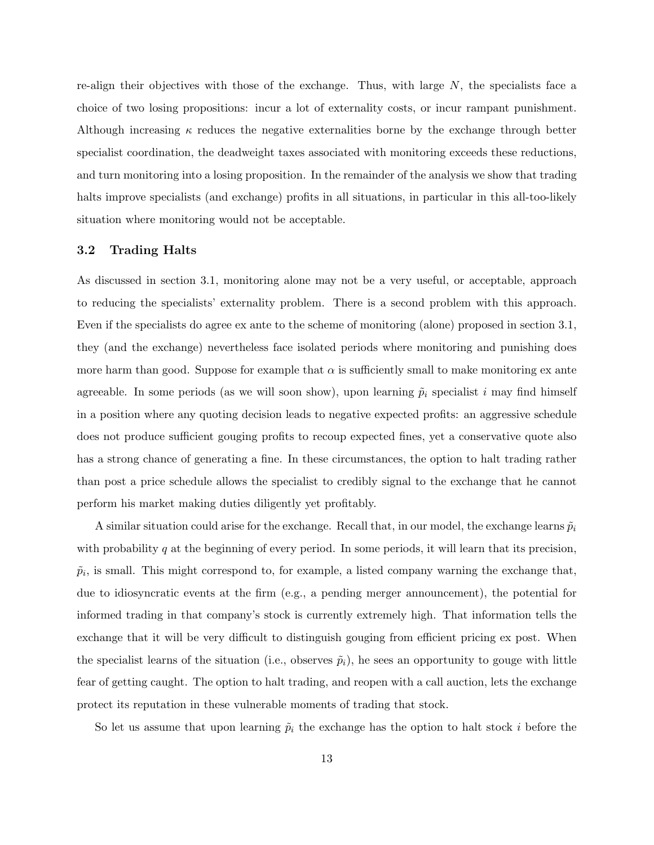re-align their objectives with those of the exchange. Thus, with large  $N$ , the specialists face a choice of two losing propositions: incur a lot of externality costs, or incur rampant punishment. Although increasing  $\kappa$  reduces the negative externalities borne by the exchange through better specialist coordination, the deadweight taxes associated with monitoring exceeds these reductions, and turn monitoring into a losing proposition. In the remainder of the analysis we show that trading halts improve specialists (and exchange) profits in all situations, in particular in this all-too-likely situation where monitoring would not be acceptable.

#### **3.2 Trading Halts**

As discussed in section 3.1, monitoring alone may not be a very useful, or acceptable, approach to reducing the specialists' externality problem. There is a second problem with this approach. Even if the specialists do agree ex ante to the scheme of monitoring (alone) proposed in section 3.1, they (and the exchange) nevertheless face isolated periods where monitoring and punishing does more harm than good. Suppose for example that  $\alpha$  is sufficiently small to make monitoring ex ante agreeable. In some periods (as we will soon show), upon learning  $\tilde{p}_i$  specialist i may find himself in a position where any quoting decision leads to negative expected profits: an aggressive schedule does not produce sufficient gouging profits to recoup expected fines, yet a conservative quote also has a strong chance of generating a fine. In these circumstances, the option to halt trading rather than post a price schedule allows the specialist to credibly signal to the exchange that he cannot perform his market making duties diligently yet profitably.

A similar situation could arise for the exchange. Recall that, in our model, the exchange learns  $\tilde{p}_i$ with probability q at the beginning of every period. In some periods, it will learn that its precision.  $\tilde{p}_i$ , is small. This might correspond to, for example, a listed company warning the exchange that, due to idiosyncratic events at the firm (e.g., a pending merger announcement), the potential for informed trading in that company's stock is currently extremely high. That information tells the exchange that it will be very difficult to distinguish gouging from efficient pricing ex post. When the specialist learns of the situation (i.e., observes  $\tilde{p}_i$ ), he sees an opportunity to gouge with little fear of getting caught. The option to halt trading, and reopen with a call auction, lets the exchange protect its reputation in these vulnerable moments of trading that stock.

So let us assume that upon learning  $\tilde{p}_i$  the exchange has the option to halt stock i before the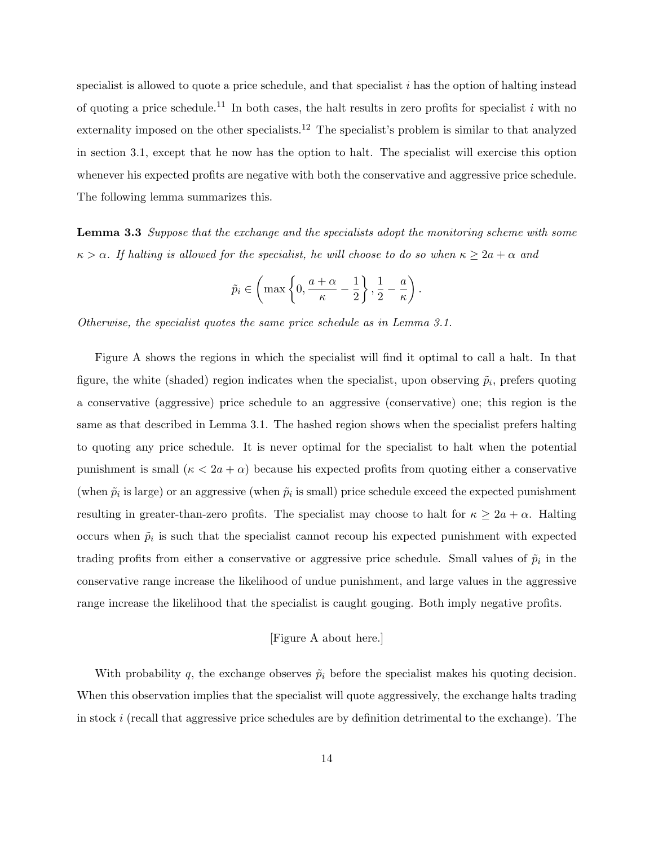specialist is allowed to quote a price schedule, and that specialist  $i$  has the option of halting instead of quoting a price schedule.<sup>11</sup> In both cases, the halt results in zero profits for specialist i with no externality imposed on the other specialists.<sup>12</sup> The specialist's problem is similar to that analyzed in section 3.1, except that he now has the option to halt. The specialist will exercise this option whenever his expected profits are negative with both the conservative and aggressive price schedule. The following lemma summarizes this.

**Lemma 3.3** Suppose that the exchange and the specialists adopt the monitoring scheme with some  $\kappa > \alpha$ . If halting is allowed for the specialist, he will choose to do so when  $\kappa \geq 2a + \alpha$  and

$$
\tilde{p}_i \in \left(\max\left\{0, \frac{a+\alpha}{\kappa} - \frac{1}{2}\right\}, \frac{1}{2} - \frac{a}{\kappa}\right).
$$

Otherwise, the specialist quotes the same price schedule as in Lemma 3.1.

Figure A shows the regions in which the specialist will find it optimal to call a halt. In that figure, the white (shaded) region indicates when the specialist, upon observing  $\tilde{p}_i$ , prefers quoting a conservative (aggressive) price schedule to an aggressive (conservative) one; this region is the same as that described in Lemma 3.1. The hashed region shows when the specialist prefers halting to quoting any price schedule. It is never optimal for the specialist to halt when the potential punishment is small  $(\kappa < 2a + \alpha)$  because his expected profits from quoting either a conservative (when  $\tilde{p}_i$  is large) or an aggressive (when  $\tilde{p}_i$  is small) price schedule exceed the expected punishment resulting in greater-than-zero profits. The specialist may choose to halt for  $\kappa \geq 2a + \alpha$ . Halting occurs when  $\tilde{p}_i$  is such that the specialist cannot recoup his expected punishment with expected trading profits from either a conservative or aggressive price schedule. Small values of  $\tilde{p}_i$  in the conservative range increase the likelihood of undue punishment, and large values in the aggressive range increase the likelihood that the specialist is caught gouging. Both imply negative profits.

### [Figure A about here.]

With probability q, the exchange observes  $\tilde{p}_i$  before the specialist makes his quoting decision. When this observation implies that the specialist will quote aggressively, the exchange halts trading in stock i (recall that aggressive price schedules are by definition detrimental to the exchange). The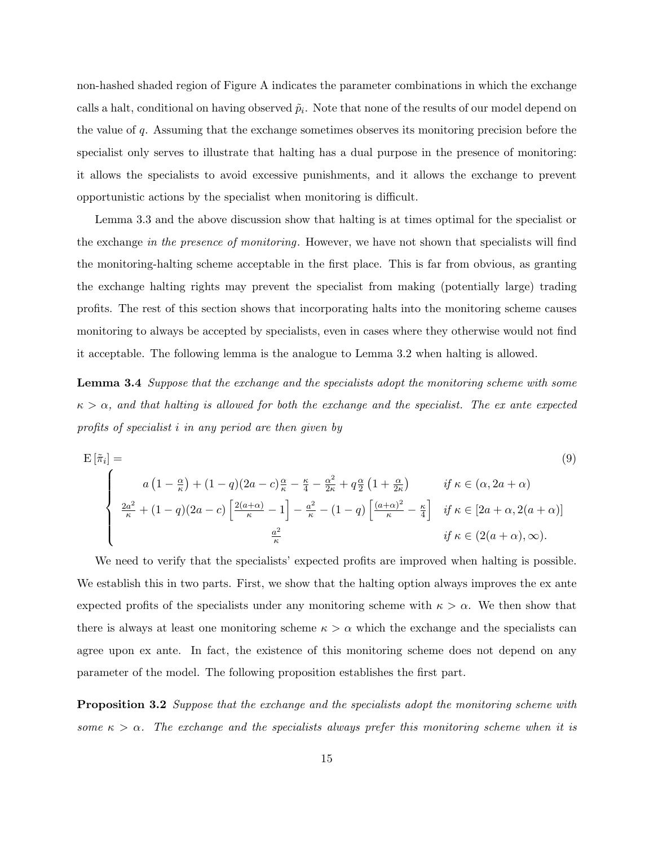non-hashed shaded region of Figure A indicates the parameter combinations in which the exchange calls a halt, conditional on having observed  $\tilde{p}_i$ . Note that none of the results of our model depend on the value of q. Assuming that the exchange sometimes observes its monitoring precision before the specialist only serves to illustrate that halting has a dual purpose in the presence of monitoring: it allows the specialists to avoid excessive punishments, and it allows the exchange to prevent opportunistic actions by the specialist when monitoring is difficult.

Lemma 3.3 and the above discussion show that halting is at times optimal for the specialist or the exchange in the presence of monitoring. However, we have not shown that specialists will find the monitoring-halting scheme acceptable in the first place. This is far from obvious, as granting the exchange halting rights may prevent the specialist from making (potentially large) trading profits. The rest of this section shows that incorporating halts into the monitoring scheme causes monitoring to always be accepted by specialists, even in cases where they otherwise would not find it acceptable. The following lemma is the analogue to Lemma 3.2 when halting is allowed.

**Lemma 3.4** Suppose that the exchange and the specialists adopt the monitoring scheme with some  $\kappa > \alpha$ , and that halting is allowed for both the exchange and the specialist. The ex ante expected profits of specialist i in any period are then given by

$$
E\left[\tilde{\pi}_{i}\right] = \tag{9}
$$
\n
$$
\begin{cases}\n a\left(1 - \frac{\alpha}{\kappa}\right) + (1 - q)(2a - c)\frac{\alpha}{\kappa} - \frac{\kappa}{4} - \frac{\alpha^{2}}{2\kappa} + q\frac{\alpha}{2}\left(1 + \frac{\alpha}{2\kappa}\right) & \text{if } \kappa \in (\alpha, 2a + \alpha) \\
 \frac{2a^{2}}{\kappa} + (1 - q)(2a - c)\left[\frac{2(a + \alpha)}{\kappa} - 1\right] - \frac{a^{2}}{\kappa} - (1 - q)\left[\frac{(a + \alpha)^{2}}{\kappa} - \frac{\kappa}{4}\right] & \text{if } \kappa \in [2a + \alpha, 2(a + \alpha)] \\
 \frac{a^{2}}{\kappa} & \text{if } \kappa \in (2(a + \alpha), \infty).\n\end{cases}
$$
\n
$$
(9)
$$

We need to verify that the specialists' expected profits are improved when halting is possible. We establish this in two parts. First, we show that the halting option always improves the ex ante expected profits of the specialists under any monitoring scheme with  $\kappa > \alpha$ . We then show that there is always at least one monitoring scheme  $\kappa > \alpha$  which the exchange and the specialists can agree upon ex ante. In fact, the existence of this monitoring scheme does not depend on any parameter of the model. The following proposition establishes the first part.

**Proposition 3.2** Suppose that the exchange and the specialists adopt the monitoring scheme with some  $\kappa > \alpha$ . The exchange and the specialists always prefer this monitoring scheme when it is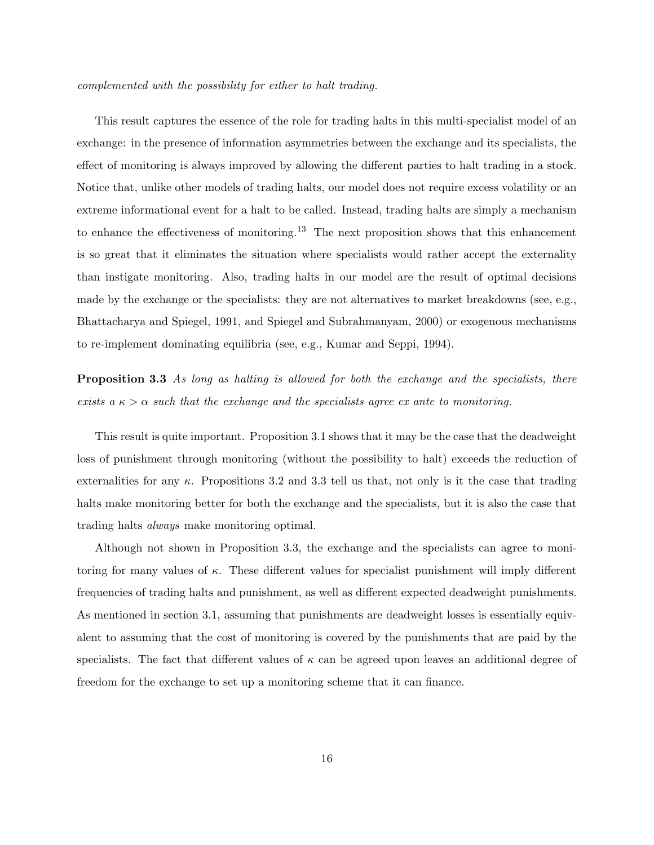#### complemented with the possibility for either to halt trading.

This result captures the essence of the role for trading halts in this multi-specialist model of an exchange: in the presence of information asymmetries between the exchange and its specialists, the effect of monitoring is always improved by allowing the different parties to halt trading in a stock. Notice that, unlike other models of trading halts, our model does not require excess volatility or an extreme informational event for a halt to be called. Instead, trading halts are simply a mechanism to enhance the effectiveness of monitoring.<sup>13</sup> The next proposition shows that this enhancement is so great that it eliminates the situation where specialists would rather accept the externality than instigate monitoring. Also, trading halts in our model are the result of optimal decisions made by the exchange or the specialists: they are not alternatives to market breakdowns (see, e.g., Bhattacharya and Spiegel, 1991, and Spiegel and Subrahmanyam, 2000) or exogenous mechanisms to re-implement dominating equilibria (see, e.g., Kumar and Seppi, 1994).

**Proposition 3.3** As long as halting is allowed for both the exchange and the specialists, there exists  $a \kappa > \alpha$  such that the exchange and the specialists agree ex ante to monitoring.

This result is quite important. Proposition 3.1 shows that it may be the case that the deadweight loss of punishment through monitoring (without the possibility to halt) exceeds the reduction of externalities for any  $\kappa$ . Propositions 3.2 and 3.3 tell us that, not only is it the case that trading halts make monitoring better for both the exchange and the specialists, but it is also the case that trading halts always make monitoring optimal.

Although not shown in Proposition 3.3, the exchange and the specialists can agree to monitoring for many values of  $\kappa$ . These different values for specialist punishment will imply different frequencies of trading halts and punishment, as well as different expected deadweight punishments. As mentioned in section 3.1, assuming that punishments are deadweight losses is essentially equivalent to assuming that the cost of monitoring is covered by the punishments that are paid by the specialists. The fact that different values of  $\kappa$  can be agreed upon leaves an additional degree of freedom for the exchange to set up a monitoring scheme that it can finance.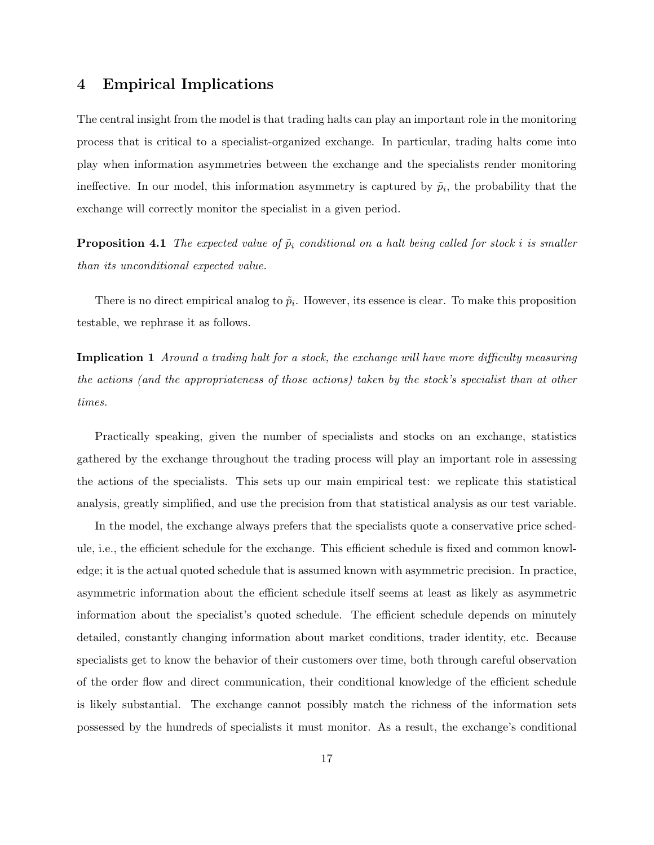### **4 Empirical Implications**

The central insight from the model is that trading halts can play an important role in the monitoring process that is critical to a specialist-organized exchange. In particular, trading halts come into play when information asymmetries between the exchange and the specialists render monitoring ineffective. In our model, this information asymmetry is captured by  $\tilde{p}_i$ , the probability that the exchange will correctly monitor the specialist in a given period.

**Proposition 4.1** The expected value of  $\tilde{p}_i$  conditional on a halt being called for stock i is smaller than its unconditional expected value.

There is no direct empirical analog to  $\tilde{p}_i$ . However, its essence is clear. To make this proposition testable, we rephrase it as follows.

**Implication 1** Around a trading halt for a stock, the exchange will have more difficulty measuring the actions (and the appropriateness of those actions) taken by the stock's specialist than at other times.

Practically speaking, given the number of specialists and stocks on an exchange, statistics gathered by the exchange throughout the trading process will play an important role in assessing the actions of the specialists. This sets up our main empirical test: we replicate this statistical analysis, greatly simplified, and use the precision from that statistical analysis as our test variable.

In the model, the exchange always prefers that the specialists quote a conservative price schedule, i.e., the efficient schedule for the exchange. This efficient schedule is fixed and common knowledge; it is the actual quoted schedule that is assumed known with asymmetric precision. In practice, asymmetric information about the efficient schedule itself seems at least as likely as asymmetric information about the specialist's quoted schedule. The efficient schedule depends on minutely detailed, constantly changing information about market conditions, trader identity, etc. Because specialists get to know the behavior of their customers over time, both through careful observation of the order flow and direct communication, their conditional knowledge of the efficient schedule is likely substantial. The exchange cannot possibly match the richness of the information sets possessed by the hundreds of specialists it must monitor. As a result, the exchange's conditional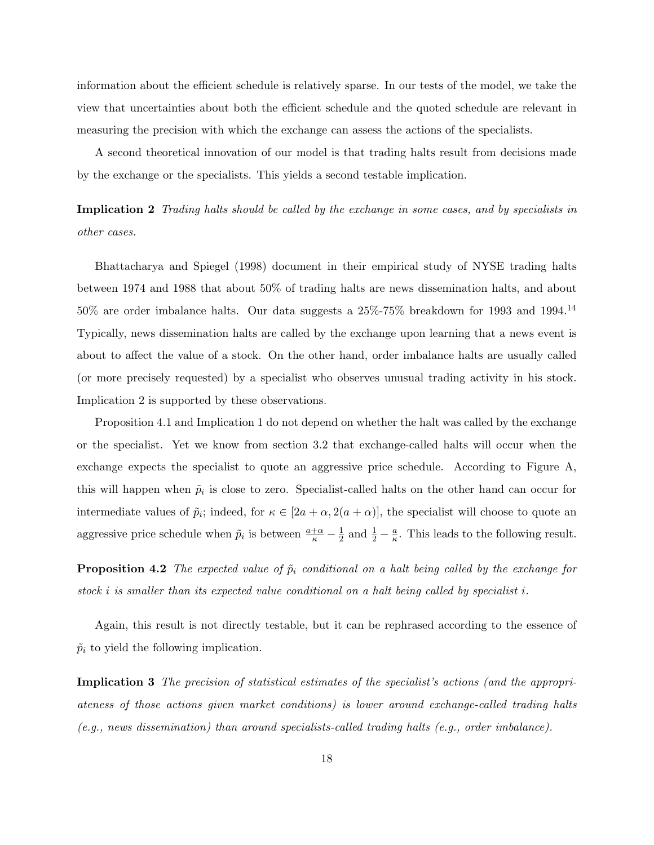information about the efficient schedule is relatively sparse. In our tests of the model, we take the view that uncertainties about both the efficient schedule and the quoted schedule are relevant in measuring the precision with which the exchange can assess the actions of the specialists.

A second theoretical innovation of our model is that trading halts result from decisions made by the exchange or the specialists. This yields a second testable implication.

**Implication 2** Trading halts should be called by the exchange in some cases, and by specialists in other cases.

Bhattacharya and Spiegel (1998) document in their empirical study of NYSE trading halts between 1974 and 1988 that about 50% of trading halts are news dissemination halts, and about  $50\%$  are order imbalance halts. Our data suggests a  $25\%$ -75% breakdown for 1993 and 1994.<sup>14</sup> Typically, news dissemination halts are called by the exchange upon learning that a news event is about to affect the value of a stock. On the other hand, order imbalance halts are usually called (or more precisely requested) by a specialist who observes unusual trading activity in his stock. Implication 2 is supported by these observations.

Proposition 4.1 and Implication 1 do not depend on whether the halt was called by the exchange or the specialist. Yet we know from section 3.2 that exchange-called halts will occur when the exchange expects the specialist to quote an aggressive price schedule. According to Figure A, this will happen when  $\tilde{p}_i$  is close to zero. Specialist-called halts on the other hand can occur for intermediate values of  $\tilde{p}_i$ ; indeed, for  $\kappa \in [2a + \alpha, 2(a + \alpha)]$ , the specialist will choose to quote an aggressive price schedule when  $\tilde{p}_i$  is between  $\frac{a+\alpha}{\kappa} - \frac{1}{2}$  and  $\frac{1}{2} - \frac{a}{\kappa}$ . This leads to the following result.

**Proposition 4.2** The expected value of  $\tilde{p}_i$  conditional on a halt being called by the exchange for stock i is smaller than its expected value conditional on a halt being called by specialist i.

Again, this result is not directly testable, but it can be rephrased according to the essence of  $\tilde{p}_i$  to yield the following implication.

**Implication 3** The precision of statistical estimates of the specialist's actions (and the appropriateness of those actions given market conditions) is lower around exchange-called trading halts (e.g., news dissemination) than around specialists-called trading halts (e.g., order imbalance).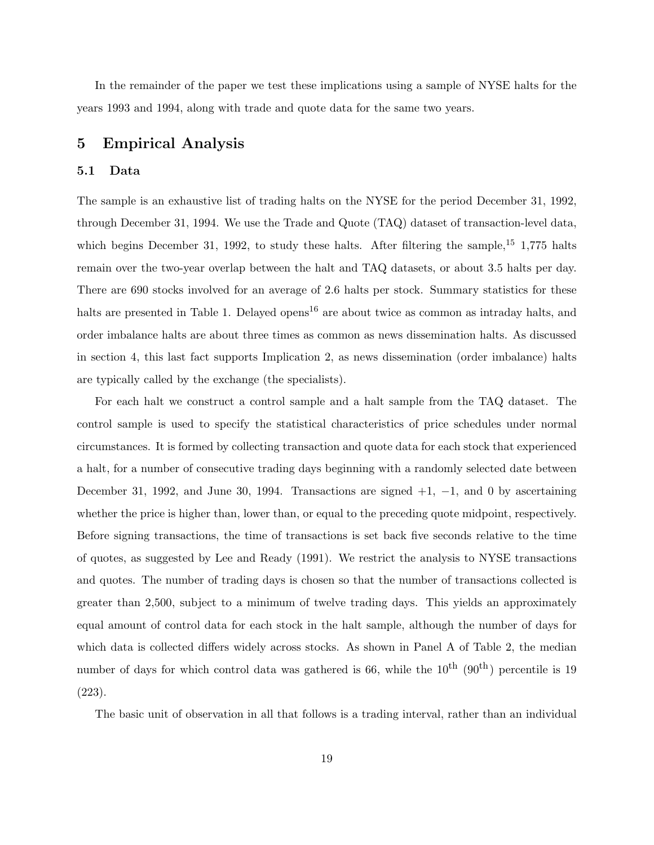In the remainder of the paper we test these implications using a sample of NYSE halts for the years 1993 and 1994, along with trade and quote data for the same two years.

### **5 Empirical Analysis**

### **5.1 Data**

The sample is an exhaustive list of trading halts on the NYSE for the period December 31, 1992, through December 31, 1994. We use the Trade and Quote (TAQ) dataset of transaction-level data, which begins December 31, 1992, to study these halts. After filtering the sample,  $15$  1,775 halts remain over the two-year overlap between the halt and TAQ datasets, or about 3.5 halts per day. There are 690 stocks involved for an average of 2.6 halts per stock. Summary statistics for these halts are presented in Table 1. Delayed opens<sup>16</sup> are about twice as common as intraday halts, and order imbalance halts are about three times as common as news dissemination halts. As discussed in section 4, this last fact supports Implication 2, as news dissemination (order imbalance) halts are typically called by the exchange (the specialists).

For each halt we construct a control sample and a halt sample from the TAQ dataset. The control sample is used to specify the statistical characteristics of price schedules under normal circumstances. It is formed by collecting transaction and quote data for each stock that experienced a halt, for a number of consecutive trading days beginning with a randomly selected date between December 31, 1992, and June 30, 1994. Transactions are signed  $+1$ ,  $-1$ , and 0 by ascertaining whether the price is higher than, lower than, or equal to the preceding quote midpoint, respectively. Before signing transactions, the time of transactions is set back five seconds relative to the time of quotes, as suggested by Lee and Ready (1991). We restrict the analysis to NYSE transactions and quotes. The number of trading days is chosen so that the number of transactions collected is greater than 2,500, subject to a minimum of twelve trading days. This yields an approximately equal amount of control data for each stock in the halt sample, although the number of days for which data is collected differs widely across stocks. As shown in Panel A of Table 2, the median number of days for which control data was gathered is 66, while the  $10^{th}$  (90<sup>th</sup>) percentile is 19 (223).

The basic unit of observation in all that follows is a trading interval, rather than an individual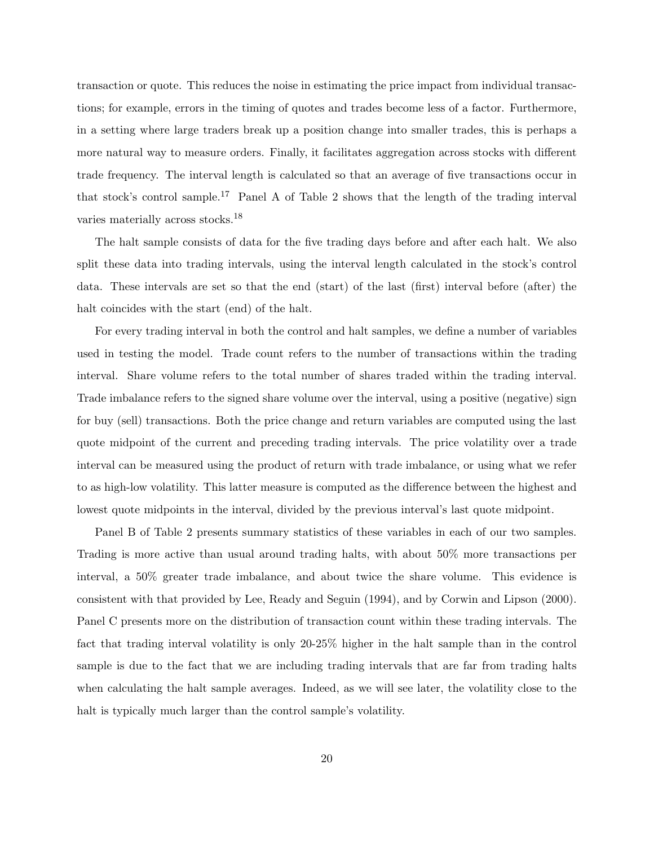transaction or quote. This reduces the noise in estimating the price impact from individual transactions; for example, errors in the timing of quotes and trades become less of a factor. Furthermore, in a setting where large traders break up a position change into smaller trades, this is perhaps a more natural way to measure orders. Finally, it facilitates aggregation across stocks with different trade frequency. The interval length is calculated so that an average of five transactions occur in that stock's control sample.<sup>17</sup> Panel A of Table 2 shows that the length of the trading interval varies materially across stocks.<sup>18</sup>

The halt sample consists of data for the five trading days before and after each halt. We also split these data into trading intervals, using the interval length calculated in the stock's control data. These intervals are set so that the end (start) of the last (first) interval before (after) the halt coincides with the start (end) of the halt.

For every trading interval in both the control and halt samples, we define a number of variables used in testing the model. Trade count refers to the number of transactions within the trading interval. Share volume refers to the total number of shares traded within the trading interval. Trade imbalance refers to the signed share volume over the interval, using a positive (negative) sign for buy (sell) transactions. Both the price change and return variables are computed using the last quote midpoint of the current and preceding trading intervals. The price volatility over a trade interval can be measured using the product of return with trade imbalance, or using what we refer to as high-low volatility. This latter measure is computed as the difference between the highest and lowest quote midpoints in the interval, divided by the previous interval's last quote midpoint.

Panel B of Table 2 presents summary statistics of these variables in each of our two samples. Trading is more active than usual around trading halts, with about 50% more transactions per interval, a 50% greater trade imbalance, and about twice the share volume. This evidence is consistent with that provided by Lee, Ready and Seguin (1994), and by Corwin and Lipson (2000). Panel C presents more on the distribution of transaction count within these trading intervals. The fact that trading interval volatility is only 20-25% higher in the halt sample than in the control sample is due to the fact that we are including trading intervals that are far from trading halts when calculating the halt sample averages. Indeed, as we will see later, the volatility close to the halt is typically much larger than the control sample's volatility.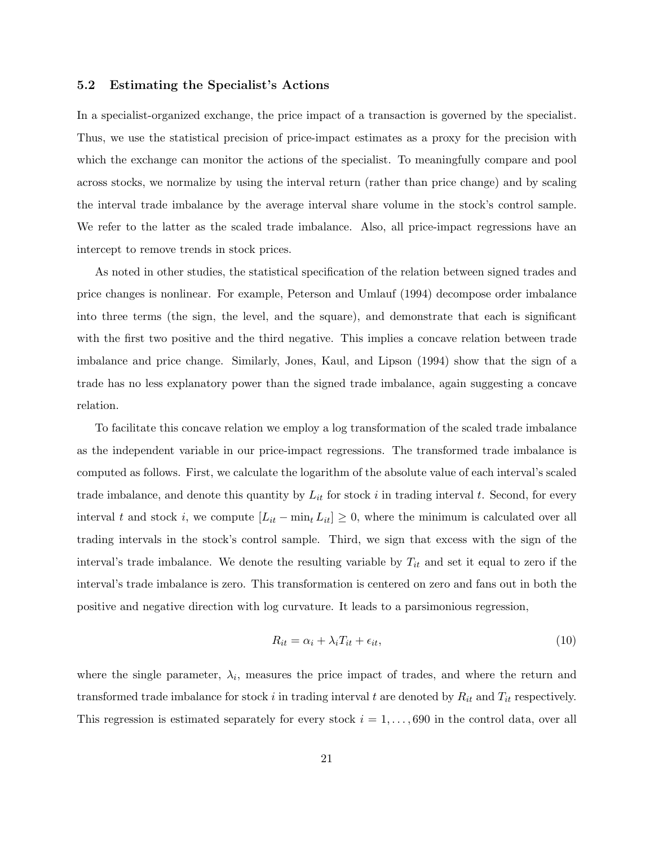#### **5.2 Estimating the Specialist's Actions**

In a specialist-organized exchange, the price impact of a transaction is governed by the specialist. Thus, we use the statistical precision of price-impact estimates as a proxy for the precision with which the exchange can monitor the actions of the specialist. To meaningfully compare and pool across stocks, we normalize by using the interval return (rather than price change) and by scaling the interval trade imbalance by the average interval share volume in the stock's control sample. We refer to the latter as the scaled trade imbalance. Also, all price-impact regressions have an intercept to remove trends in stock prices.

As noted in other studies, the statistical specification of the relation between signed trades and price changes is nonlinear. For example, Peterson and Umlauf (1994) decompose order imbalance into three terms (the sign, the level, and the square), and demonstrate that each is significant with the first two positive and the third negative. This implies a concave relation between trade imbalance and price change. Similarly, Jones, Kaul, and Lipson (1994) show that the sign of a trade has no less explanatory power than the signed trade imbalance, again suggesting a concave relation.

To facilitate this concave relation we employ a log transformation of the scaled trade imbalance as the independent variable in our price-impact regressions. The transformed trade imbalance is computed as follows. First, we calculate the logarithm of the absolute value of each interval's scaled trade imbalance, and denote this quantity by  $L_{it}$  for stock i in trading interval t. Second, for every interval t and stock i, we compute  $[L_{it} - \min_t L_{it}] \geq 0$ , where the minimum is calculated over all trading intervals in the stock's control sample. Third, we sign that excess with the sign of the interval's trade imbalance. We denote the resulting variable by  $T_{it}$  and set it equal to zero if the interval's trade imbalance is zero. This transformation is centered on zero and fans out in both the positive and negative direction with log curvature. It leads to a parsimonious regression,

$$
R_{it} = \alpha_i + \lambda_i T_{it} + \epsilon_{it},\tag{10}
$$

where the single parameter,  $\lambda_i$ , measures the price impact of trades, and where the return and transformed trade imbalance for stock i in trading interval t are denoted by  $R_{it}$  and  $T_{it}$  respectively. This regression is estimated separately for every stock  $i = 1, \ldots, 690$  in the control data, over all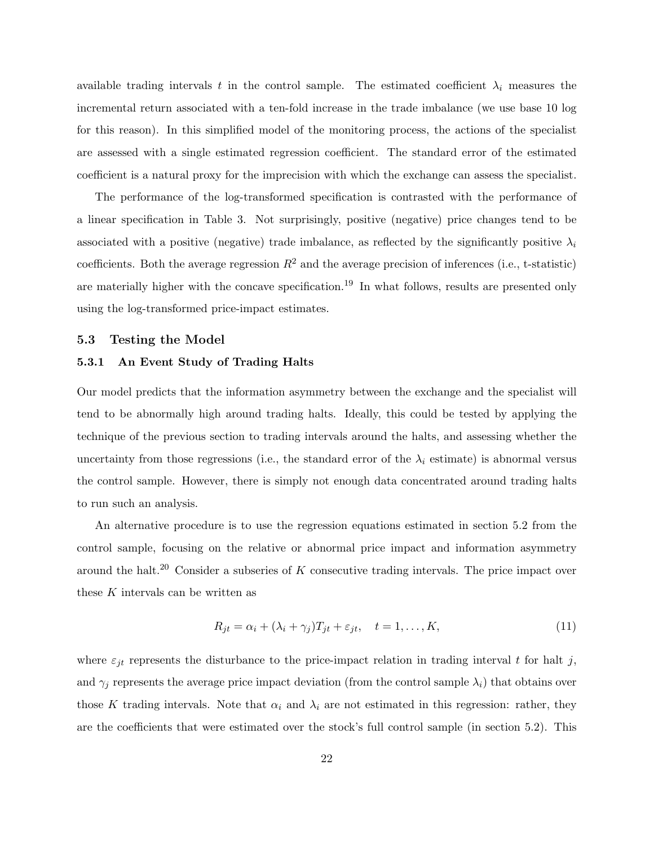available trading intervals t in the control sample. The estimated coefficient  $\lambda_i$  measures the incremental return associated with a ten-fold increase in the trade imbalance (we use base 10 log for this reason). In this simplified model of the monitoring process, the actions of the specialist are assessed with a single estimated regression coefficient. The standard error of the estimated coefficient is a natural proxy for the imprecision with which the exchange can assess the specialist.

The performance of the log-transformed specification is contrasted with the performance of a linear specification in Table 3. Not surprisingly, positive (negative) price changes tend to be associated with a positive (negative) trade imbalance, as reflected by the significantly positive  $\lambda_i$ coefficients. Both the average regression  $R^2$  and the average precision of inferences (i.e., t-statistic) are materially higher with the concave specification.<sup>19</sup> In what follows, results are presented only using the log-transformed price-impact estimates.

### **5.3 Testing the Model**

#### **5.3.1 An Event Study of Trading Halts**

Our model predicts that the information asymmetry between the exchange and the specialist will tend to be abnormally high around trading halts. Ideally, this could be tested by applying the technique of the previous section to trading intervals around the halts, and assessing whether the uncertainty from those regressions (i.e., the standard error of the  $\lambda_i$  estimate) is abnormal versus the control sample. However, there is simply not enough data concentrated around trading halts to run such an analysis.

An alternative procedure is to use the regression equations estimated in section 5.2 from the control sample, focusing on the relative or abnormal price impact and information asymmetry around the halt.<sup>20</sup> Consider a subseries of  $K$  consecutive trading intervals. The price impact over these  $K$  intervals can be written as

$$
R_{jt} = \alpha_i + (\lambda_i + \gamma_j)T_{jt} + \varepsilon_{jt}, \quad t = 1, \dots, K,
$$
\n(11)

where  $\varepsilon_{jt}$  represents the disturbance to the price-impact relation in trading interval t for halt j, and  $\gamma_j$  represents the average price impact deviation (from the control sample  $\lambda_i$ ) that obtains over those K trading intervals. Note that  $\alpha_i$  and  $\lambda_i$  are not estimated in this regression: rather, they are the coefficients that were estimated over the stock's full control sample (in section 5.2). This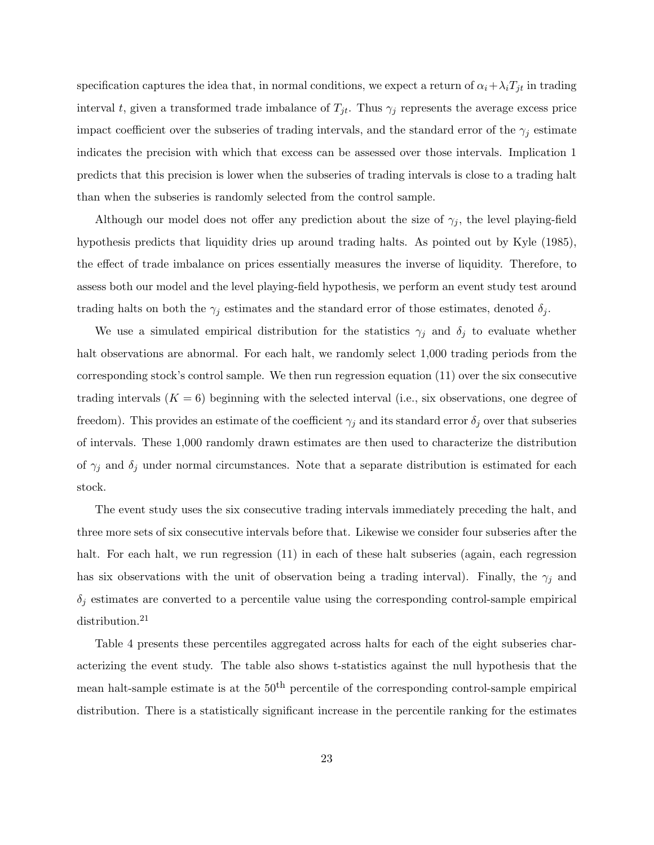specification captures the idea that, in normal conditions, we expect a return of  $\alpha_i + \lambda_i T_{jt}$  in trading interval t, given a transformed trade imbalance of  $T_{jt}$ . Thus  $\gamma_j$  represents the average excess price impact coefficient over the subseries of trading intervals, and the standard error of the  $\gamma_j$  estimate indicates the precision with which that excess can be assessed over those intervals. Implication 1 predicts that this precision is lower when the subseries of trading intervals is close to a trading halt than when the subseries is randomly selected from the control sample.

Although our model does not offer any prediction about the size of  $\gamma_j$ , the level playing-field hypothesis predicts that liquidity dries up around trading halts. As pointed out by Kyle (1985), the effect of trade imbalance on prices essentially measures the inverse of liquidity. Therefore, to assess both our model and the level playing-field hypothesis, we perform an event study test around trading halts on both the  $\gamma_j$  estimates and the standard error of those estimates, denoted  $\delta_j$ .

We use a simulated empirical distribution for the statistics  $\gamma_j$  and  $\delta_j$  to evaluate whether halt observations are abnormal. For each halt, we randomly select 1,000 trading periods from the corresponding stock's control sample. We then run regression equation (11) over the six consecutive trading intervals  $(K = 6)$  beginning with the selected interval (i.e., six observations, one degree of freedom). This provides an estimate of the coefficient  $\gamma_j$  and its standard error  $\delta_j$  over that subseries of intervals. These 1,000 randomly drawn estimates are then used to characterize the distribution of  $\gamma_j$  and  $\delta_j$  under normal circumstances. Note that a separate distribution is estimated for each stock.

The event study uses the six consecutive trading intervals immediately preceding the halt, and three more sets of six consecutive intervals before that. Likewise we consider four subseries after the halt. For each halt, we run regression  $(11)$  in each of these halt subseries (again, each regression has six observations with the unit of observation being a trading interval). Finally, the  $\gamma_j$  and  $\delta_i$  estimates are converted to a percentile value using the corresponding control-sample empirical distribution.<sup>21</sup>

Table 4 presents these percentiles aggregated across halts for each of the eight subseries characterizing the event study. The table also shows t-statistics against the null hypothesis that the mean halt-sample estimate is at the  $50<sup>th</sup>$  percentile of the corresponding control-sample empirical distribution. There is a statistically significant increase in the percentile ranking for the estimates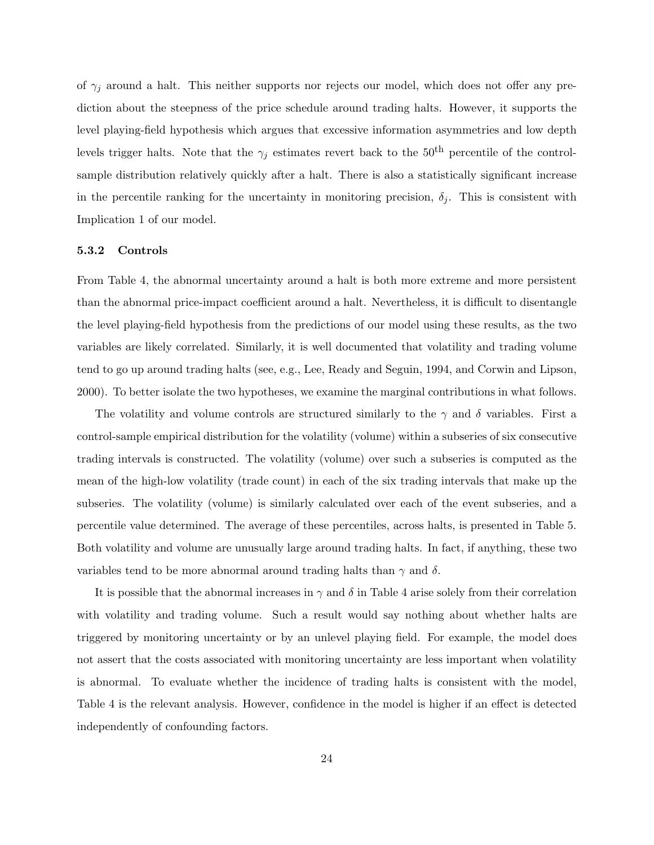of  $\gamma_j$  around a halt. This neither supports nor rejects our model, which does not offer any prediction about the steepness of the price schedule around trading halts. However, it supports the level playing-field hypothesis which argues that excessive information asymmetries and low depth levels trigger halts. Note that the  $\gamma_j$  estimates revert back to the 50<sup>th</sup> percentile of the controlsample distribution relatively quickly after a halt. There is also a statistically significant increase in the percentile ranking for the uncertainty in monitoring precision,  $\delta_i$ . This is consistent with Implication 1 of our model.

#### **5.3.2 Controls**

From Table 4, the abnormal uncertainty around a halt is both more extreme and more persistent than the abnormal price-impact coefficient around a halt. Nevertheless, it is difficult to disentangle the level playing-field hypothesis from the predictions of our model using these results, as the two variables are likely correlated. Similarly, it is well documented that volatility and trading volume tend to go up around trading halts (see, e.g., Lee, Ready and Seguin, 1994, and Corwin and Lipson, 2000). To better isolate the two hypotheses, we examine the marginal contributions in what follows.

The volatility and volume controls are structured similarly to the  $\gamma$  and  $\delta$  variables. First a control-sample empirical distribution for the volatility (volume) within a subseries of six consecutive trading intervals is constructed. The volatility (volume) over such a subseries is computed as the mean of the high-low volatility (trade count) in each of the six trading intervals that make up the subseries. The volatility (volume) is similarly calculated over each of the event subseries, and a percentile value determined. The average of these percentiles, across halts, is presented in Table 5. Both volatility and volume are unusually large around trading halts. In fact, if anything, these two variables tend to be more abnormal around trading halts than  $\gamma$  and  $\delta$ .

It is possible that the abnormal increases in  $\gamma$  and  $\delta$  in Table 4 arise solely from their correlation with volatility and trading volume. Such a result would say nothing about whether halts are triggered by monitoring uncertainty or by an unlevel playing field. For example, the model does not assert that the costs associated with monitoring uncertainty are less important when volatility is abnormal. To evaluate whether the incidence of trading halts is consistent with the model, Table 4 is the relevant analysis. However, confidence in the model is higher if an effect is detected independently of confounding factors.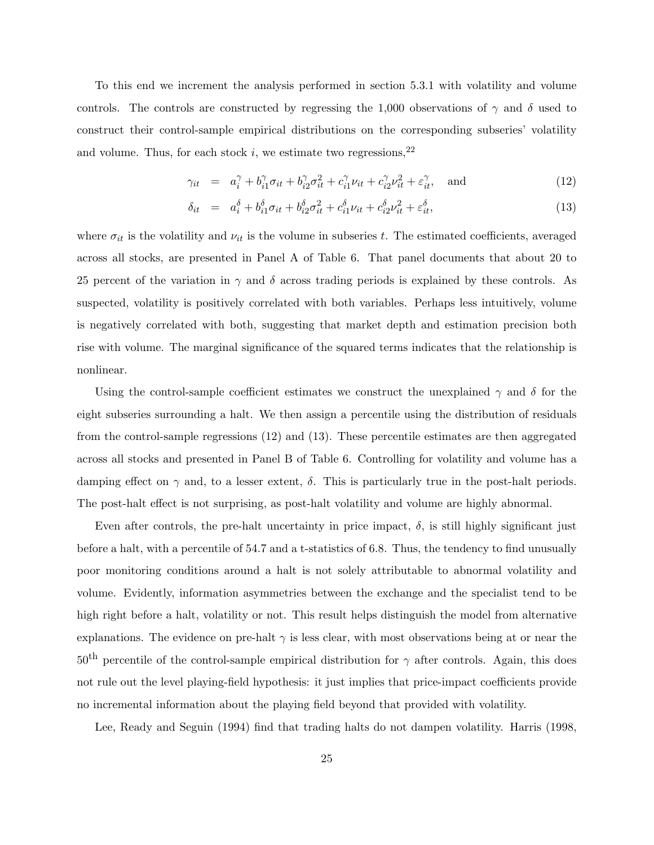To this end we increment the analysis performed in section 5.3.1 with volatility and volume controls. The controls are constructed by regressing the 1,000 observations of  $\gamma$  and  $\delta$  used to construct their control-sample empirical distributions on the corresponding subseries' volatility and volume. Thus, for each stock i, we estimate two regressions,  $2^2$ 

$$
\gamma_{it} = a_i^{\gamma} + b_{i1}^{\gamma} \sigma_{it} + b_{i2}^{\gamma} \sigma_{it}^{2} + c_{i1}^{\gamma} \nu_{it} + c_{i2}^{\gamma} \nu_{it}^{2} + \varepsilon_{it}^{\gamma}, \text{ and} \qquad (12)
$$

$$
\delta_{it} = a_i^{\delta} + b_{i1}^{\delta} \sigma_{it} + b_{i2}^{\delta} \sigma_{it}^{2} + c_{i1}^{\delta} \nu_{it} + c_{i2}^{\delta} \nu_{it}^{2} + \varepsilon_{it}^{\delta}, \tag{13}
$$

where  $\sigma_{it}$  is the volatility and  $\nu_{it}$  is the volume in subseries t. The estimated coefficients, averaged across all stocks, are presented in Panel A of Table 6. That panel documents that about 20 to 25 percent of the variation in  $\gamma$  and  $\delta$  across trading periods is explained by these controls. As suspected, volatility is positively correlated with both variables. Perhaps less intuitively, volume is negatively correlated with both, suggesting that market depth and estimation precision both rise with volume. The marginal significance of the squared terms indicates that the relationship is nonlinear.

Using the control-sample coefficient estimates we construct the unexplained  $\gamma$  and  $\delta$  for the eight subseries surrounding a halt. We then assign a percentile using the distribution of residuals from the control-sample regressions (12) and (13). These percentile estimates are then aggregated across all stocks and presented in Panel B of Table 6. Controlling for volatility and volume has a damping effect on  $\gamma$  and, to a lesser extent,  $\delta$ . This is particularly true in the post-halt periods. The post-halt effect is not surprising, as post-halt volatility and volume are highly abnormal.

Even after controls, the pre-halt uncertainty in price impact,  $\delta$ , is still highly significant just before a halt, with a percentile of 54.7 and a t-statistics of 6.8. Thus, the tendency to find unusually poor monitoring conditions around a halt is not solely attributable to abnormal volatility and volume. Evidently, information asymmetries between the exchange and the specialist tend to be high right before a halt, volatility or not. This result helps distinguish the model from alternative explanations. The evidence on pre-halt  $\gamma$  is less clear, with most observations being at or near the  $50<sup>th</sup>$  percentile of the control-sample empirical distribution for  $\gamma$  after controls. Again, this does not rule out the level playing-field hypothesis: it just implies that price-impact coefficients provide no incremental information about the playing field beyond that provided with volatility.

Lee, Ready and Seguin (1994) find that trading halts do not dampen volatility. Harris (1998,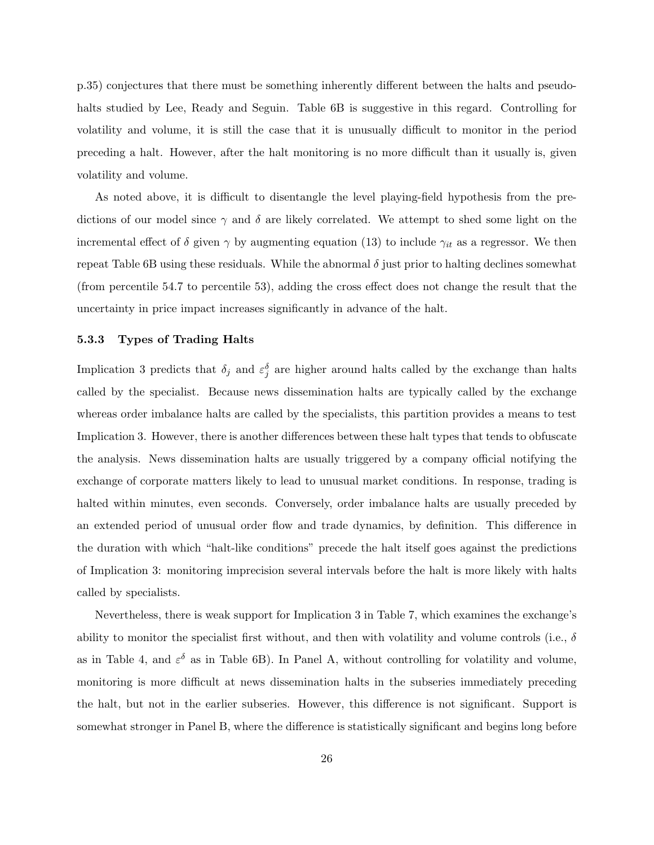p.35) conjectures that there must be something inherently different between the halts and pseudohalts studied by Lee, Ready and Seguin. Table 6B is suggestive in this regard. Controlling for volatility and volume, it is still the case that it is unusually difficult to monitor in the period preceding a halt. However, after the halt monitoring is no more difficult than it usually is, given volatility and volume.

As noted above, it is difficult to disentangle the level playing-field hypothesis from the predictions of our model since  $\gamma$  and  $\delta$  are likely correlated. We attempt to shed some light on the incremental effect of  $\delta$  given  $\gamma$  by augmenting equation (13) to include  $\gamma_{it}$  as a regressor. We then repeat Table 6B using these residuals. While the abnormal  $\delta$  just prior to halting declines somewhat (from percentile 54.7 to percentile 53), adding the cross effect does not change the result that the uncertainty in price impact increases significantly in advance of the halt.

#### **5.3.3 Types of Trading Halts**

Implication 3 predicts that  $\delta_j$  and  $\varepsilon_j^{\delta}$  are higher around halts called by the exchange than halts called by the specialist. Because news dissemination halts are typically called by the exchange whereas order imbalance halts are called by the specialists, this partition provides a means to test Implication 3. However, there is another differences between these halt types that tends to obfuscate the analysis. News dissemination halts are usually triggered by a company official notifying the exchange of corporate matters likely to lead to unusual market conditions. In response, trading is halted within minutes, even seconds. Conversely, order imbalance halts are usually preceded by an extended period of unusual order flow and trade dynamics, by definition. This difference in the duration with which "halt-like conditions" precede the halt itself goes against the predictions of Implication 3: monitoring imprecision several intervals before the halt is more likely with halts called by specialists.

Nevertheless, there is weak support for Implication 3 in Table 7, which examines the exchange's ability to monitor the specialist first without, and then with volatility and volume controls (i.e.,  $\delta$ as in Table 4, and  $\varepsilon^{\delta}$  as in Table 6B). In Panel A, without controlling for volatility and volume, monitoring is more difficult at news dissemination halts in the subseries immediately preceding the halt, but not in the earlier subseries. However, this difference is not significant. Support is somewhat stronger in Panel B, where the difference is statistically significant and begins long before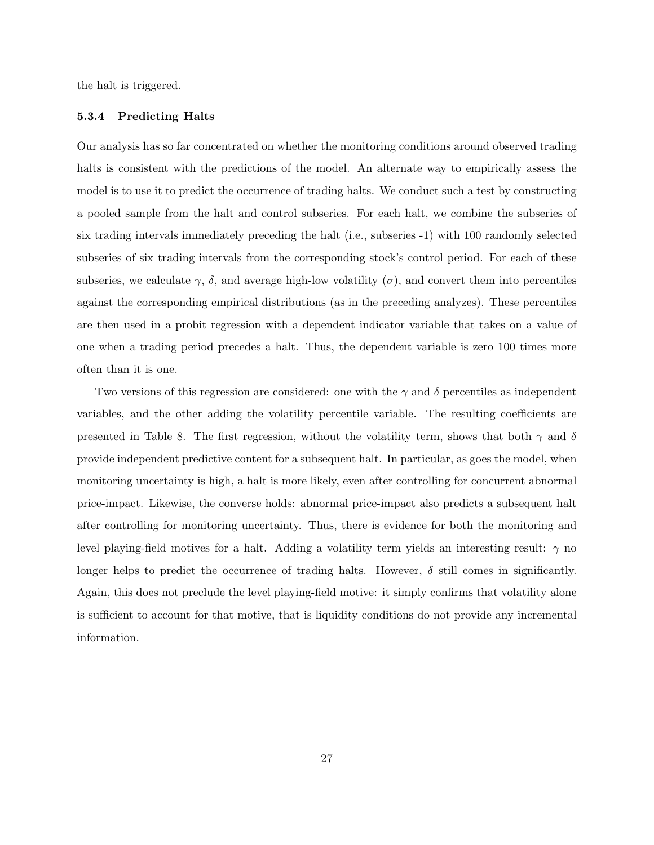the halt is triggered.

### **5.3.4 Predicting Halts**

Our analysis has so far concentrated on whether the monitoring conditions around observed trading halts is consistent with the predictions of the model. An alternate way to empirically assess the model is to use it to predict the occurrence of trading halts. We conduct such a test by constructing a pooled sample from the halt and control subseries. For each halt, we combine the subseries of six trading intervals immediately preceding the halt (i.e., subseries -1) with 100 randomly selected subseries of six trading intervals from the corresponding stock's control period. For each of these subseries, we calculate  $\gamma$ ,  $\delta$ , and average high-low volatility  $(\sigma)$ , and convert them into percentiles against the corresponding empirical distributions (as in the preceding analyzes). These percentiles are then used in a probit regression with a dependent indicator variable that takes on a value of one when a trading period precedes a halt. Thus, the dependent variable is zero 100 times more often than it is one.

Two versions of this regression are considered: one with the  $\gamma$  and  $\delta$  percentiles as independent variables, and the other adding the volatility percentile variable. The resulting coefficients are presented in Table 8. The first regression, without the volatility term, shows that both  $\gamma$  and  $\delta$ provide independent predictive content for a subsequent halt. In particular, as goes the model, when monitoring uncertainty is high, a halt is more likely, even after controlling for concurrent abnormal price-impact. Likewise, the converse holds: abnormal price-impact also predicts a subsequent halt after controlling for monitoring uncertainty. Thus, there is evidence for both the monitoring and level playing-field motives for a halt. Adding a volatility term yields an interesting result:  $\gamma$  no longer helps to predict the occurrence of trading halts. However,  $\delta$  still comes in significantly. Again, this does not preclude the level playing-field motive: it simply confirms that volatility alone is sufficient to account for that motive, that is liquidity conditions do not provide any incremental information.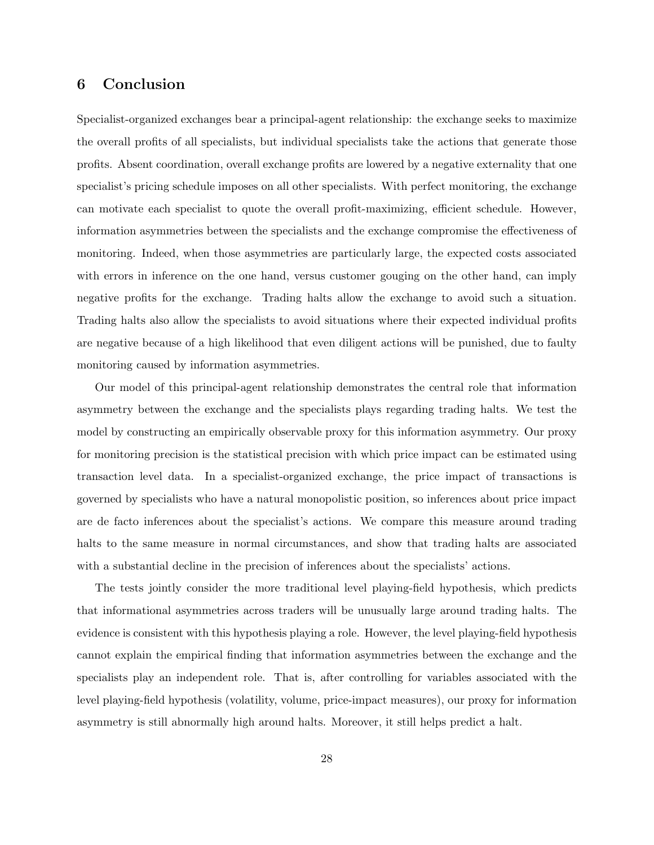### **6 Conclusion**

Specialist-organized exchanges bear a principal-agent relationship: the exchange seeks to maximize the overall profits of all specialists, but individual specialists take the actions that generate those profits. Absent coordination, overall exchange profits are lowered by a negative externality that one specialist's pricing schedule imposes on all other specialists. With perfect monitoring, the exchange can motivate each specialist to quote the overall profit-maximizing, efficient schedule. However, information asymmetries between the specialists and the exchange compromise the effectiveness of monitoring. Indeed, when those asymmetries are particularly large, the expected costs associated with errors in inference on the one hand, versus customer gouging on the other hand, can imply negative profits for the exchange. Trading halts allow the exchange to avoid such a situation. Trading halts also allow the specialists to avoid situations where their expected individual profits are negative because of a high likelihood that even diligent actions will be punished, due to faulty monitoring caused by information asymmetries.

Our model of this principal-agent relationship demonstrates the central role that information asymmetry between the exchange and the specialists plays regarding trading halts. We test the model by constructing an empirically observable proxy for this information asymmetry. Our proxy for monitoring precision is the statistical precision with which price impact can be estimated using transaction level data. In a specialist-organized exchange, the price impact of transactions is governed by specialists who have a natural monopolistic position, so inferences about price impact are de facto inferences about the specialist's actions. We compare this measure around trading halts to the same measure in normal circumstances, and show that trading halts are associated with a substantial decline in the precision of inferences about the specialists' actions.

The tests jointly consider the more traditional level playing-field hypothesis, which predicts that informational asymmetries across traders will be unusually large around trading halts. The evidence is consistent with this hypothesis playing a role. However, the level playing-field hypothesis cannot explain the empirical finding that information asymmetries between the exchange and the specialists play an independent role. That is, after controlling for variables associated with the level playing-field hypothesis (volatility, volume, price-impact measures), our proxy for information asymmetry is still abnormally high around halts. Moreover, it still helps predict a halt.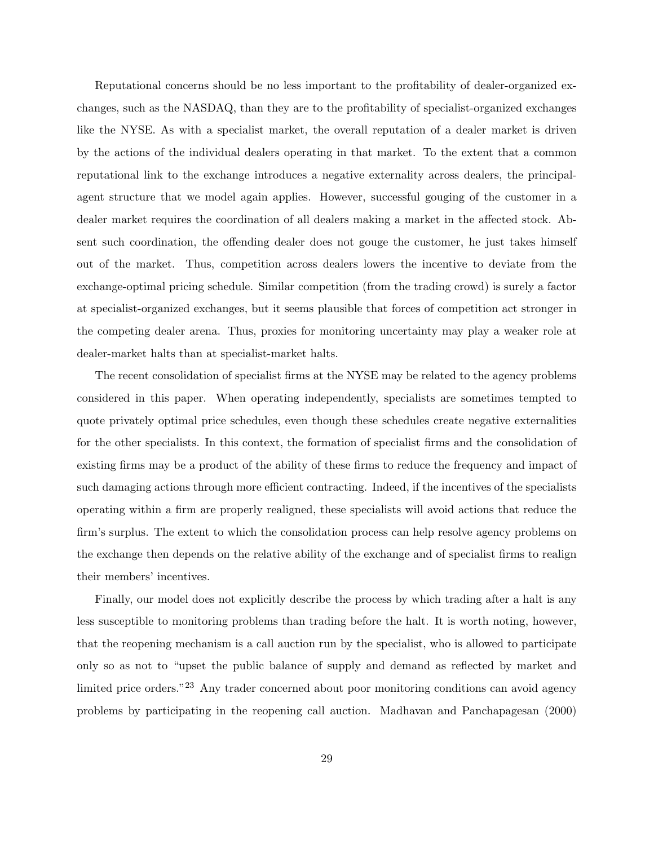Reputational concerns should be no less important to the profitability of dealer-organized exchanges, such as the NASDAQ, than they are to the profitability of specialist-organized exchanges like the NYSE. As with a specialist market, the overall reputation of a dealer market is driven by the actions of the individual dealers operating in that market. To the extent that a common reputational link to the exchange introduces a negative externality across dealers, the principalagent structure that we model again applies. However, successful gouging of the customer in a dealer market requires the coordination of all dealers making a market in the affected stock. Absent such coordination, the offending dealer does not gouge the customer, he just takes himself out of the market. Thus, competition across dealers lowers the incentive to deviate from the exchange-optimal pricing schedule. Similar competition (from the trading crowd) is surely a factor at specialist-organized exchanges, but it seems plausible that forces of competition act stronger in the competing dealer arena. Thus, proxies for monitoring uncertainty may play a weaker role at dealer-market halts than at specialist-market halts.

The recent consolidation of specialist firms at the NYSE may be related to the agency problems considered in this paper. When operating independently, specialists are sometimes tempted to quote privately optimal price schedules, even though these schedules create negative externalities for the other specialists. In this context, the formation of specialist firms and the consolidation of existing firms may be a product of the ability of these firms to reduce the frequency and impact of such damaging actions through more efficient contracting. Indeed, if the incentives of the specialists operating within a firm are properly realigned, these specialists will avoid actions that reduce the firm's surplus. The extent to which the consolidation process can help resolve agency problems on the exchange then depends on the relative ability of the exchange and of specialist firms to realign their members' incentives.

Finally, our model does not explicitly describe the process by which trading after a halt is any less susceptible to monitoring problems than trading before the halt. It is worth noting, however, that the reopening mechanism is a call auction run by the specialist, who is allowed to participate only so as not to "upset the public balance of supply and demand as reflected by market and limited price orders.<sup>"23</sup> Any trader concerned about poor monitoring conditions can avoid agency problems by participating in the reopening call auction. Madhavan and Panchapagesan (2000)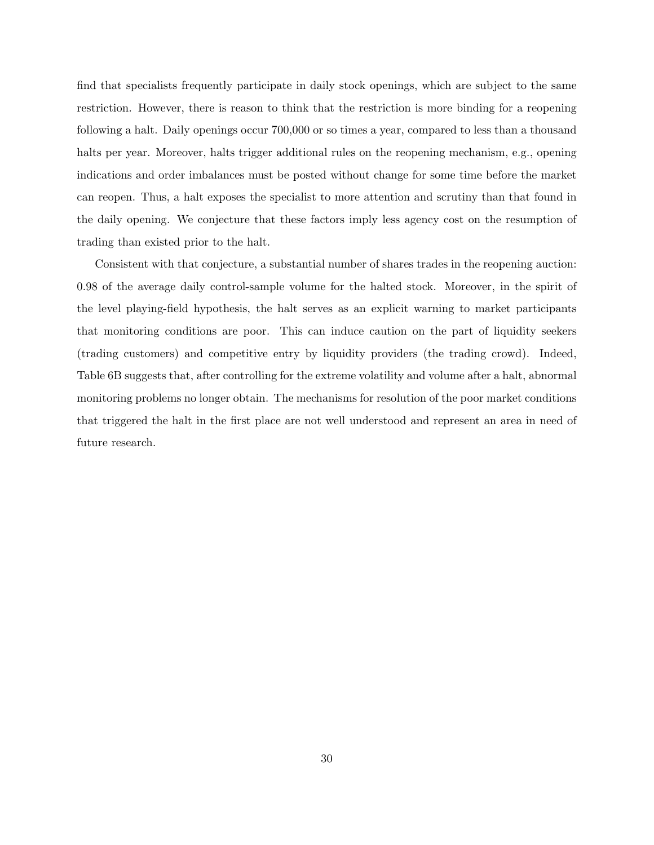find that specialists frequently participate in daily stock openings, which are subject to the same restriction. However, there is reason to think that the restriction is more binding for a reopening following a halt. Daily openings occur 700,000 or so times a year, compared to less than a thousand halts per year. Moreover, halts trigger additional rules on the reopening mechanism, e.g., opening indications and order imbalances must be posted without change for some time before the market can reopen. Thus, a halt exposes the specialist to more attention and scrutiny than that found in the daily opening. We conjecture that these factors imply less agency cost on the resumption of trading than existed prior to the halt.

Consistent with that conjecture, a substantial number of shares trades in the reopening auction: 0.98 of the average daily control-sample volume for the halted stock. Moreover, in the spirit of the level playing-field hypothesis, the halt serves as an explicit warning to market participants that monitoring conditions are poor. This can induce caution on the part of liquidity seekers (trading customers) and competitive entry by liquidity providers (the trading crowd). Indeed, Table 6B suggests that, after controlling for the extreme volatility and volume after a halt, abnormal monitoring problems no longer obtain. The mechanisms for resolution of the poor market conditions that triggered the halt in the first place are not well understood and represent an area in need of future research.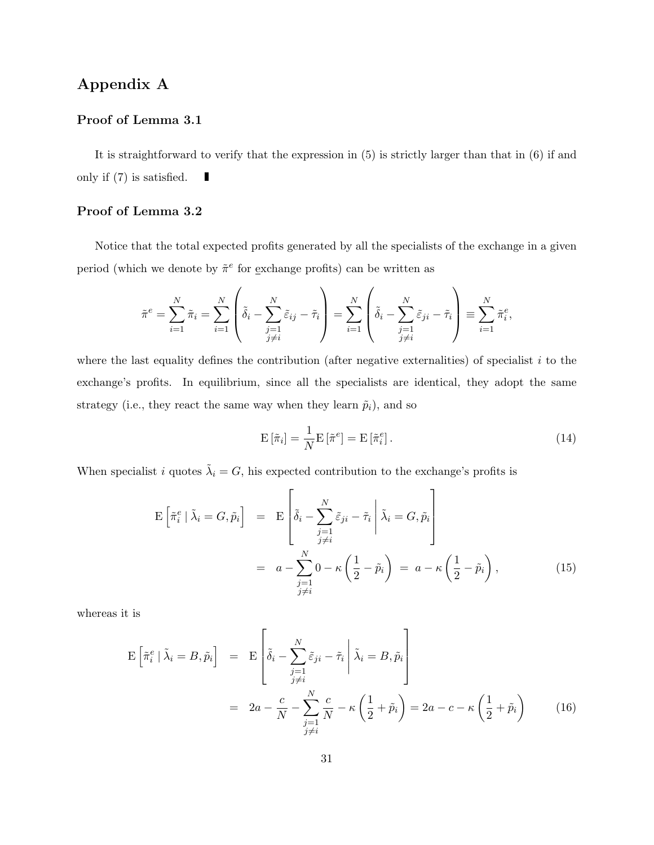## **Appendix A**

### **Proof of Lemma 3.1**

It is straightforward to verify that the expression in (5) is strictly larger than that in (6) if and only if (7) is satisfied. П

### **Proof of Lemma 3.2**

Notice that the total expected profits generated by all the specialists of the exchange in a given period (which we denote by  $\tilde{\pi}^e$  for exchange profits) can be written as

$$
\tilde{\pi}^e = \sum_{i=1}^N \tilde{\pi}_i = \sum_{i=1}^N \left( \tilde{\delta}_i - \sum_{\substack{j=1 \ j \neq i}}^N \tilde{\varepsilon}_{ij} - \tilde{\tau}_i \right) = \sum_{i=1}^N \left( \tilde{\delta}_i - \sum_{\substack{j=1 \ j \neq i}}^N \tilde{\varepsilon}_{ji} - \tilde{\tau}_i \right) \equiv \sum_{i=1}^N \tilde{\pi}_i^e,
$$

where the last equality defines the contribution (after negative externalities) of specialist  $i$  to the exchange's profits. In equilibrium, since all the specialists are identical, they adopt the same strategy (i.e., they react the same way when they learn  $\tilde{p}_i$ ), and so

$$
E\left[\tilde{\pi}_i\right] = \frac{1}{N}E\left[\tilde{\pi}^e\right] = E\left[\tilde{\pi}_i^e\right].\tag{14}
$$

When specialist i quotes  $\tilde{\lambda}_i = G$ , his expected contribution to the exchange's profits is

$$
\mathbf{E}\left[\tilde{\pi}_i^e \mid \tilde{\lambda}_i = G, \tilde{p}_i\right] = \mathbf{E}\left[\tilde{\delta}_i - \sum_{\substack{j=1 \ j \neq i}}^N \tilde{\varepsilon}_{ji} - \tilde{\tau}_i \mid \tilde{\lambda}_i = G, \tilde{p}_i\right]
$$

$$
= a - \sum_{\substack{j=1 \ j \neq i}}^N 0 - \kappa \left(\frac{1}{2} - \tilde{p}_i\right) = a - \kappa \left(\frac{1}{2} - \tilde{p}_i\right),\tag{15}
$$

whereas it is

$$
\mathbf{E}\left[\tilde{\pi}_i^e \mid \tilde{\lambda}_i = B, \tilde{p}_i\right] = \mathbf{E}\left[\tilde{\delta}_i - \sum_{\substack{j=1 \ j \neq i}}^N \tilde{\varepsilon}_{ji} - \tilde{\tau}_i \mid \tilde{\lambda}_i = B, \tilde{p}_i\right]
$$

$$
= 2a - \frac{c}{N} - \sum_{\substack{j=1 \ j \neq i}}^N \frac{c}{N} - \kappa \left(\frac{1}{2} + \tilde{p}_i\right) = 2a - c - \kappa \left(\frac{1}{2} + \tilde{p}_i\right) \tag{16}
$$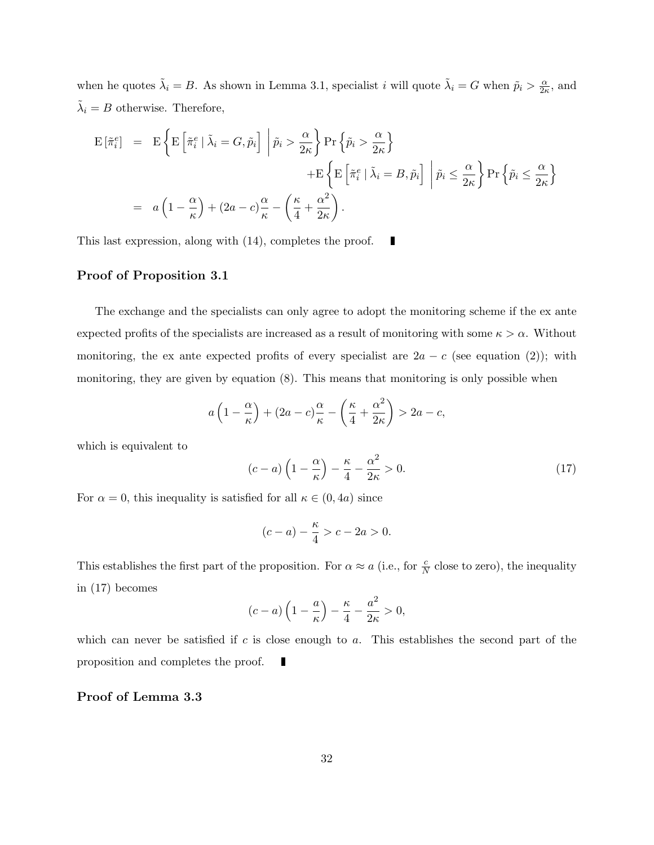when he quotes  $\tilde{\lambda}_i = B$ . As shown in Lemma 3.1, specialist i will quote  $\tilde{\lambda}_i = G$  when  $\tilde{p}_i > \frac{\alpha}{2\kappa}$ , and  $\tilde{\lambda}_i = B$  otherwise. Therefore,

$$
E\left[\tilde{\pi}_i^e\right] = E\left\{E\left[\tilde{\pi}_i^e \mid \tilde{\lambda}_i = G, \tilde{p}_i\right] \middle| \tilde{p}_i > \frac{\alpha}{2\kappa}\right\} Pr\left\{\tilde{p}_i > \frac{\alpha}{2\kappa}\right\} \\
+ E\left\{E\left[\tilde{\pi}_i^e \mid \tilde{\lambda}_i = B, \tilde{p}_i\right] \middle| \tilde{p}_i \leq \frac{\alpha}{2\kappa}\right\} Pr\left\{\tilde{p}_i \leq \frac{\alpha}{2\kappa}\right\} \\
= a\left(1 - \frac{\alpha}{\kappa}\right) + (2a - c)\frac{\alpha}{\kappa} - \left(\frac{\kappa}{4} + \frac{\alpha^2}{2\kappa}\right).
$$

This last expression, along with (14), completes the proof.

### **Proof of Proposition 3.1**

The exchange and the specialists can only agree to adopt the monitoring scheme if the ex ante expected profits of the specialists are increased as a result of monitoring with some  $\kappa > \alpha$ . Without monitoring, the ex ante expected profits of every specialist are  $2a - c$  (see equation (2)); with monitoring, they are given by equation (8). This means that monitoring is only possible when

$$
a\left(1-\frac{\alpha}{\kappa}\right)+(2a-c)\frac{\alpha}{\kappa}-\left(\frac{\kappa}{4}+\frac{\alpha^2}{2\kappa}\right)>2a-c,
$$

which is equivalent to

$$
(c-a)\left(1-\frac{\alpha}{\kappa}\right)-\frac{\kappa}{4}-\frac{\alpha^2}{2\kappa}>0.\tag{17}
$$

П

For  $\alpha = 0$ , this inequality is satisfied for all  $\kappa \in (0, 4a)$  since

$$
(c-a) - \frac{\kappa}{4} > c - 2a > 0.
$$

This establishes the first part of the proposition. For  $\alpha \approx a$  (i.e., for  $\frac{c}{N}$  close to zero), the inequality in (17) becomes

$$
(c-a)\left(1-\frac{a}{\kappa}\right)-\frac{\kappa}{4}-\frac{a^2}{2\kappa}>0,
$$

which can never be satisfied if c is close enough to a. This establishes the second part of the proposition and completes the proof. I

#### **Proof of Lemma 3.3**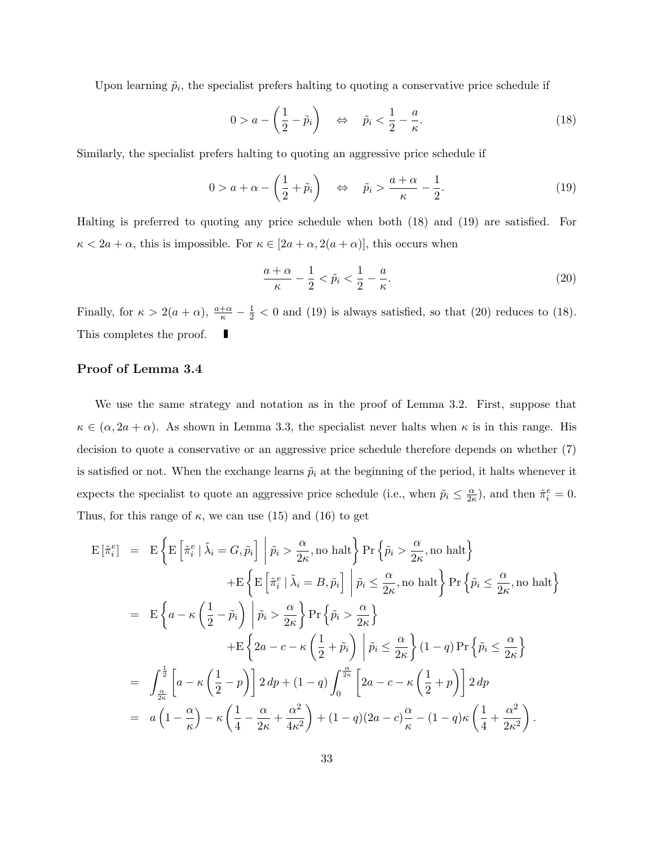Upon learning  $\tilde{p}_i$ , the specialist prefers halting to quoting a conservative price schedule if

$$
0 > a - \left(\frac{1}{2} - \tilde{p}_i\right) \quad \Leftrightarrow \quad \tilde{p}_i < \frac{1}{2} - \frac{a}{\kappa}.\tag{18}
$$

Similarly, the specialist prefers halting to quoting an aggressive price schedule if

$$
0 > a + \alpha - \left(\frac{1}{2} + \tilde{p}_i\right) \quad \Leftrightarrow \quad \tilde{p}_i > \frac{a + \alpha}{\kappa} - \frac{1}{2}.\tag{19}
$$

Halting is preferred to quoting any price schedule when both (18) and (19) are satisfied. For  $\kappa < 2a + \alpha$ , this is impossible. For  $\kappa \in [2a + \alpha, 2(a + \alpha)]$ , this occurs when

$$
\frac{a+\alpha}{\kappa} - \frac{1}{2} < \tilde{p}_i < \frac{1}{2} - \frac{a}{\kappa}.\tag{20}
$$

Finally, for  $\kappa > 2(a+\alpha)$ ,  $\frac{a+\alpha}{\kappa} - \frac{1}{2} < 0$  and (19) is always satisfied, so that (20) reduces to (18). This completes the proof.

### **Proof of Lemma 3.4**

We use the same strategy and notation as in the proof of Lemma 3.2. First, suppose that  $\kappa \in (\alpha, 2a + \alpha)$ . As shown in Lemma 3.3, the specialist never halts when  $\kappa$  is in this range. His decision to quote a conservative or an aggressive price schedule therefore depends on whether (7) is satisfied or not. When the exchange learns  $\tilde{p}_i$  at the beginning of the period, it halts whenever it expects the specialist to quote an aggressive price schedule (i.e., when  $\tilde{p}_i \leq \frac{\alpha}{2\kappa}$ ), and then  $\tilde{\pi}_i^e = 0$ . Thus, for this range of  $\kappa$ , we can use (15) and (16) to get

$$
\begin{split}\n\mathbf{E}\left[\tilde{\pi}_{i}^{e}\right] &= \mathbf{E}\left\{\mathbf{E}\left[\tilde{\pi}_{i}^{e}\mid\tilde{\lambda}_{i}=G,\tilde{p}_{i}\right]\,\bigg|\,\tilde{p}_{i} > \frac{\alpha}{2\kappa},\text{no halt}\right\}\Pr\left\{\tilde{p}_{i} > \frac{\alpha}{2\kappa},\text{no halt}\right\} \\
&\quad + \mathbf{E}\left\{\mathbf{E}\left[\tilde{\pi}_{i}^{e}\mid\tilde{\lambda}_{i}=B,\tilde{p}_{i}\right]\,\bigg|\,\tilde{p}_{i} \leq \frac{\alpha}{2\kappa},\text{no halt}\right\}\Pr\left\{\tilde{p}_{i} \leq \frac{\alpha}{2\kappa},\text{no halt}\right\} \\
&= \mathbf{E}\left\{a - \kappa\left(\frac{1}{2} - \tilde{p}_{i}\right)\,\bigg|\,\tilde{p}_{i} > \frac{\alpha}{2\kappa}\right\}\Pr\left\{\tilde{p}_{i} > \frac{\alpha}{2\kappa}\right\} \\
&\quad + \mathbf{E}\left\{2a - c - \kappa\left(\frac{1}{2} + \tilde{p}_{i}\right)\,\bigg|\,\tilde{p}_{i} \leq \frac{\alpha}{2\kappa}\right\}\left(1 - q\right)\Pr\left\{\tilde{p}_{i} \leq \frac{\alpha}{2\kappa}\right\} \\
&= \int_{\frac{\alpha}{2\kappa}}^{\frac{1}{2}}\left[a - \kappa\left(\frac{1}{2} - p\right)\right]2\,dp + (1 - q)\int_{0}^{\frac{\alpha}{2\kappa}}\left[2a - c - \kappa\left(\frac{1}{2} + p\right)\right]2\,dp \\
&= a\left(1 - \frac{\alpha}{\kappa}\right) - \kappa\left(\frac{1}{4} - \frac{\alpha}{2\kappa} + \frac{\alpha^{2}}{4\kappa^{2}}\right) + (1 - q)(2a - c)\frac{\alpha}{\kappa} - (1 - q)\kappa\left(\frac{1}{4} + \frac{\alpha^{2}}{2\kappa^{2}}\right).\n\end{split}
$$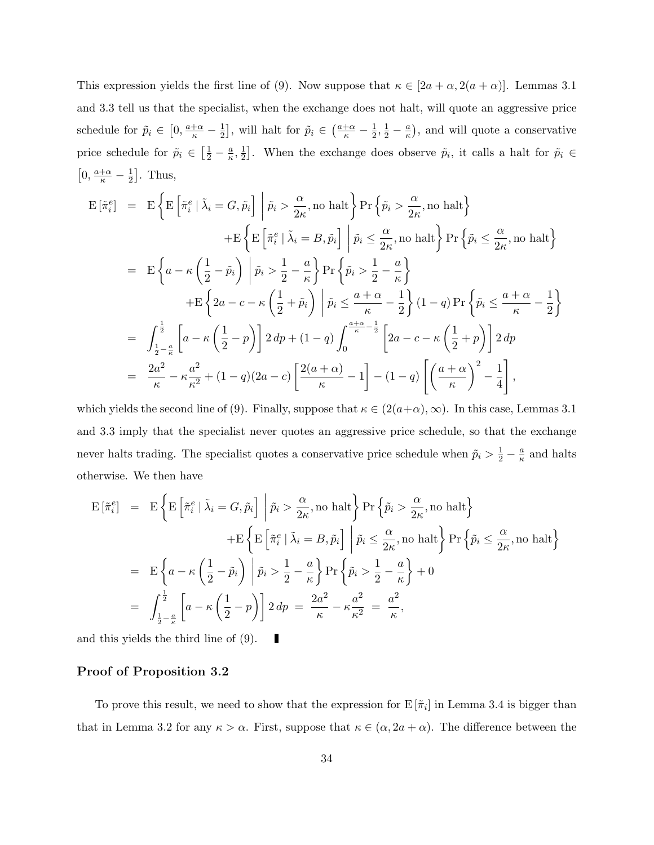This expression yields the first line of (9). Now suppose that  $\kappa \in [2a + \alpha, 2(a + \alpha)]$ . Lemmas 3.1 and 3.3 tell us that the specialist, when the exchange does not halt, will quote an aggressive price schedule for  $\tilde{p}_i \in \left[0, \frac{a+\alpha}{\kappa} - \frac{1}{2}\right]$ , will halt for  $\tilde{p}_i \in \left(\frac{a+\alpha}{\kappa} - \frac{1}{2}, \frac{1}{2} - \frac{a}{\kappa}\right)$ , and will quote a conservative price schedule for  $\tilde{p}_i \in \left[\frac{1}{2} - \frac{a}{\kappa}, \frac{1}{2}\right]$ . When the exchange does observe  $\tilde{p}_i$ , it calls a halt for  $\tilde{p}_i \in$  $\left[0, \frac{a+\alpha}{\kappa} - \frac{1}{2}\right]$ . Thus,

$$
\begin{split}\n\mathbf{E}\left[\tilde{\pi}_{i}^{e}\right] &= \mathbf{E}\left\{\mathbf{E}\left[\tilde{\pi}_{i}^{e}\mid\tilde{\lambda}_{i}=G,\tilde{p}_{i}\right]\,\,\bigg|\,\,\tilde{p}_{i} > \frac{\alpha}{2\kappa},\text{no halt}\right\}\,\text{Pr}\left\{\tilde{p}_{i} > \frac{\alpha}{2\kappa},\text{no halt}\right\} \\
&\quad + \mathbf{E}\left\{\mathbf{E}\left[\tilde{\pi}_{i}^{e}\mid\tilde{\lambda}_{i}=B,\tilde{p}_{i}\right]\,\,\bigg|\,\,\tilde{p}_{i} \leq \frac{\alpha}{2\kappa},\text{no halt}\right\}\,\text{Pr}\left\{\tilde{p}_{i} \leq \frac{\alpha}{2\kappa},\text{no halt}\right\} \\
&= \mathbf{E}\left\{a - \kappa\left(\frac{1}{2} - \tilde{p}_{i}\right)\,\,\bigg|\,\tilde{p}_{i} > \frac{1}{2} - \frac{a}{\kappa}\right\}\,\text{Pr}\left\{\tilde{p}_{i} > \frac{1}{2} - \frac{a}{\kappa}\right\} \\
&\quad + \mathbf{E}\left\{2a - c - \kappa\left(\frac{1}{2} + \tilde{p}_{i}\right)\,\,\bigg|\,\tilde{p}_{i} \leq \frac{a + \alpha}{\kappa} - \frac{1}{2}\right\}\,\text{(1 - q)\,Pr}\left\{\tilde{p}_{i} \leq \frac{a + \alpha}{\kappa} - \frac{1}{2}\right\} \\
&= \int_{\frac{1}{2} - \frac{a}{\kappa}}^{\frac{1}{2}}\left[a - \kappa\left(\frac{1}{2} - p\right)\right]2\,dp + \text{(1 - q)\,}\int_{0}^{\frac{a + \alpha}{\kappa} - \frac{1}{2}}\left[2a - c - \kappa\left(\frac{1}{2} + p\right)\right]2\,dp \\
&= \frac{2a^{2}}{\kappa} - \kappa\frac{a^{2}}{\kappa^{2}} + \text{(1 - q)(2a - c)\,\left[\frac{2(a + \alpha)}{\kappa} - 1\right] - \text{(1 - q)\,}\left[\left(\frac{a + \alpha}{\kappa}\right)^{2} - \frac{1}{4}\right],\n\end{split}
$$

which yields the second line of (9). Finally, suppose that  $\kappa \in (2(a+\alpha), \infty)$ . In this case, Lemmas 3.1 and 3.3 imply that the specialist never quotes an aggressive price schedule, so that the exchange never halts trading. The specialist quotes a conservative price schedule when  $\tilde{p}_i > \frac{1}{2} - \frac{a}{\kappa}$  and halts otherwise. We then have

$$
\begin{split} \mathbf{E}\left[\tilde{\pi}_{i}^{e}\right] &= \mathbf{E}\left\{\mathbf{E}\left[\tilde{\pi}_{i}^{e}\mid\tilde{\lambda}_{i}=G,\tilde{p}_{i}\right]\,\bigg|\,\tilde{p}_{i} > \frac{\alpha}{2\kappa},\text{no halt}\right\} \mathbf{Pr}\left\{\tilde{p}_{i} > \frac{\alpha}{2\kappa},\text{no halt}\right\} \\ &+ \mathbf{E}\left\{\mathbf{E}\left[\tilde{\pi}_{i}^{e}\mid\tilde{\lambda}_{i}=B,\tilde{p}_{i}\right]\,\bigg|\,\tilde{p}_{i} \leq \frac{\alpha}{2\kappa},\text{no halt}\right\} \mathbf{Pr}\left\{\tilde{p}_{i} \leq \frac{\alpha}{2\kappa},\text{no halt}\right\} \\ &= \mathbf{E}\left\{a - \kappa\left(\frac{1}{2} - \tilde{p}_{i}\right)\,\bigg|\,\tilde{p}_{i} > \frac{1}{2} - \frac{a}{\kappa}\right\} \mathbf{Pr}\left\{\tilde{p}_{i} > \frac{1}{2} - \frac{a}{\kappa}\right\} + 0 \\ &= \int_{\frac{1}{2} - \frac{a}{\kappa}}^{\frac{1}{2}} \left[a - \kappa\left(\frac{1}{2} - p\right)\right] 2 \, dp = \frac{2a^{2}}{\kappa} - \kappa\frac{a^{2}}{\kappa^{2}} = \frac{a^{2}}{\kappa}, \end{split}
$$

I

and this yields the third line of (9).

### **Proof of Proposition 3.2**

To prove this result, we need to show that the expression for  $E[\tilde{\pi}_i]$  in Lemma 3.4 is bigger than that in Lemma 3.2 for any  $\kappa > \alpha$ . First, suppose that  $\kappa \in (\alpha, 2a + \alpha)$ . The difference between the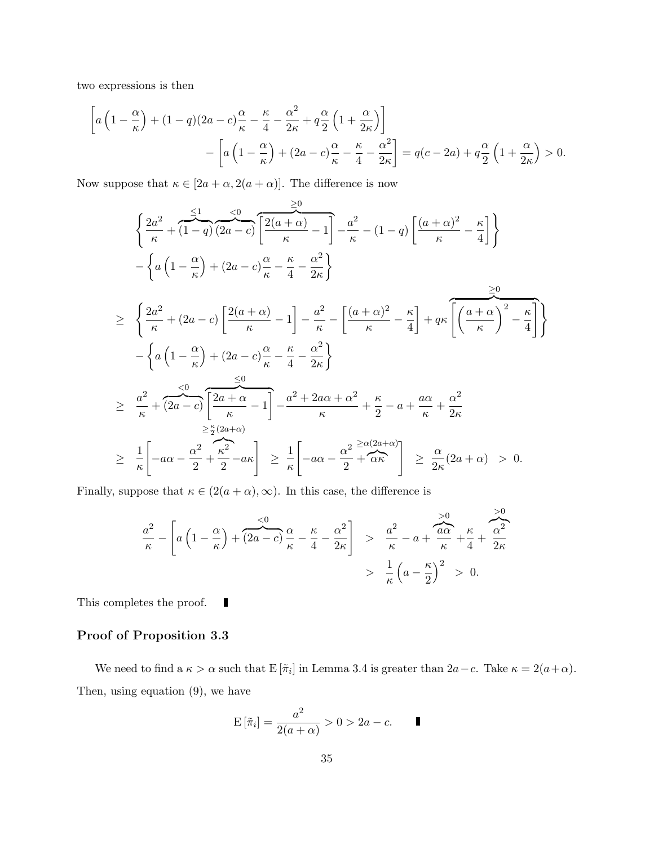two expressions is then

$$
\left[a\left(1-\frac{\alpha}{\kappa}\right)+(1-q)(2a-c)\frac{\alpha}{\kappa}-\frac{\kappa}{4}-\frac{\alpha^2}{2\kappa}+q\frac{\alpha}{2}\left(1+\frac{\alpha}{2\kappa}\right)\right]
$$

$$
-\left[a\left(1-\frac{\alpha}{\kappa}\right)+(2a-c)\frac{\alpha}{\kappa}-\frac{\kappa}{4}-\frac{\alpha^2}{2\kappa}\right]=q(c-2a)+q\frac{\alpha}{2}\left(1+\frac{\alpha}{2\kappa}\right)>0.
$$

Now suppose that  $\kappa \in [2a+\alpha,2(a+\alpha)].$  The difference is now

$$
\begin{aligned}\n&\left\{\frac{2a^2}{\kappa} + \overbrace{(1-q)}\overbrace{(2a-c)}\left[\frac{2(a+\alpha)}{\kappa} - 1\right] - \frac{a^2}{\kappa} - (1-q)\left[\frac{(a+\alpha)^2}{\kappa} - \frac{\kappa}{4}\right]\right\} \\
&- \left\{a\left(1-\frac{\alpha}{\kappa}\right) + (2a-c)\frac{\alpha}{\kappa} - \frac{\kappa}{4} - \frac{\alpha^2}{2\kappa}\right\} \\
&\geq \left\{\frac{2a^2}{\kappa} + (2a-c)\left[\frac{2(a+\alpha)}{\kappa} - 1\right] - \frac{a^2}{\kappa} - \left[\frac{(a+\alpha)^2}{\kappa} - \frac{\kappa}{4}\right] + q\kappa\left[\left(\frac{a+\alpha}{\kappa}\right)^2 - \frac{\kappa}{4}\right] - \left\{a\left(1-\frac{\alpha}{\kappa}\right) + (2a-c)\frac{\alpha}{\kappa} - \frac{\kappa}{4} - \frac{\alpha^2}{2\kappa}\right\} \\
&\geq \frac{a^2}{\kappa} + \overbrace{(2a-c)}\left[\frac{2a+\alpha}{\kappa} - 1\right] - \frac{a^2 + 2a\alpha + \alpha^2}{\kappa} + \frac{\kappa}{2} - a + \frac{a\alpha}{\kappa} + \frac{\alpha^2}{2\kappa} \\
&\geq \frac{a^2}{\kappa}\left[-a\alpha - \frac{\alpha^2}{2} + \frac{\kappa^2}{2} - a\kappa\right] \\
&\geq \frac{1}{\kappa}\left[-a\alpha - \frac{\alpha^2}{2} + \frac{\kappa^2}{2} - a\kappa\right] \\
&\geq \frac{1}{\kappa}\left[-a\alpha - \frac{\alpha^2}{2} + \frac{\kappa^2}{2\kappa} - a\kappa\right] \\
&\geq \frac{a}{2\kappa}(2a+\alpha) > 0.\n\end{aligned}
$$

Finally, suppose that  $\kappa \in (2(a + \alpha), \infty)$ . In this case, the difference is

$$
\frac{a^2}{\kappa} - \left[ a\left(1 - \frac{\alpha}{\kappa}\right) + \overbrace{(2a-c)}^{\leq 0} \frac{\alpha}{\kappa} - \frac{\kappa}{4} - \frac{\alpha^2}{2\kappa} \right] > \frac{a^2}{\kappa} - a + \overbrace{\frac{a\alpha}{\kappa}}^{\geq 0} + \frac{\kappa}{4} + \frac{\alpha^2}{2\kappa} > \frac{1}{\kappa} \left( a - \frac{\kappa}{2} \right)^2 > 0.
$$

This completes the proof. П

### **Proof of Proposition 3.3**

We need to find a  $\kappa > \alpha$  such that E  $[\tilde{\pi}_i]$  in Lemma 3.4 is greater than  $2a - c$ . Take  $\kappa = 2(a + \alpha)$ . Then, using equation (9), we have

$$
\mathrm{E}\left[\tilde{\pi}_i\right] = \frac{a^2}{2(a+\alpha)} > 0 > 2a - c. \quad \blacksquare
$$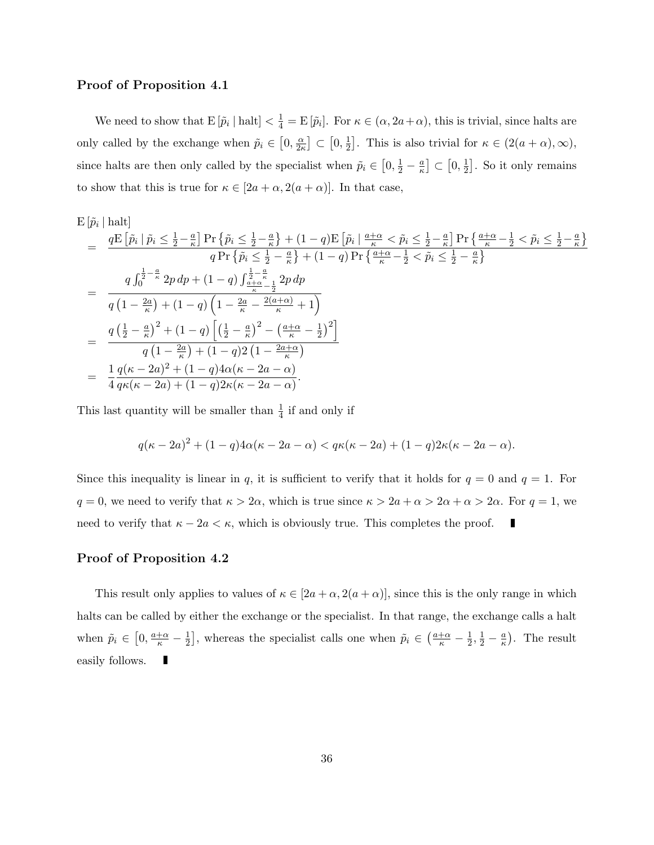### **Proof of Proposition 4.1**

We need to show that  $E[\tilde{p}_i | \text{halt}] < \frac{1}{4} = E[\tilde{p}_i]$ . For  $\kappa \in (\alpha, 2a + \alpha)$ , this is trivial, since halts are only called by the exchange when  $\tilde{p}_i \in [0, \frac{\alpha}{2k}] \subset [0, \frac{1}{2}]$ . This is also trivial for  $\kappa \in (2(a + \alpha), \infty)$ , since halts are then only called by the specialist when  $\tilde{p}_i \in \left[0, \frac{1}{2} - \frac{a}{\kappa}\right] \subset \left[0, \frac{1}{2}\right]$ . So it only remains to show that this is true for  $\kappa \in [2a + \alpha, 2(a + \alpha)]$ . In that case,

$$
E[\tilde{p}_i | \text{halt}]
$$
\n
$$
= \frac{qE[\tilde{p}_i | \tilde{p}_i \leq \frac{1}{2} - \frac{a}{\kappa}] \Pr \{ \tilde{p}_i \leq \frac{1}{2} - \frac{a}{\kappa} \} + (1 - q)E[\tilde{p}_i | \frac{a + \alpha}{\kappa} < \tilde{p}_i \leq \frac{1}{2} - \frac{a}{\kappa}] \Pr \{ \frac{a + \alpha}{\kappa} - \frac{1}{2} < \tilde{p}_i \leq \frac{1}{2} - \frac{a}{\kappa} \} - \frac{q \Pr \{ \tilde{p}_i \leq \frac{1}{2} - \frac{a}{\kappa} \} + (1 - q) \Pr \{ \frac{a + \alpha}{\kappa} - \frac{1}{2} < \tilde{p}_i \leq \frac{1}{2} - \frac{a}{\kappa} \} - \frac{q \int_0^{\frac{1}{2} - \frac{a}{\kappa}} 2p \, dp + (1 - q) \int_{\frac{a + \alpha}{\kappa} - \frac{1}{2}}^{\frac{1}{2} - \frac{a}{\kappa}} 2p \, dp
$$
\n
$$
= \frac{q \int_0^{\frac{1}{2} - \frac{a}{\kappa}} 2p \, dp + (1 - q) \left( 1 - \frac{2a}{\kappa} - \frac{2(a + \alpha)}{\kappa} + 1 \right)}{q \left( 1 - \frac{2a}{\kappa} \right)^2 + (1 - q) \left[ \left( \frac{1}{2} - \frac{a}{\kappa} \right)^2 - \left( \frac{a + \alpha}{\kappa} - \frac{1}{2} \right)^2 \right]}
$$
\n
$$
= \frac{1}{4} \frac{q(\kappa - 2a)^2 + (1 - q)4\alpha(\kappa - 2a - \alpha)}{q(\kappa - 2a) + (1 - q)2\kappa(\kappa - 2a - \alpha)}.
$$

This last quantity will be smaller than  $\frac{1}{4}$  if and only if

$$
q(\kappa-2a)^2 + (1-q)4\alpha(\kappa-2a-\alpha) < q\kappa(\kappa-2a) + (1-q)2\kappa(\kappa-2a-\alpha).
$$

Since this inequality is linear in q, it is sufficient to verify that it holds for  $q = 0$  and  $q = 1$ . For  $q = 0$ , we need to verify that  $\kappa > 2\alpha$ , which is true since  $\kappa > 2a + \alpha > 2\alpha + \alpha > 2\alpha$ . For  $q = 1$ , we need to verify that  $\kappa - 2a < \kappa$ , which is obviously true. This completes the proof.

### **Proof of Proposition 4.2**

This result only applies to values of  $\kappa \in [2a + \alpha, 2(a + \alpha)]$ , since this is the only range in which halts can be called by either the exchange or the specialist. In that range, the exchange calls a halt when  $\tilde{p}_i \in \left[0, \frac{a+\alpha}{\kappa} - \frac{1}{2}\right]$ , whereas the specialist calls one when  $\tilde{p}_i \in \left(\frac{a+\alpha}{\kappa} - \frac{1}{2}, \frac{1}{2} - \frac{a}{\kappa}\right)$ . The result easily follows. ш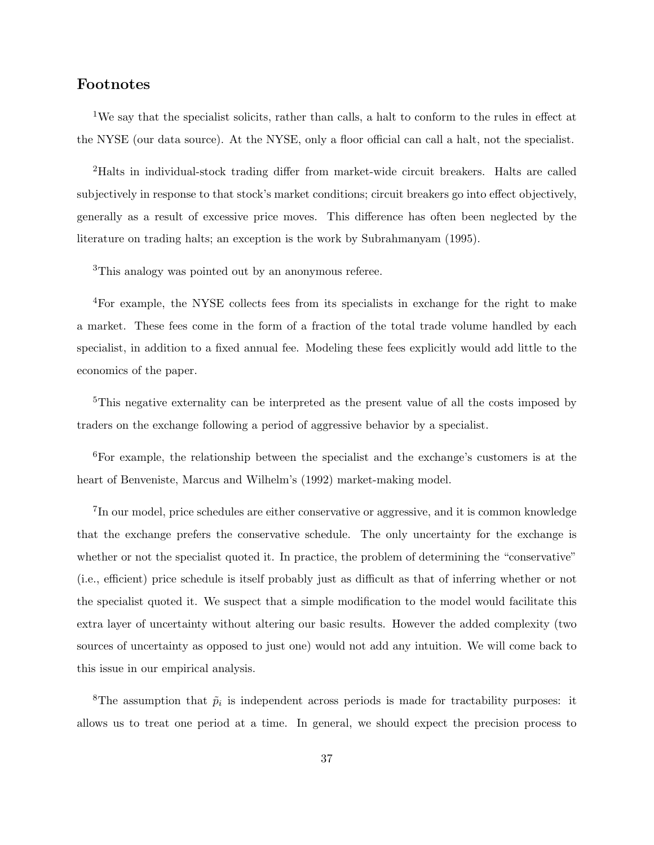### **Footnotes**

<sup>1</sup>We say that the specialist solicits, rather than calls, a halt to conform to the rules in effect at the NYSE (our data source). At the NYSE, only a floor official can call a halt, not the specialist.

<sup>2</sup>Halts in individual-stock trading differ from market-wide circuit breakers. Halts are called subjectively in response to that stock's market conditions; circuit breakers go into effect objectively, generally as a result of excessive price moves. This difference has often been neglected by the literature on trading halts; an exception is the work by Subrahmanyam (1995).

<sup>3</sup>This analogy was pointed out by an anonymous referee.

<sup>4</sup>For example, the NYSE collects fees from its specialists in exchange for the right to make a market. These fees come in the form of a fraction of the total trade volume handled by each specialist, in addition to a fixed annual fee. Modeling these fees explicitly would add little to the economics of the paper.

<sup>5</sup>This negative externality can be interpreted as the present value of all the costs imposed by traders on the exchange following a period of aggressive behavior by a specialist.

<sup>6</sup>For example, the relationship between the specialist and the exchange's customers is at the heart of Benveniste, Marcus and Wilhelm's (1992) market-making model.

<sup>7</sup>In our model, price schedules are either conservative or aggressive, and it is common knowledge that the exchange prefers the conservative schedule. The only uncertainty for the exchange is whether or not the specialist quoted it. In practice, the problem of determining the "conservative" (i.e., efficient) price schedule is itself probably just as difficult as that of inferring whether or not the specialist quoted it. We suspect that a simple modification to the model would facilitate this extra layer of uncertainty without altering our basic results. However the added complexity (two sources of uncertainty as opposed to just one) would not add any intuition. We will come back to this issue in our empirical analysis.

<sup>8</sup>The assumption that  $\tilde{p}_i$  is independent across periods is made for tractability purposes: it allows us to treat one period at a time. In general, we should expect the precision process to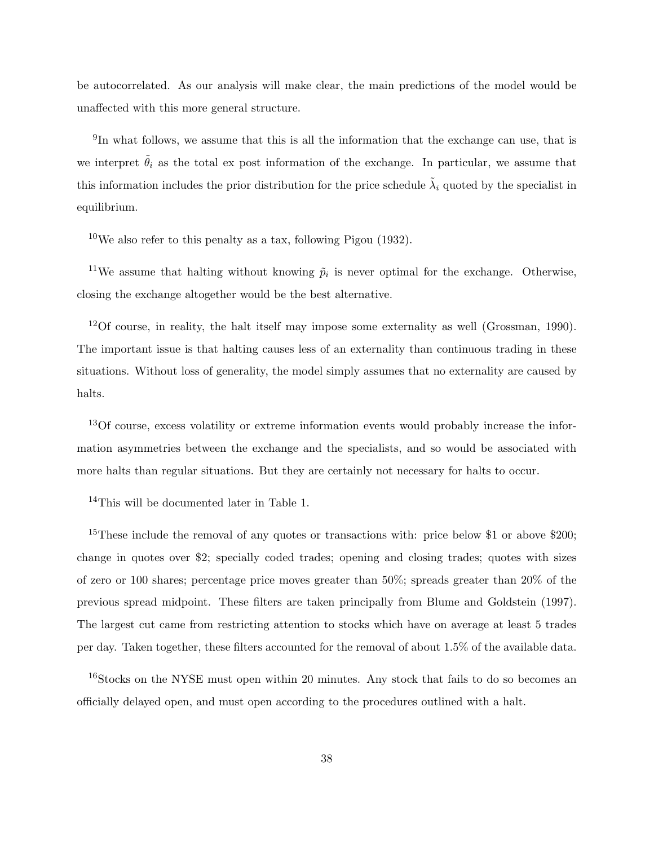be autocorrelated. As our analysis will make clear, the main predictions of the model would be unaffected with this more general structure.

<sup>9</sup>In what follows, we assume that this is all the information that the exchange can use, that is we interpret  $\tilde{\theta}_i$  as the total ex post information of the exchange. In particular, we assume that this information includes the prior distribution for the price schedule  $\tilde{\lambda}_i$  quoted by the specialist in equilibrium.

<sup>10</sup>We also refer to this penalty as a tax, following Pigou  $(1932)$ .

<sup>11</sup>We assume that halting without knowing  $\tilde{p}_i$  is never optimal for the exchange. Otherwise, closing the exchange altogether would be the best alternative.

 $12$ Of course, in reality, the halt itself may impose some externality as well (Grossman, 1990). The important issue is that halting causes less of an externality than continuous trading in these situations. Without loss of generality, the model simply assumes that no externality are caused by halts.

<sup>13</sup>Of course, excess volatility or extreme information events would probably increase the information asymmetries between the exchange and the specialists, and so would be associated with more halts than regular situations. But they are certainly not necessary for halts to occur.

<sup>14</sup>This will be documented later in Table 1.

<sup>15</sup>These include the removal of any quotes or transactions with: price below \$1 or above \$200; change in quotes over \$2; specially coded trades; opening and closing trades; quotes with sizes of zero or 100 shares; percentage price moves greater than 50%; spreads greater than 20% of the previous spread midpoint. These filters are taken principally from Blume and Goldstein (1997). The largest cut came from restricting attention to stocks which have on average at least 5 trades per day. Taken together, these filters accounted for the removal of about 1.5% of the available data.

<sup>16</sup>Stocks on the NYSE must open within 20 minutes. Any stock that fails to do so becomes an officially delayed open, and must open according to the procedures outlined with a halt.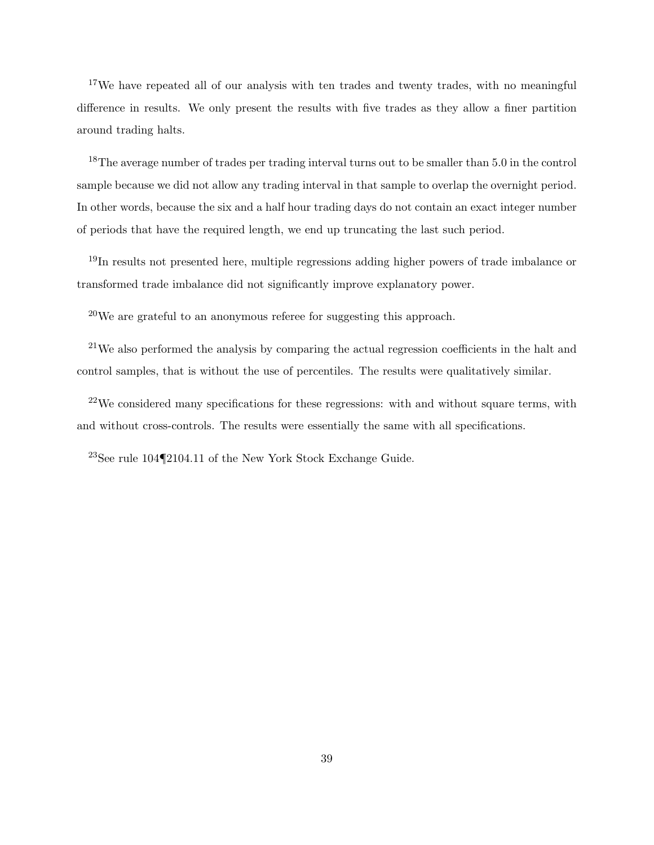<sup>17</sup>We have repeated all of our analysis with ten trades and twenty trades, with no meaningful difference in results. We only present the results with five trades as they allow a finer partition around trading halts.

<sup>18</sup>The average number of trades per trading interval turns out to be smaller than 5.0 in the control sample because we did not allow any trading interval in that sample to overlap the overnight period. In other words, because the six and a half hour trading days do not contain an exact integer number of periods that have the required length, we end up truncating the last such period.

<sup>19</sup>In results not presented here, multiple regressions adding higher powers of trade imbalance or transformed trade imbalance did not significantly improve explanatory power.

<sup>20</sup>We are grateful to an anonymous referee for suggesting this approach.

 $21$ We also performed the analysis by comparing the actual regression coefficients in the halt and control samples, that is without the use of percentiles. The results were qualitatively similar.

 $22$ We considered many specifications for these regressions: with and without square terms, with and without cross-controls. The results were essentially the same with all specifications.

<sup>23</sup>See rule 104¶2104.11 of the New York Stock Exchange Guide.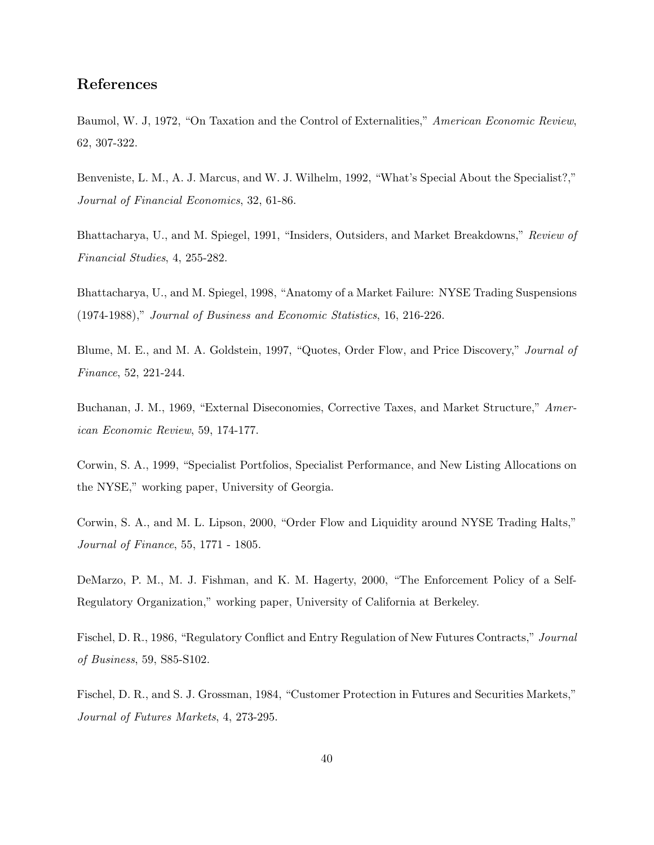## **References**

Baumol, W. J, 1972, "On Taxation and the Control of Externalities," American Economic Review, 62, 307-322.

Benveniste, L. M., A. J. Marcus, and W. J. Wilhelm, 1992, "What's Special About the Specialist?," Journal of Financial Economics, 32, 61-86.

Bhattacharya, U., and M. Spiegel, 1991, "Insiders, Outsiders, and Market Breakdowns," Review of Financial Studies, 4, 255-282.

Bhattacharya, U., and M. Spiegel, 1998, "Anatomy of a Market Failure: NYSE Trading Suspensions (1974-1988)," Journal of Business and Economic Statistics, 16, 216-226.

Blume, M. E., and M. A. Goldstein, 1997, "Quotes, Order Flow, and Price Discovery," Journal of Finance, 52, 221-244.

Buchanan, J. M., 1969, "External Diseconomies, Corrective Taxes, and Market Structure," American Economic Review, 59, 174-177.

Corwin, S. A., 1999, "Specialist Portfolios, Specialist Performance, and New Listing Allocations on the NYSE," working paper, University of Georgia.

Corwin, S. A., and M. L. Lipson, 2000, "Order Flow and Liquidity around NYSE Trading Halts," Journal of Finance, 55, 1771 - 1805.

DeMarzo, P. M., M. J. Fishman, and K. M. Hagerty, 2000, "The Enforcement Policy of a Self-Regulatory Organization," working paper, University of California at Berkeley.

Fischel, D. R., 1986, "Regulatory Conflict and Entry Regulation of New Futures Contracts," Journal of Business, 59, S85-S102.

Fischel, D. R., and S. J. Grossman, 1984, "Customer Protection in Futures and Securities Markets," Journal of Futures Markets, 4, 273-295.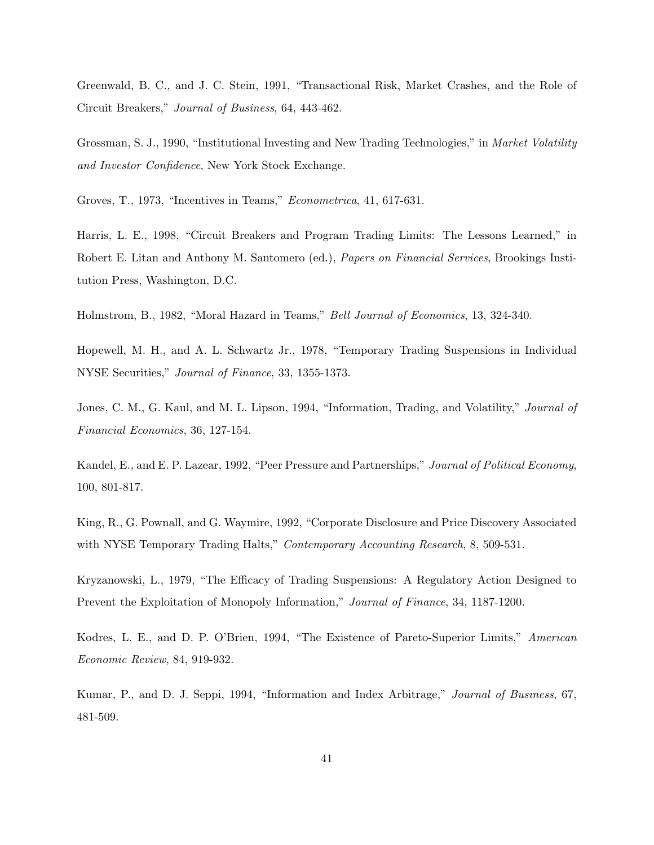Greenwald, B. C., and J. C. Stein, 1991, "Transactional Risk, Market Crashes, and the Role of Circuit Breakers," Journal of Business, 64, 443-462.

Grossman, S. J., 1990, "Institutional Investing and New Trading Technologies," in Market Volatility and Investor Confidence, New York Stock Exchange.

Groves, T., 1973, "Incentives in Teams," Econometrica, 41, 617-631.

Harris, L. E., 1998, "Circuit Breakers and Program Trading Limits: The Lessons Learned," in Robert E. Litan and Anthony M. Santomero (ed.), Papers on Financial Services, Brookings Institution Press, Washington, D.C.

Holmstrom, B., 1982, "Moral Hazard in Teams," Bell Journal of Economics, 13, 324-340.

Hopewell, M. H., and A. L. Schwartz Jr., 1978, "Temporary Trading Suspensions in Individual NYSE Securities," Journal of Finance, 33, 1355-1373.

Jones, C. M., G. Kaul, and M. L. Lipson, 1994, "Information, Trading, and Volatility," Journal of Financial Economics, 36, 127-154.

Kandel, E., and E. P. Lazear, 1992, "Peer Pressure and Partnerships," Journal of Political Economy, 100, 801-817.

King, R., G. Pownall, and G. Waymire, 1992, "Corporate Disclosure and Price Discovery Associated with NYSE Temporary Trading Halts," *Contemporary Accounting Research*, 8, 509-531.

Kryzanowski, L., 1979, "The Efficacy of Trading Suspensions: A Regulatory Action Designed to Prevent the Exploitation of Monopoly Information," Journal of Finance, 34, 1187-1200.

Kodres, L. E., and D. P. O'Brien, 1994, "The Existence of Pareto-Superior Limits," American Economic Review, 84, 919-932.

Kumar, P., and D. J. Seppi, 1994, "Information and Index Arbitrage," Journal of Business, 67, 481-509.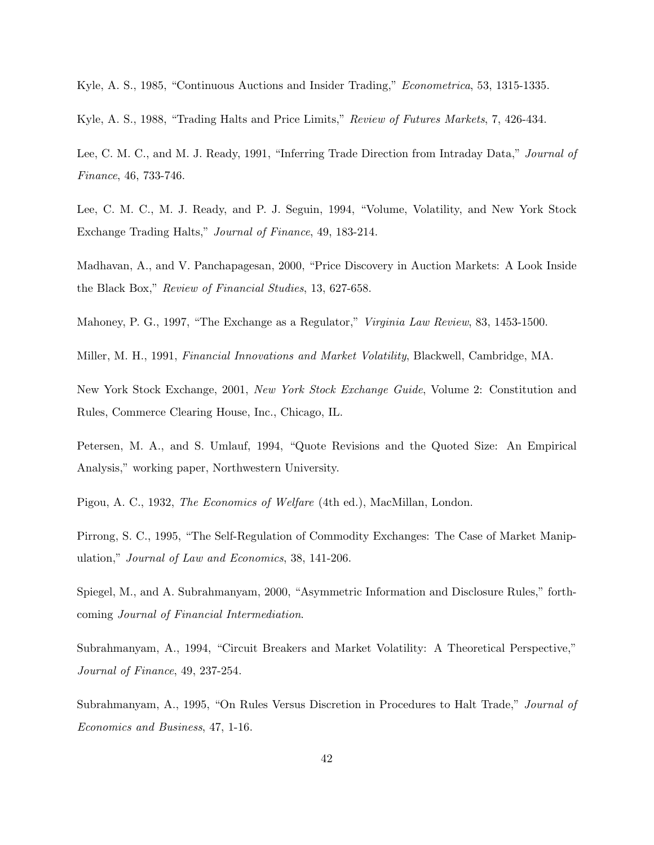Kyle, A. S., 1985, "Continuous Auctions and Insider Trading," Econometrica, 53, 1315-1335.

Kyle, A. S., 1988, "Trading Halts and Price Limits," Review of Futures Markets, 7, 426-434.

Lee, C. M. C., and M. J. Ready, 1991, "Inferring Trade Direction from Intraday Data," Journal of Finance, 46, 733-746.

Lee, C. M. C., M. J. Ready, and P. J. Seguin, 1994, "Volume, Volatility, and New York Stock Exchange Trading Halts," Journal of Finance, 49, 183-214.

Madhavan, A., and V. Panchapagesan, 2000, "Price Discovery in Auction Markets: A Look Inside the Black Box," Review of Financial Studies, 13, 627-658.

Mahoney, P. G., 1997, "The Exchange as a Regulator," Virginia Law Review, 83, 1453-1500.

Miller, M. H., 1991, Financial Innovations and Market Volatility, Blackwell, Cambridge, MA.

New York Stock Exchange, 2001, New York Stock Exchange Guide, Volume 2: Constitution and Rules, Commerce Clearing House, Inc., Chicago, IL.

Petersen, M. A., and S. Umlauf, 1994, "Quote Revisions and the Quoted Size: An Empirical Analysis," working paper, Northwestern University.

Pigou, A. C., 1932, The Economics of Welfare (4th ed.), MacMillan, London.

Pirrong, S. C., 1995, "The Self-Regulation of Commodity Exchanges: The Case of Market Manipulation," Journal of Law and Economics, 38, 141-206.

Spiegel, M., and A. Subrahmanyam, 2000, "Asymmetric Information and Disclosure Rules," forthcoming Journal of Financial Intermediation.

Subrahmanyam, A., 1994, "Circuit Breakers and Market Volatility: A Theoretical Perspective," Journal of Finance, 49, 237-254.

Subrahmanyam, A., 1995, "On Rules Versus Discretion in Procedures to Halt Trade," Journal of Economics and Business, 47, 1-16.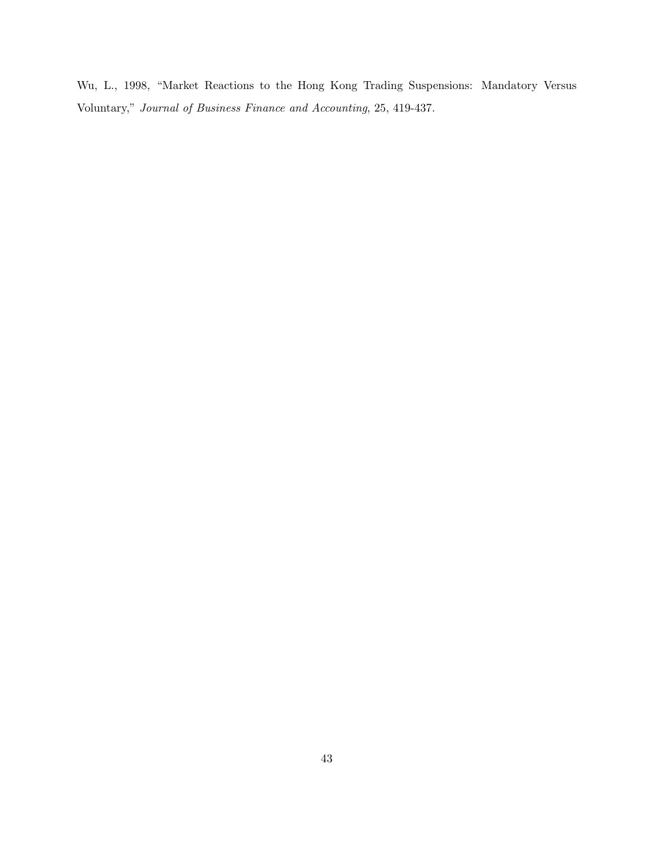Wu, L., 1998, "Market Reactions to the Hong Kong Trading Suspensions: Mandatory Versus Voluntary," Journal of Business Finance and Accounting, 25, 419-437.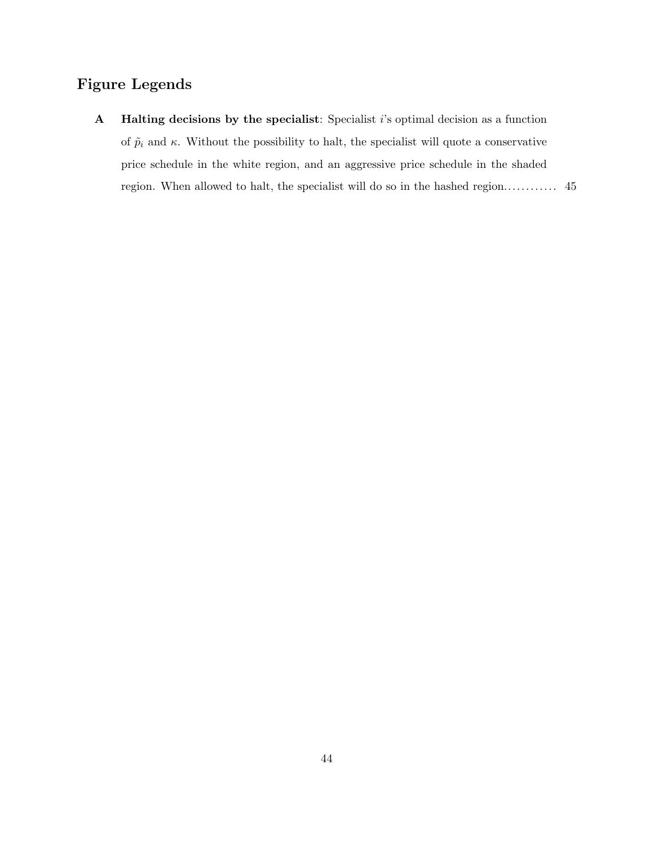# **Figure Legends**

**A Halting decisions by the specialist**: Specialist i's optimal decision as a function of  $\tilde{p}_i$  and  $\kappa$ . Without the possibility to halt, the specialist will quote a conservative price schedule in the white region, and an aggressive price schedule in the shaded region. When allowed to halt, the specialist will do so in the hashed region............ 45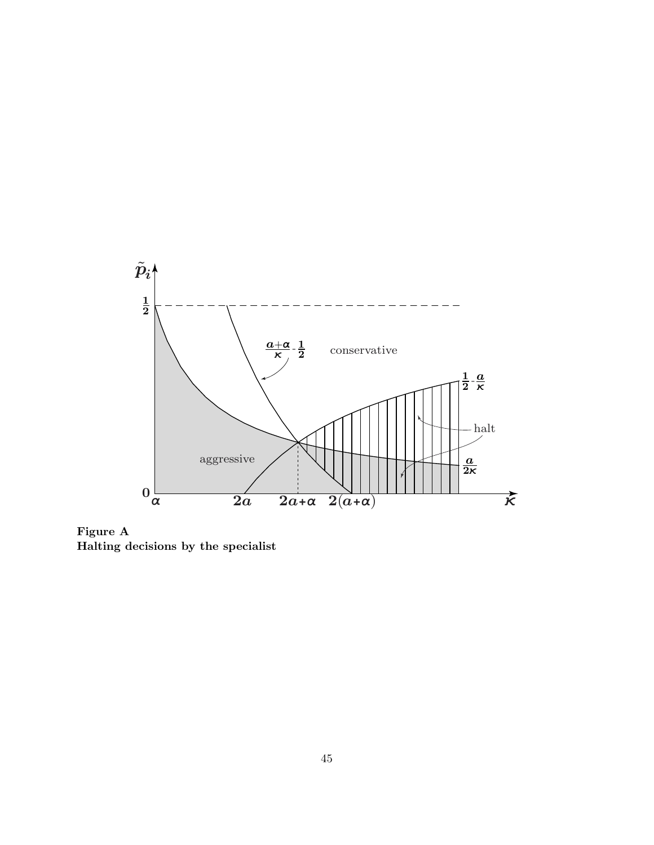

**Figure A Halting decisions by the specialist**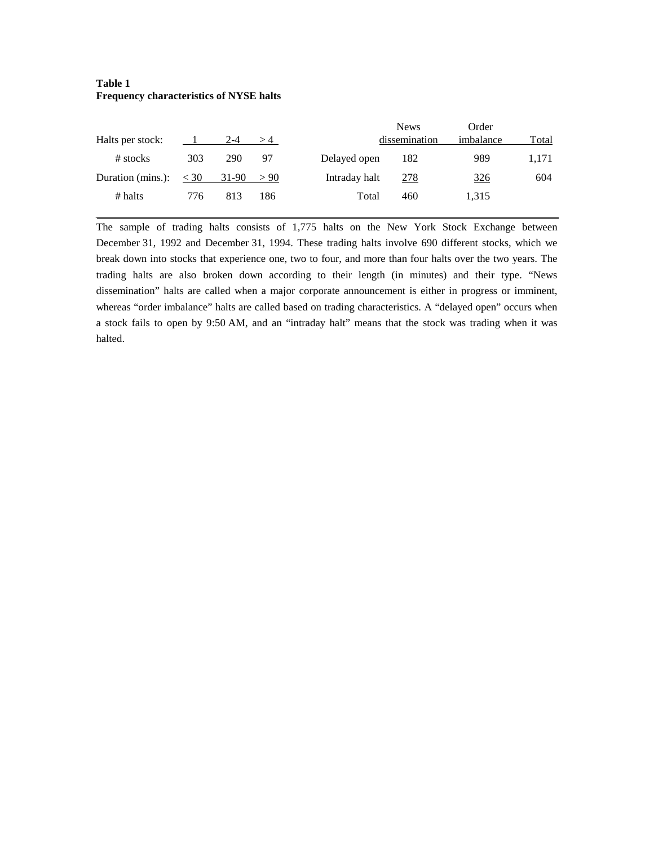### **Table 1 Frequency characteristics of NYSE halts**

|                   |           |         |      |               | <b>News</b>   | Order     |       |
|-------------------|-----------|---------|------|---------------|---------------|-----------|-------|
| Halts per stock:  |           | $2 - 4$ | >4   |               | dissemination | imbalance | Total |
| $#$ stocks        | 303       | 290     | 97   | Delayed open  | 182           | 989       | 1,171 |
| Duration (mins.): | $\leq 30$ | 31-90   | > 90 | Intraday halt | <u> 278</u>   | 326       | 604   |
| # halts           | 776       | 813     | 186  | Total         | 460           | 1.315     |       |

The sample of trading halts consists of 1,775 halts on the New York Stock Exchange between December 31, 1992 and December 31, 1994. These trading halts involve 690 different stocks, which we break down into stocks that experience one, two to four, and more than four halts over the two years. The trading halts are also broken down according to their length (in minutes) and their type. "News dissemination" halts are called when a major corporate announcement is either in progress or imminent, whereas "order imbalance" halts are called based on trading characteristics. A "delayed open" occurs when a stock fails to open by 9:50 AM, and an "intraday halt" means that the stock was trading when it was halted.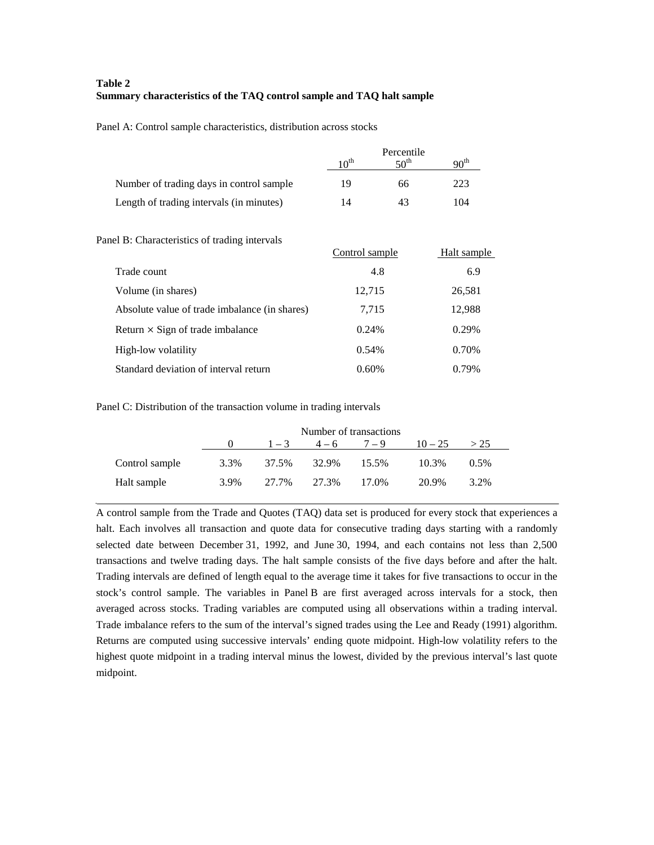### **Table 2 Summary characteristics of the TAQ control sample and TAQ halt sample**

Panel A: Control sample characteristics, distribution across stocks

|                                          | Percentile       |           |                  |
|------------------------------------------|------------------|-----------|------------------|
|                                          | 10 <sup>th</sup> | $50^{th}$ | a∩ <sup>th</sup> |
| Number of trading days in control sample | 19               | 66        | 223              |
| Length of trading intervals (in minutes) | 14               |           | 104              |

Panel B: Characteristics of trading intervals

|                                               | Control sample | Halt sample |
|-----------------------------------------------|----------------|-------------|
| Trade count                                   | 4.8            | 6.9         |
| Volume (in shares)                            | 12,715         | 26,581      |
| Absolute value of trade imbalance (in shares) | 7,715          | 12,988      |
| Return $\times$ Sign of trade imbalance       | 0.24%          | 0.29%       |
| High-low volatility                           | 0.54%          | 0.70%       |
| Standard deviation of interval return         | 0.60%          | 0.79%       |

Panel C: Distribution of the transaction volume in trading intervals

|                | Number of transactions |             |         |         |           |      |  |  |
|----------------|------------------------|-------------|---------|---------|-----------|------|--|--|
|                |                        | $1 - 3$     | $4 - 6$ | $7 - 9$ | $10 - 25$ | >25  |  |  |
| Control sample | 3.3%                   | 37.5%       | 32.9%   | 15.5%   | 10.3%     | 0.5% |  |  |
| Halt sample    | 3.9%                   | 27.7% 27.3% |         | 17.0%   | 20.9%     | 3.2% |  |  |

A control sample from the Trade and Quotes (TAQ) data set is produced for every stock that experiences a halt. Each involves all transaction and quote data for consecutive trading days starting with a randomly selected date between December 31, 1992, and June 30, 1994, and each contains not less than 2,500 transactions and twelve trading days. The halt sample consists of the five days before and after the halt. Trading intervals are defined of length equal to the average time it takes for five transactions to occur in the stock's control sample. The variables in Panel B are first averaged across intervals for a stock, then averaged across stocks. Trading variables are computed using all observations within a trading interval. Trade imbalance refers to the sum of the interval's signed trades using the Lee and Ready (1991) algorithm. Returns are computed using successive intervals' ending quote midpoint. High-low volatility refers to the highest quote midpoint in a trading interval minus the lowest, divided by the previous interval's last quote midpoint.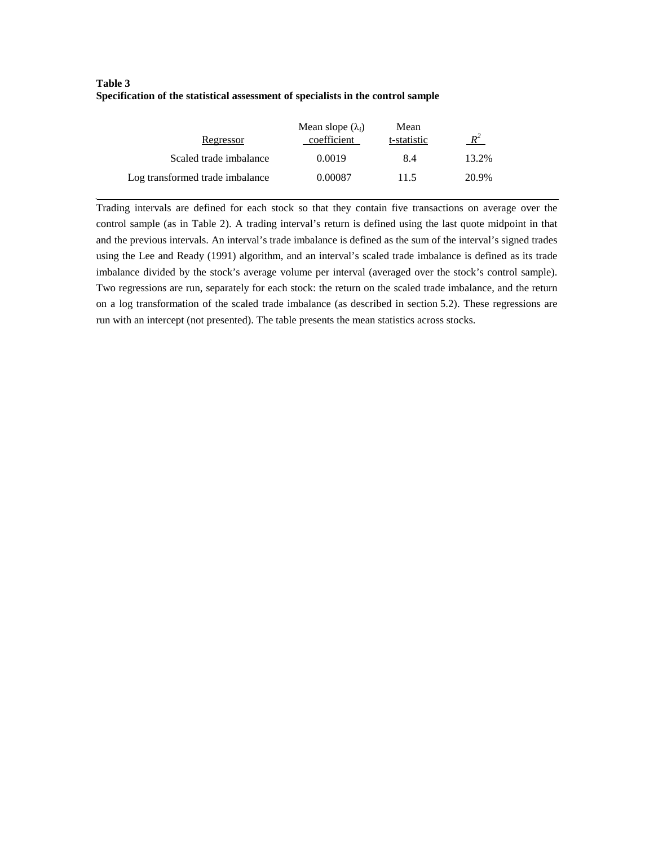### **Table 3 Specification of the statistical assessment of specialists in the control sample**

| Regressor                       | Mean slope $(\lambda_i)$<br>coefficient | Mean<br>t-statistic | $R^2$ |
|---------------------------------|-----------------------------------------|---------------------|-------|
| Scaled trade imbalance          | 0.0019                                  | 8.4                 | 13.2% |
| Log transformed trade imbalance | 0.00087                                 | 11.5                | 20.9% |

Trading intervals are defined for each stock so that they contain five transactions on average over the control sample (as in Table 2). A trading interval's return is defined using the last quote midpoint in that and the previous intervals. An interval's trade imbalance is defined as the sum of the interval's signed trades using the Lee and Ready (1991) algorithm, and an interval's scaled trade imbalance is defined as its trade imbalance divided by the stock's average volume per interval (averaged over the stock's control sample). Two regressions are run, separately for each stock: the return on the scaled trade imbalance, and the return on a log transformation of the scaled trade imbalance (as described in section 5.2). These regressions are run with an intercept (not presented). The table presents the mean statistics across stocks.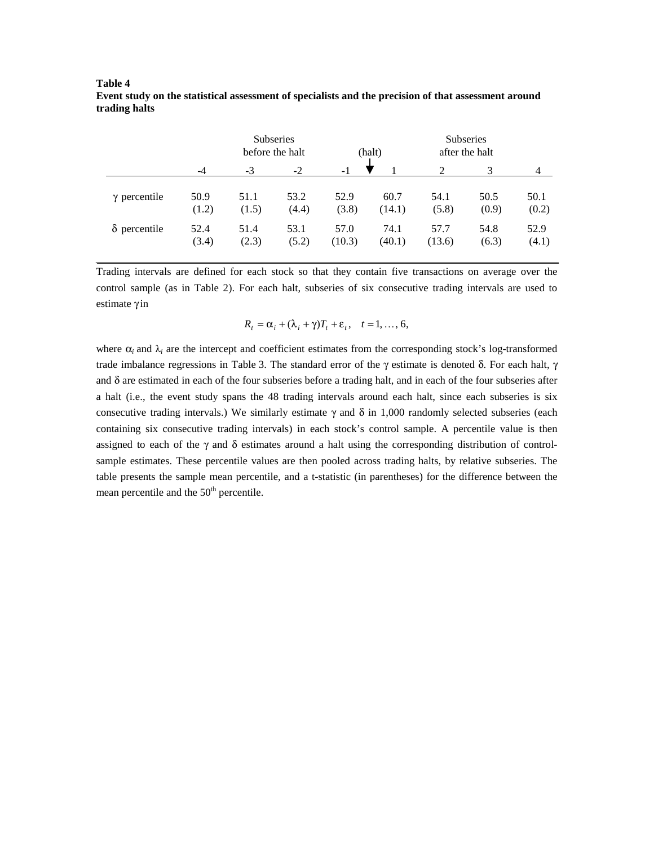### **Table 4 Event study on the statistical assessment of specialists and the precision of that assessment around trading halts**

|                     | <b>Subseries</b><br>before the halt |       |       |        | (halt) | <b>Subseries</b><br>after the halt |       |       |  |
|---------------------|-------------------------------------|-------|-------|--------|--------|------------------------------------|-------|-------|--|
|                     | $-4$                                | $-3$  | $-2$  | $-1$   |        | 2                                  | 3     |       |  |
| $\gamma$ percentile | 50.9                                | 51.1  | 53.2  | 52.9   | 60.7   | 54.1                               | 50.5  | 50.1  |  |
|                     | (1.2)                               | (1.5) | (4.4) | (3.8)  | (14.1) | (5.8)                              | (0.9) | (0.2) |  |
| $\delta$ percentile | 52.4                                | 51.4  | 53.1  | 57.0   | 74.1   | 57.7                               | 54.8  | 52.9  |  |
|                     | (3.4)                               | (2.3) | (5.2) | (10.3) | (40.1) | (13.6)                             | (6.3) | (4.1) |  |

Trading intervals are defined for each stock so that they contain five transactions on average over the control sample (as in Table 2). For each halt, subseries of six consecutive trading intervals are used to estimate γ in

$$
R_t = \alpha_i + (\lambda_i + \gamma)T_t + \varepsilon_t, \quad t = 1, ..., 6,
$$

where  $\alpha_i$  and  $\lambda_i$  are the intercept and coefficient estimates from the corresponding stock's log-transformed trade imbalance regressions in Table 3. The standard error of the γ estimate is denoted δ. For each halt, γ and δ are estimated in each of the four subseries before a trading halt, and in each of the four subseries after a halt (i.e., the event study spans the 48 trading intervals around each halt, since each subseries is six consecutive trading intervals.) We similarly estimate γ and  $\delta$  in 1,000 randomly selected subseries (each containing six consecutive trading intervals) in each stock's control sample. A percentile value is then assigned to each of the  $\gamma$  and  $\delta$  estimates around a halt using the corresponding distribution of controlsample estimates. These percentile values are then pooled across trading halts, by relative subseries. The table presents the sample mean percentile, and a t-statistic (in parentheses) for the difference between the mean percentile and the  $50<sup>th</sup>$  percentile.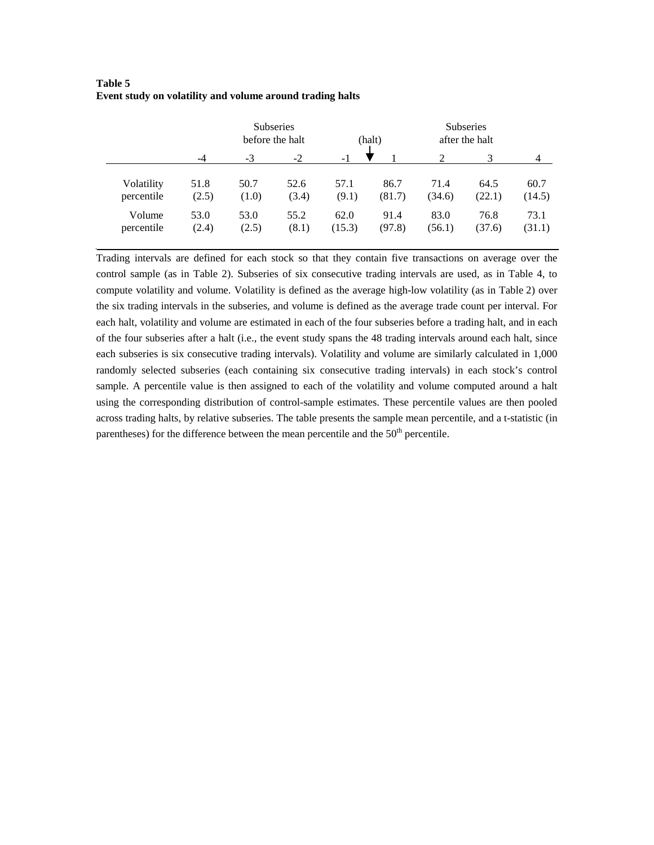| Table 5 |                                                           |  |
|---------|-----------------------------------------------------------|--|
|         | Event study on volatility and volume around trading halts |  |

|            | <b>Subseries</b><br>before the halt |       |       |        | (halt) |        | <b>Subseries</b><br>after the halt |        |  |  |  |
|------------|-------------------------------------|-------|-------|--------|--------|--------|------------------------------------|--------|--|--|--|
|            | $-4$                                | -3    | $-2$  | -1     |        |        |                                    | 4      |  |  |  |
| Volatility | 51.8                                | 50.7  | 52.6  | 57.1   | 86.7   | 71.4   | 64.5                               | 60.7   |  |  |  |
| percentile | (2.5)                               | (1.0) | (3.4) | (9.1)  | (81.7) | (34.6) | (22.1)                             | (14.5) |  |  |  |
| Volume     | 53.0                                | 53.0  | 55.2  | 62.0   | 91.4   | 83.0   | 76.8                               | 73.1   |  |  |  |
| percentile | (2.4)                               | (2.5) | (8.1) | (15.3) | (97.8) | (56.1) | (37.6)                             | (31.1) |  |  |  |

Trading intervals are defined for each stock so that they contain five transactions on average over the control sample (as in Table 2). Subseries of six consecutive trading intervals are used, as in Table 4, to compute volatility and volume. Volatility is defined as the average high-low volatility (as in Table 2) over the six trading intervals in the subseries, and volume is defined as the average trade count per interval. For each halt, volatility and volume are estimated in each of the four subseries before a trading halt, and in each of the four subseries after a halt (i.e., the event study spans the 48 trading intervals around each halt, since each subseries is six consecutive trading intervals). Volatility and volume are similarly calculated in 1,000 randomly selected subseries (each containing six consecutive trading intervals) in each stock's control sample. A percentile value is then assigned to each of the volatility and volume computed around a halt using the corresponding distribution of control-sample estimates. These percentile values are then pooled across trading halts, by relative subseries. The table presents the sample mean percentile, and a t-statistic (in parentheses) for the difference between the mean percentile and the  $50<sup>th</sup>$  percentile.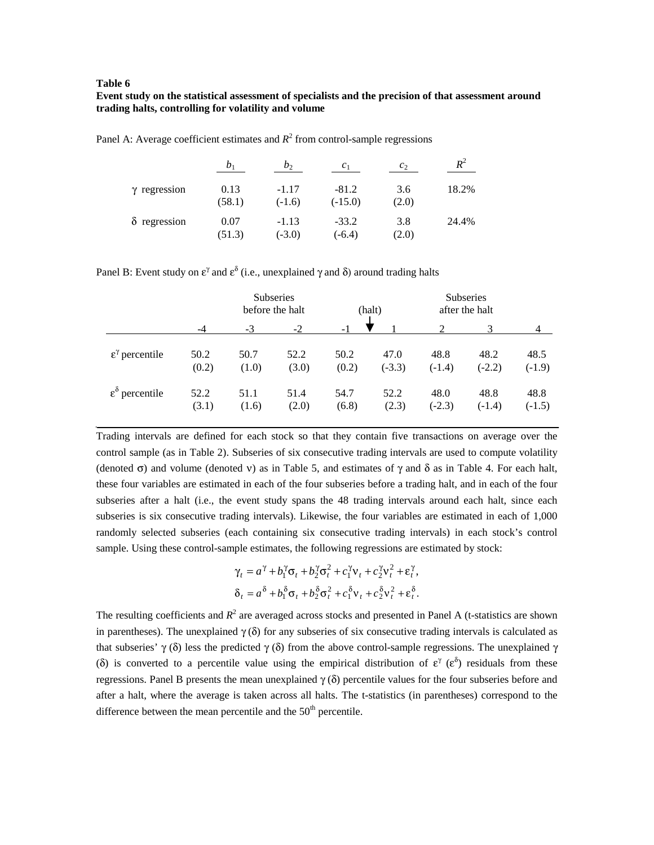#### **Table 6**

### **Event study on the statistical assessment of specialists and the precision of that assessment around trading halts, controlling for volatility and volume**

Panel A: Average coefficient estimates and  $R^2$  from control-sample regressions

|                     | $\mathcal{D}_1$ | $b_2$               | c <sub>1</sub>       | $c_2$        | $R^2$ |
|---------------------|-----------------|---------------------|----------------------|--------------|-------|
| $\gamma$ regression | 0.13<br>(58.1)  | $-1.17$<br>$(-1.6)$ | $-81.2$<br>$(-15.0)$ | 3.6<br>(2.0) | 18.2% |
| $\delta$ regression | 0.07<br>(51.3)  | $-1.13$<br>$(-3.0)$ | $-33.2$<br>$(-6.4)$  | 3.8<br>(2.0) | 24.4% |

Panel B: Event study on  $\varepsilon^{\gamma}$  and  $\varepsilon^{\delta}$  (i.e., unexplained  $\gamma$  and  $\delta$ ) around trading halts

|                                | <b>Subseries</b><br>before the halt |       |       |       | (halt)   | <b>Subseries</b><br>after the halt |          |          |  |
|--------------------------------|-------------------------------------|-------|-------|-------|----------|------------------------------------|----------|----------|--|
|                                | $-4$                                | $-3$  | $-2$  | $-1$  |          | $\mathcal{D}_{\mathcal{L}}$        | 3        |          |  |
| $\epsilon^{\gamma}$ percentile | 50.2                                | 50.7  | 52.2  | 50.2  | 47.0     | 48.8                               | 48.2     | 48.5     |  |
|                                | (0.2)                               | (1.0) | (3.0) | (0.2) | $(-3.3)$ | $(-1.4)$                           | $(-2.2)$ | $(-1.9)$ |  |
| $\epsilon^{\delta}$ percentile | 52.2                                | 51.1  | 51.4  | 54.7  | 52.2     | 48.0                               | 48.8     | 48.8     |  |
|                                | (3.1)                               | (1.6) | (2.0) | (6.8) | (2.3)    | $(-2.3)$                           | $(-1.4)$ | $(-1.5)$ |  |

Trading intervals are defined for each stock so that they contain five transactions on average over the control sample (as in Table 2). Subseries of six consecutive trading intervals are used to compute volatility (denoted σ) and volume (denoted v) as in Table 5, and estimates of  $\gamma$  and  $\delta$  as in Table 4. For each halt, these four variables are estimated in each of the four subseries before a trading halt, and in each of the four subseries after a halt (i.e., the event study spans the 48 trading intervals around each halt, since each subseries is six consecutive trading intervals). Likewise, the four variables are estimated in each of 1,000 randomly selected subseries (each containing six consecutive trading intervals) in each stock's control sample. Using these control-sample estimates, the following regressions are estimated by stock:

$$
\gamma_t = a^{\gamma} + b_1^{\gamma} \sigma_t + b_2^{\gamma} \sigma_t^2 + c_1^{\gamma} v_t + c_2^{\gamma} v_t^2 + \varepsilon_t^{\gamma},
$$
  

$$
\delta_t = a^{\delta} + b_1^{\delta} \sigma_t + b_2^{\delta} \sigma_t^2 + c_1^{\delta} v_t + c_2^{\delta} v_t^2 + \varepsilon_t^{\delta}.
$$

The resulting coefficients and  $R^2$  are averaged across stocks and presented in Panel A (t-statistics are shown in parentheses). The unexplained  $\gamma(\delta)$  for any subseries of six consecutive trading intervals is calculated as that subseries' γ (δ) less the predicted γ (δ) from the above control-sample regressions. The unexplained γ (δ) is converted to a percentile value using the empirical distribution of  $\varepsilon^{\gamma}$  ( $\varepsilon^{\delta}$ ) residuals from these regressions. Panel B presents the mean unexplained  $\gamma$  (δ) percentile values for the four subseries before and after a halt, where the average is taken across all halts. The t-statistics (in parentheses) correspond to the difference between the mean percentile and the  $50<sup>th</sup>$  percentile.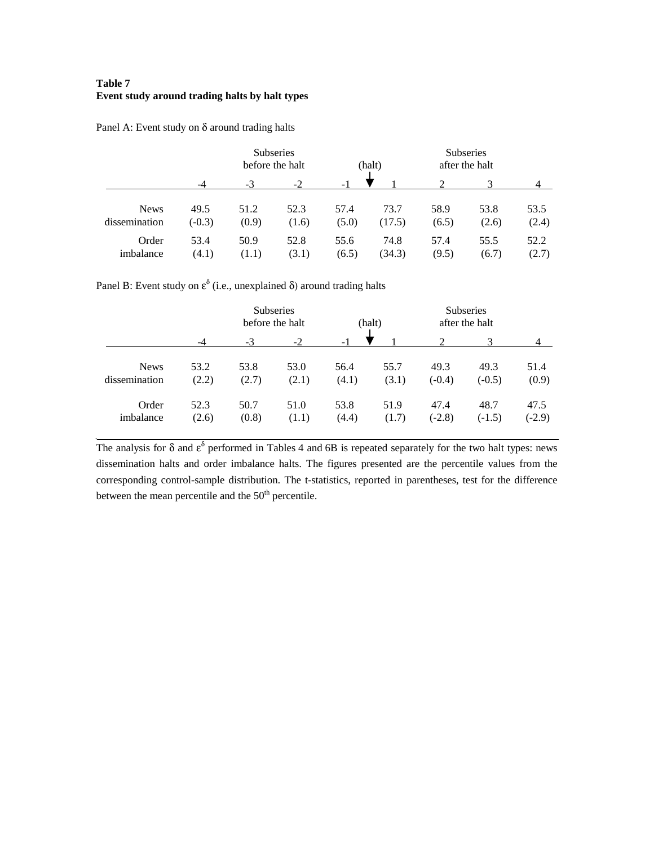### **Table 7 Event study around trading halts by halt types**

Panel A: Event study on δ around trading halts

|               | <b>Subseries</b><br>before the halt |       |       |       | (halt) | <b>Subseries</b><br>after the halt |       |       |
|---------------|-------------------------------------|-------|-------|-------|--------|------------------------------------|-------|-------|
|               | -4                                  | $-3$  | $-2$  | -1    |        | ↑                                  | 3     | 4     |
| <b>News</b>   | 49.5                                | 51.2  | 52.3  | 57.4  | 73.7   | 58.9                               | 53.8  | 53.5  |
| dissemination | $(-0.3)$                            | (0.9) | (1.6) | (5.0) | (17.5) | (6.5)                              | (2.6) | (2.4) |
| Order         | 53.4                                | 50.9  | 52.8  | 55.6  | 74.8   | 57.4                               | 55.5  | 52.2  |
| imbalance     | (4.1)                               | (1.1) | (3.1) | (6.5) | (34.3) | (9.5)                              | (6.7) | (2.7) |

Panel B: Event study on  $\varepsilon^{\delta}$  (i.e., unexplained  $\delta$ ) around trading halts

|               | <b>Subseries</b><br>before the halt |       |       |       | (halt) | <b>Subseries</b><br>after the halt |          |          |  |
|---------------|-------------------------------------|-------|-------|-------|--------|------------------------------------|----------|----------|--|
|               | $-4$                                | $-3$  | $-2$  | $-1$  |        | 2                                  | 3        | 4        |  |
| <b>News</b>   | 53.2                                | 53.8  | 53.0  | 56.4  | 55.7   | 49.3                               | 49.3     | 51.4     |  |
| dissemination | (2.2)                               | (2.7) | (2.1) | (4.1) | (3.1)  | $(-0.4)$                           | $(-0.5)$ | (0.9)    |  |
| Order         | 52.3                                | 50.7  | 51.0  | 53.8  | 51.9   | 47.4                               | 48.7     | 47.5     |  |
| imbalance     | (2.6)                               | (0.8) | (1.1) | (4.4) | (1.7)  | $(-2.8)$                           | $(-1.5)$ | $(-2.9)$ |  |

The analysis for  $\delta$  and  $\varepsilon^{\delta}$  performed in Tables 4 and 6B is repeated separately for the two halt types: news dissemination halts and order imbalance halts. The figures presented are the percentile values from the corresponding control-sample distribution. The t-statistics, reported in parentheses, test for the difference between the mean percentile and the  $50<sup>th</sup>$  percentile.